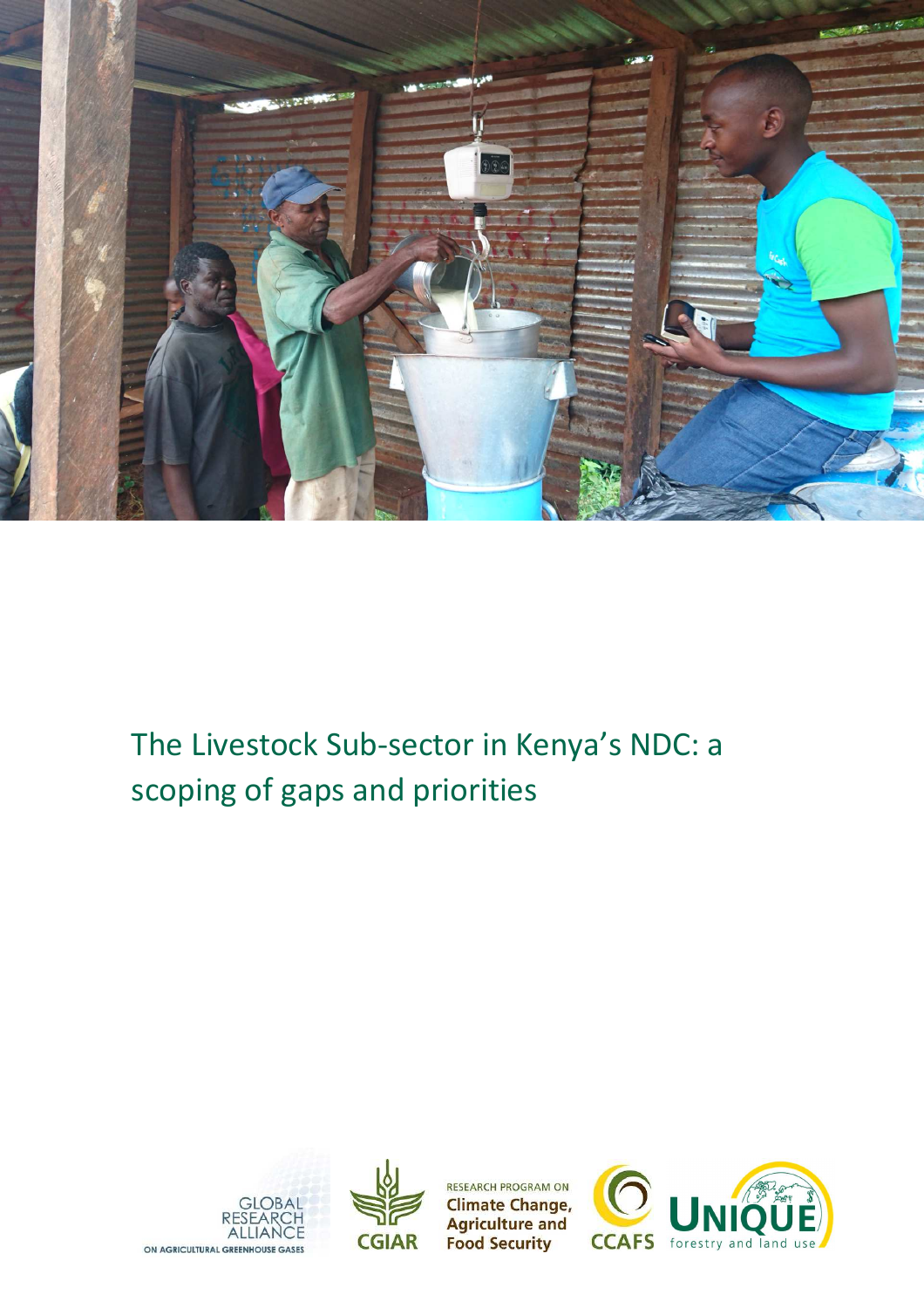

# The Livestock Sub-sector in Kenya's NDC: a scoping of gaps and priorities





**RESEARCH PROGRAM ON Climate Change, Agriculture and<br>Food Security** 

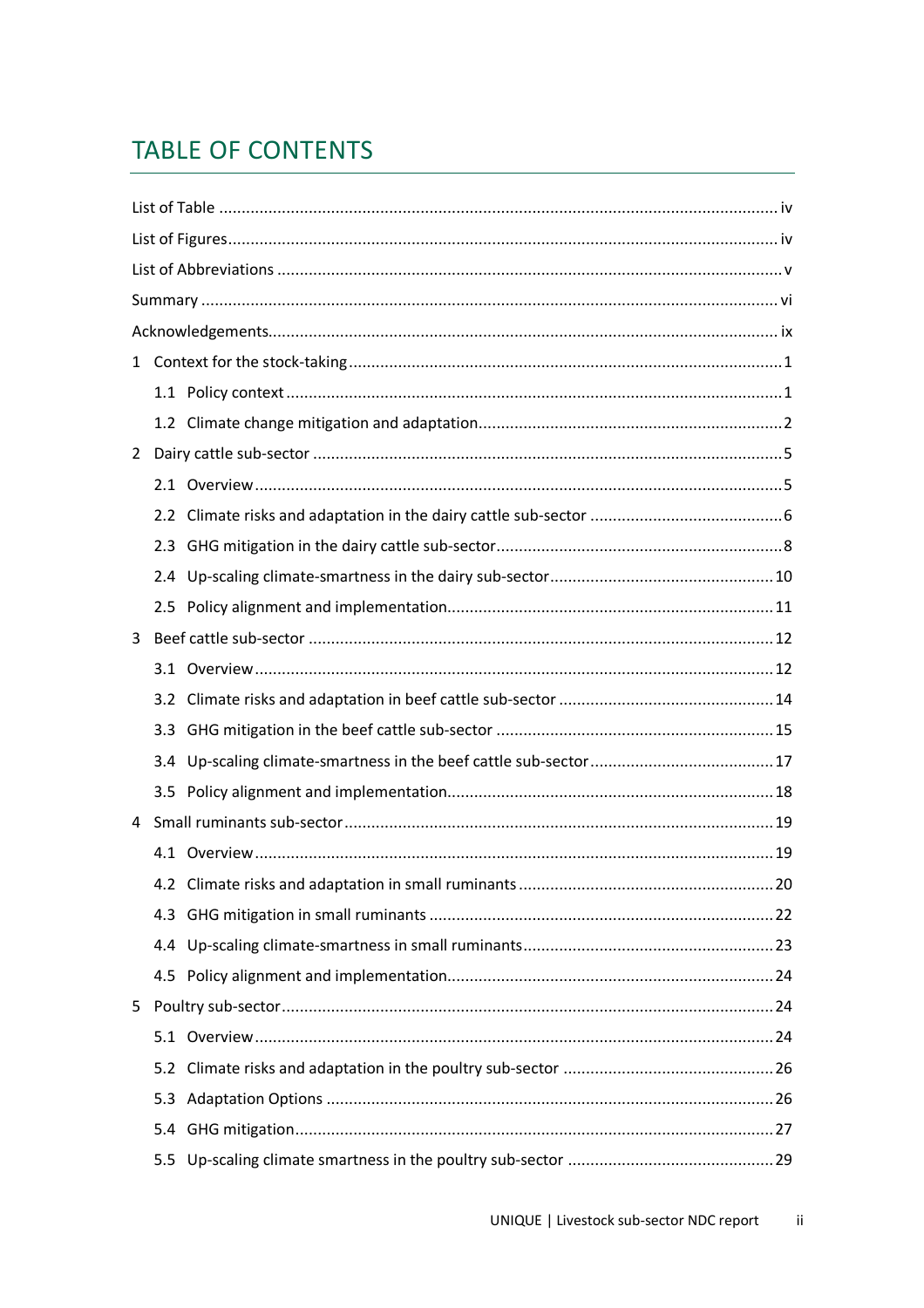# **TABLE OF CONTENTS**

| $\mathbf{1}$ |     |  |
|--------------|-----|--|
|              |     |  |
|              |     |  |
| 2            |     |  |
|              |     |  |
|              |     |  |
|              |     |  |
|              |     |  |
|              |     |  |
| 3            |     |  |
|              |     |  |
|              |     |  |
|              |     |  |
|              |     |  |
|              |     |  |
| 4            |     |  |
|              |     |  |
|              |     |  |
|              | 4.3 |  |
|              |     |  |
|              |     |  |
| 5            |     |  |
|              |     |  |
|              |     |  |
|              | 5.3 |  |
|              |     |  |
|              | 5.5 |  |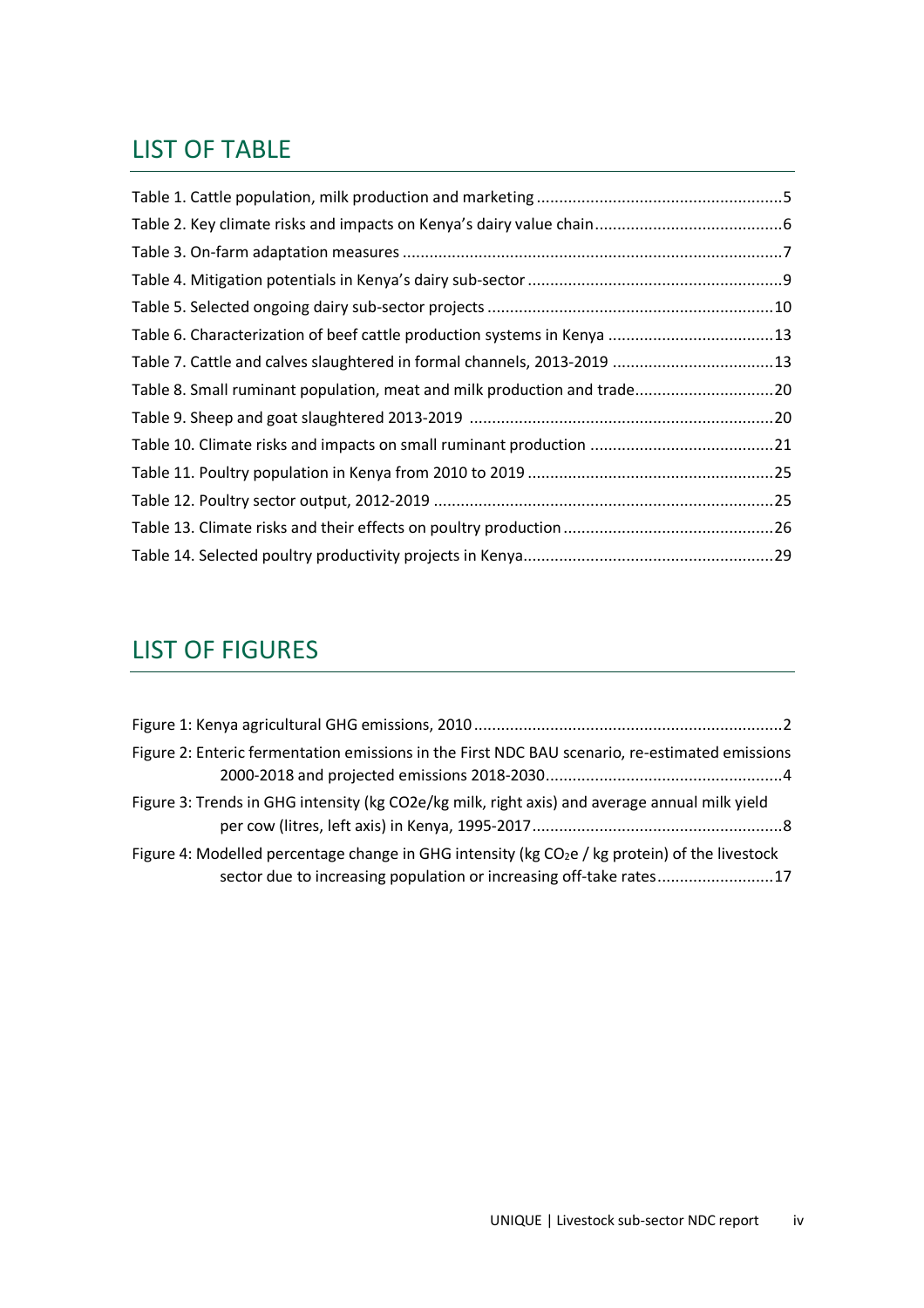# LIST OF TABLE

| Table 6. Characterization of beef cattle production systems in Kenya 13  |  |
|--------------------------------------------------------------------------|--|
| Table 7. Cattle and calves slaughtered in formal channels, 2013-2019 13  |  |
| Table 8. Small ruminant population, meat and milk production and trade20 |  |
|                                                                          |  |
|                                                                          |  |
|                                                                          |  |
|                                                                          |  |
|                                                                          |  |
|                                                                          |  |

# LIST OF FIGURES

| Figure 2: Enteric fermentation emissions in the First NDC BAU scenario, re-estimated emissions                                                                         |  |
|------------------------------------------------------------------------------------------------------------------------------------------------------------------------|--|
| Figure 3: Trends in GHG intensity (kg CO2e/kg milk, right axis) and average annual milk yield                                                                          |  |
| Figure 4: Modelled percentage change in GHG intensity ( $kg CO2e$ / kg protein) of the livestock<br>sector due to increasing population or increasing off-take rates17 |  |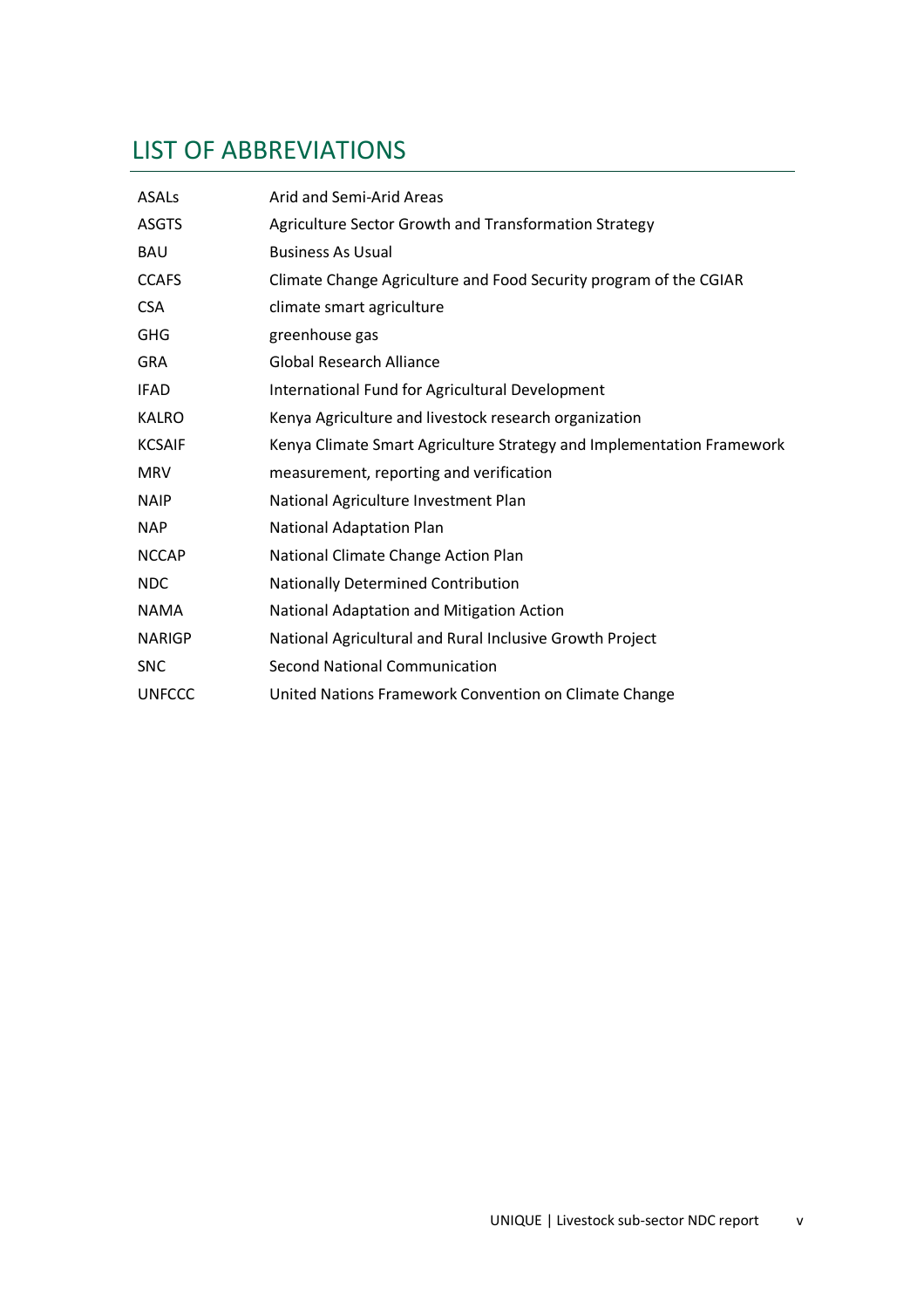# LIST OF ABBREVIATIONS

| <b>ASALs</b>  | Arid and Semi-Arid Areas                                              |
|---------------|-----------------------------------------------------------------------|
| <b>ASGTS</b>  | Agriculture Sector Growth and Transformation Strategy                 |
| <b>BAU</b>    | <b>Business As Usual</b>                                              |
| <b>CCAFS</b>  | Climate Change Agriculture and Food Security program of the CGIAR     |
| <b>CSA</b>    | climate smart agriculture                                             |
| GHG           | greenhouse gas                                                        |
| <b>GRA</b>    | Global Research Alliance                                              |
| <b>IFAD</b>   | International Fund for Agricultural Development                       |
| <b>KALRO</b>  | Kenya Agriculture and livestock research organization                 |
| <b>KCSAIF</b> | Kenya Climate Smart Agriculture Strategy and Implementation Framework |
| <b>MRV</b>    | measurement, reporting and verification                               |
| <b>NAIP</b>   | National Agriculture Investment Plan                                  |
| <b>NAP</b>    | <b>National Adaptation Plan</b>                                       |
| <b>NCCAP</b>  | National Climate Change Action Plan                                   |
| <b>NDC</b>    | Nationally Determined Contribution                                    |
| <b>NAMA</b>   | National Adaptation and Mitigation Action                             |
| <b>NARIGP</b> | National Agricultural and Rural Inclusive Growth Project              |
| <b>SNC</b>    | Second National Communication                                         |
| <b>UNFCCC</b> | United Nations Framework Convention on Climate Change                 |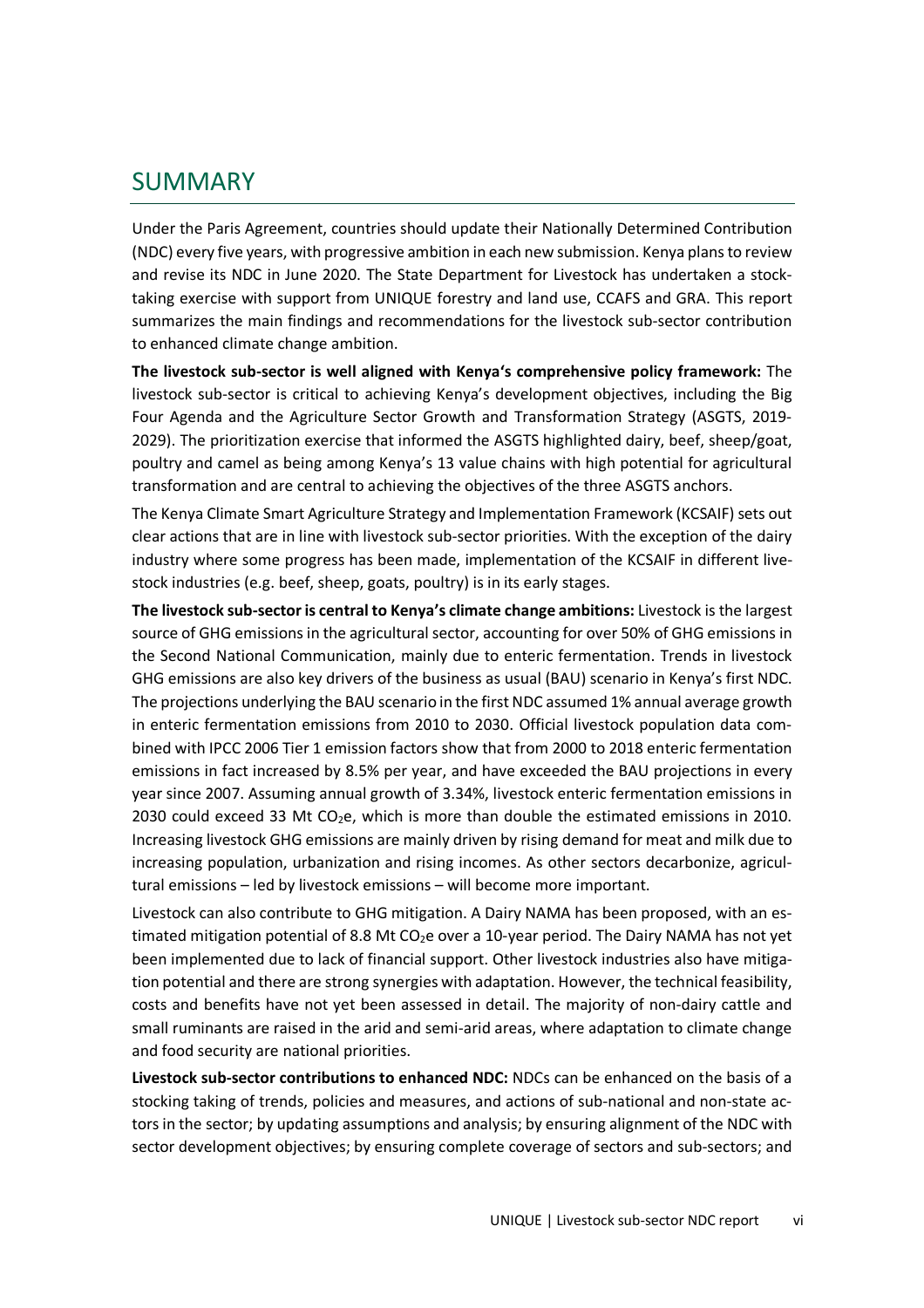## SUMMARY

Under the Paris Agreement, countries should update their Nationally Determined Contribution (NDC) every five years, with progressive ambition in each new submission. Kenya plans to review and revise its NDC in June 2020. The State Department for Livestock has undertaken a stocktaking exercise with support from UNIQUE forestry and land use, CCAFS and GRA. This report summarizes the main findings and recommendations for the livestock sub-sector contribution to enhanced climate change ambition.

**The livestock sub-sector is well aligned with Kenya's comprehensive policy framework:** The livestock sub-sector is critical to achieving Kenya's development objectives, including the Big Four Agenda and the Agriculture Sector Growth and Transformation Strategy (ASGTS, 2019- 2029). The prioritization exercise that informed the ASGTS highlighted dairy, beef, sheep/goat, poultry and camel as being among Kenya's 13 value chains with high potential for agricultural transformation and are central to achieving the objectives of the three ASGTS anchors.

The Kenya Climate Smart Agriculture Strategy and Implementation Framework (KCSAIF) sets out clear actions that are in line with livestock sub-sector priorities. With the exception of the dairy industry where some progress has been made, implementation of the KCSAIF in different livestock industries (e.g. beef, sheep, goats, poultry) is in its early stages.

**The livestock sub-sector is central to Kenya's climate change ambitions:** Livestock is the largest source of GHG emissions in the agricultural sector, accounting for over 50% of GHG emissions in the Second National Communication, mainly due to enteric fermentation. Trends in livestock GHG emissions are also key drivers of the business as usual (BAU) scenario in Kenya's first NDC. The projections underlying the BAU scenario in the first NDC assumed 1% annual average growth in enteric fermentation emissions from 2010 to 2030. Official livestock population data combined with IPCC 2006 Tier 1 emission factors show that from 2000 to 2018 enteric fermentation emissions in fact increased by 8.5% per year, and have exceeded the BAU projections in every year since 2007. Assuming annual growth of 3.34%, livestock enteric fermentation emissions in 2030 could exceed 33 Mt CO<sub>2</sub>e, which is more than double the estimated emissions in 2010. Increasing livestock GHG emissions are mainly driven by rising demand for meat and milk due to increasing population, urbanization and rising incomes. As other sectors decarbonize, agricultural emissions – led by livestock emissions – will become more important.

Livestock can also contribute to GHG mitigation. A Dairy NAMA has been proposed, with an estimated mitigation potential of 8.8 Mt CO<sub>2</sub>e over a 10-year period. The Dairy NAMA has not yet been implemented due to lack of financial support. Other livestock industries also have mitigation potential and there are strong synergies with adaptation. However, the technical feasibility, costs and benefits have not yet been assessed in detail. The majority of non-dairy cattle and small ruminants are raised in the arid and semi-arid areas, where adaptation to climate change and food security are national priorities.

**Livestock sub-sector contributions to enhanced NDC:** NDCs can be enhanced on the basis of a stocking taking of trends, policies and measures, and actions of sub-national and non-state actors in the sector; by updating assumptions and analysis; by ensuring alignment of the NDC with sector development objectives; by ensuring complete coverage of sectors and sub-sectors; and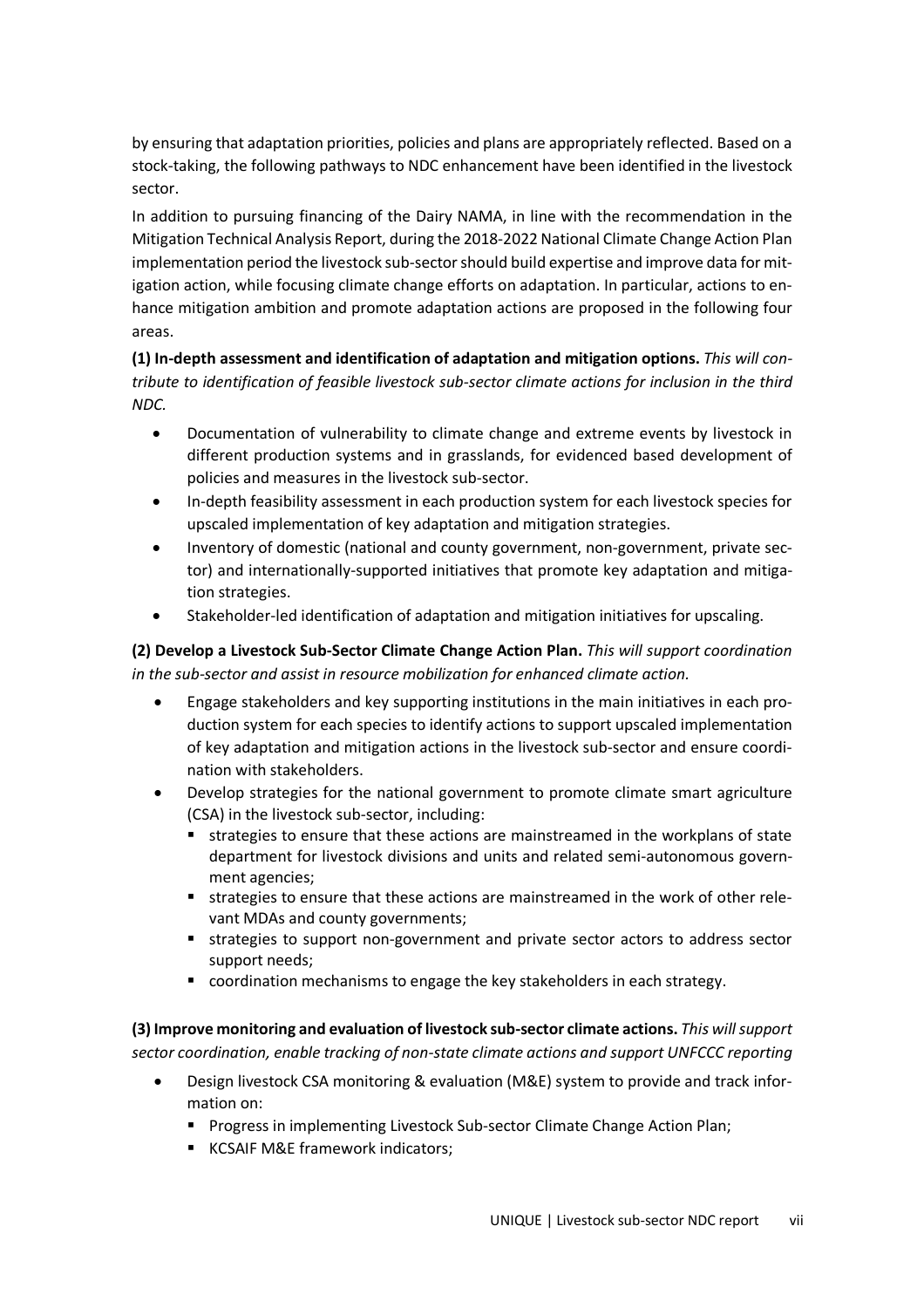by ensuring that adaptation priorities, policies and plans are appropriately reflected. Based on a stock-taking, the following pathways to NDC enhancement have been identified in the livestock sector.

In addition to pursuing financing of the Dairy NAMA, in line with the recommendation in the Mitigation Technical Analysis Report, during the 2018-2022 National Climate Change Action Plan implementation period the livestock sub-sector should build expertise and improve data for mitigation action, while focusing climate change efforts on adaptation. In particular, actions to enhance mitigation ambition and promote adaptation actions are proposed in the following four areas.

**(1) In-depth assessment and identification of adaptation and mitigation options.** *This will contribute to identification of feasible livestock sub-sector climate actions for inclusion in the third NDC.*

- Documentation of vulnerability to climate change and extreme events by livestock in different production systems and in grasslands, for evidenced based development of policies and measures in the livestock sub-sector.
- In-depth feasibility assessment in each production system for each livestock species for upscaled implementation of key adaptation and mitigation strategies.
- Inventory of domestic (national and county government, non-government, private sector) and internationally-supported initiatives that promote key adaptation and mitigation strategies.
- Stakeholder-led identification of adaptation and mitigation initiatives for upscaling.

**(2) Develop a Livestock Sub-Sector Climate Change Action Plan.** *This will support coordination in the sub-sector and assist in resource mobilization for enhanced climate action.*

- Engage stakeholders and key supporting institutions in the main initiatives in each production system for each species to identify actions to support upscaled implementation of key adaptation and mitigation actions in the livestock sub-sector and ensure coordination with stakeholders.
- Develop strategies for the national government to promote climate smart agriculture (CSA) in the livestock sub-sector, including:
	- strategies to ensure that these actions are mainstreamed in the workplans of state department for livestock divisions and units and related semi-autonomous government agencies;
	- strategies to ensure that these actions are mainstreamed in the work of other relevant MDAs and county governments;
	- **strategies to support non-government and private sector actors to address sector** support needs;
	- coordination mechanisms to engage the key stakeholders in each strategy.

**(3) Improve monitoring and evaluation of livestock sub-sector climate actions.** *This will support sector coordination, enable tracking of non-state climate actions and support UNFCCC reporting*

- Design livestock CSA monitoring & evaluation (M&E) system to provide and track information on:
	- **Progress in implementing Livestock Sub-sector Climate Change Action Plan;**
	- **KCSAIF M&E framework indicators;**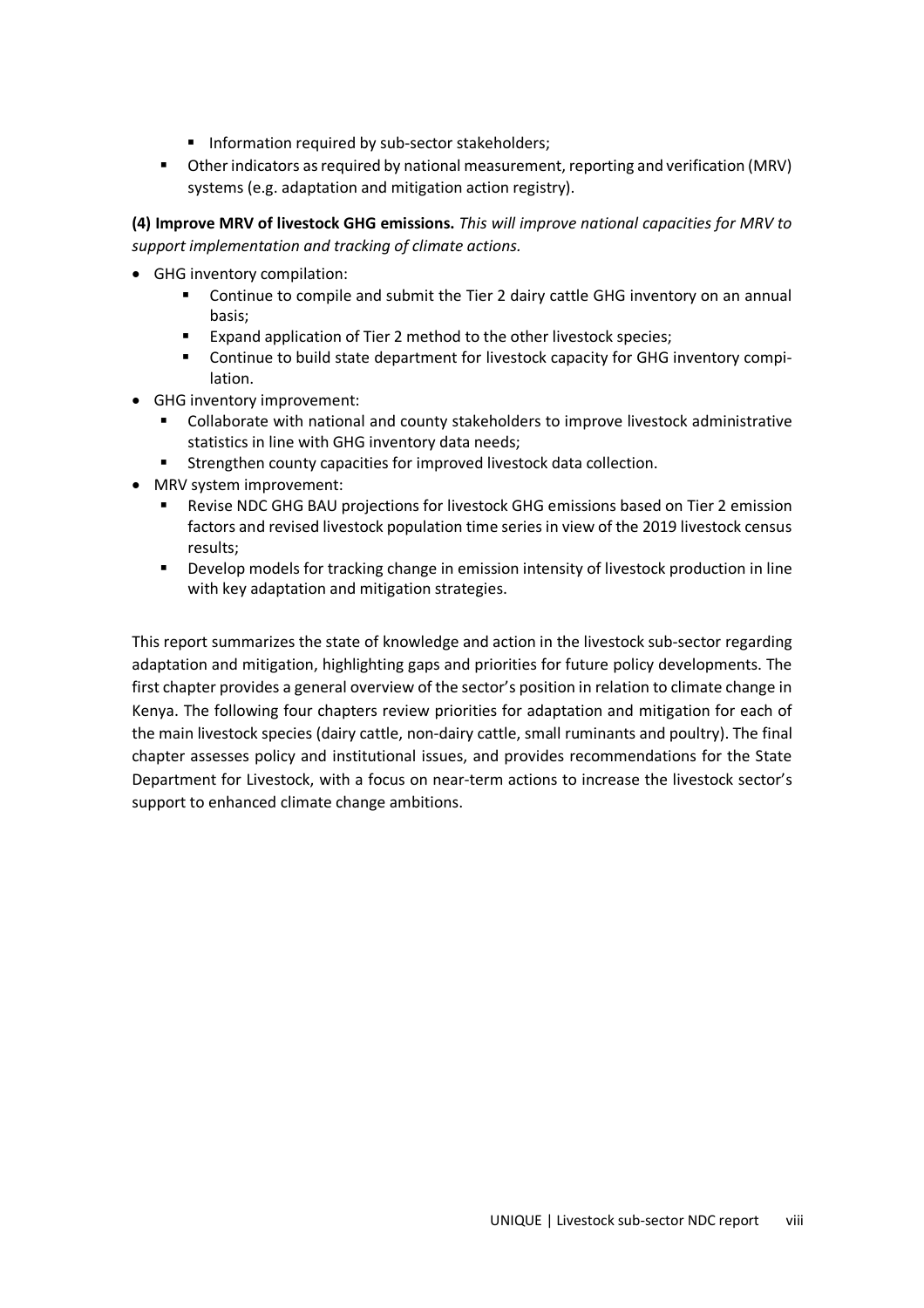- **Information required by sub-sector stakeholders;**
- Other indicators as required by national measurement, reporting and verification (MRV) systems (e.g. adaptation and mitigation action registry).

**(4) Improve MRV of livestock GHG emissions.** *This will improve national capacities for MRV to support implementation and tracking of climate actions.*

- GHG inventory compilation:
	- Continue to compile and submit the Tier 2 dairy cattle GHG inventory on an annual basis;
	- Expand application of Tier 2 method to the other livestock species;
	- Continue to build state department for livestock capacity for GHG inventory compilation.
- GHG inventory improvement:
	- Collaborate with national and county stakeholders to improve livestock administrative statistics in line with GHG inventory data needs;
	- **Strengthen county capacities for improved livestock data collection.**
- MRV system improvement:
	- Revise NDC GHG BAU projections for livestock GHG emissions based on Tier 2 emission factors and revised livestock population time series in view of the 2019 livestock census results;
	- **•** Develop models for tracking change in emission intensity of livestock production in line with key adaptation and mitigation strategies.

This report summarizes the state of knowledge and action in the livestock sub-sector regarding adaptation and mitigation, highlighting gaps and priorities for future policy developments. The first chapter provides a general overview of the sector's position in relation to climate change in Kenya. The following four chapters review priorities for adaptation and mitigation for each of the main livestock species (dairy cattle, non-dairy cattle, small ruminants and poultry). The final chapter assesses policy and institutional issues, and provides recommendations for the State Department for Livestock, with a focus on near-term actions to increase the livestock sector's support to enhanced climate change ambitions.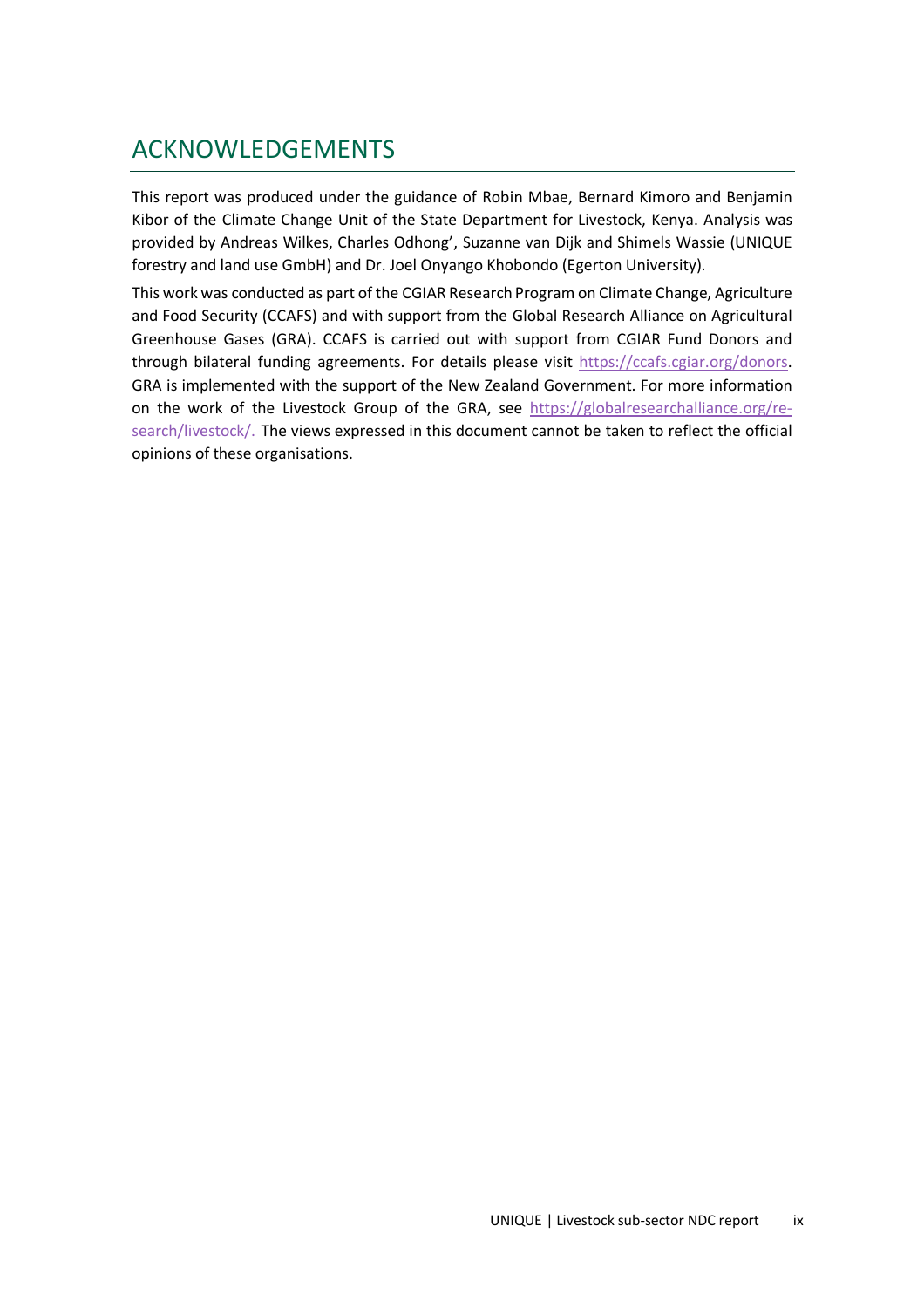## ACKNOWLEDGEMENTS

This report was produced under the guidance of Robin Mbae, Bernard Kimoro and Benjamin Kibor of the Climate Change Unit of the State Department for Livestock, Kenya. Analysis was provided by Andreas Wilkes, Charles Odhong', Suzanne van Dijk and Shimels Wassie (UNIQUE forestry and land use GmbH) and Dr. Joel Onyango Khobondo (Egerton University).

This work was conducted as part of the CGIAR Research Program on Climate Change, Agriculture and Food Security (CCAFS) and with support from the Global Research Alliance on Agricultural Greenhouse Gases (GRA). CCAFS is carried out with support from CGIAR Fund Donors and through bilateral funding agreements. For details please visit https://ccafs.cgiar.org/donors. GRA is implemented with the support of the New Zealand Government. For more information on the work of the Livestock Group of the GRA, see https://globalresearchalliance.org/research/livestock/. The views expressed in this document cannot be taken to reflect the official opinions of these organisations.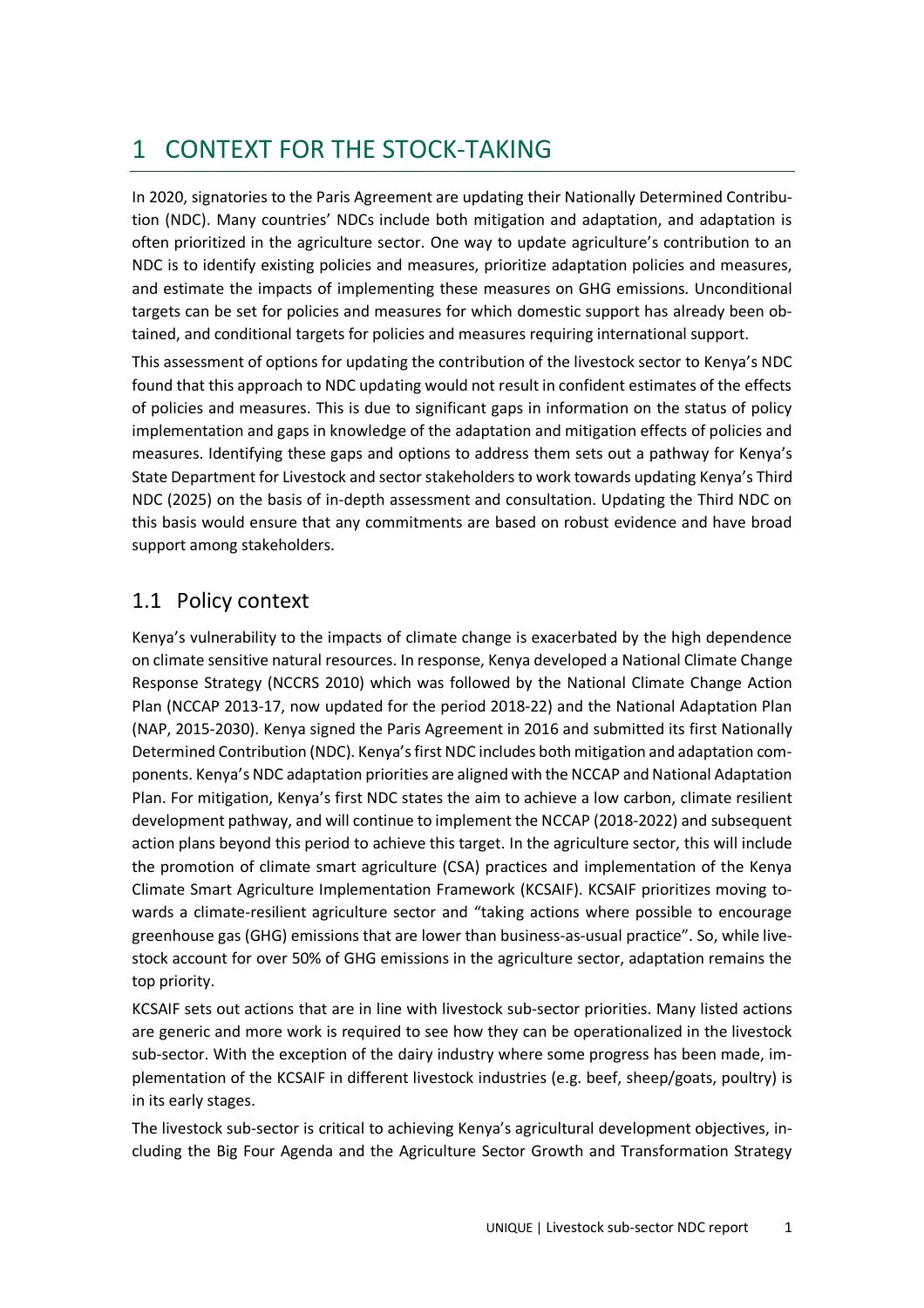# 1 CONTEXT FOR THE STOCK-TAKING

In 2020, signatories to the Paris Agreement are updating their Nationally Determined Contribution (NDC). Many countries' NDCs include both mitigation and adaptation, and adaptation is often prioritized in the agriculture sector. One way to update agriculture's contribution to an NDC is to identify existing policies and measures, prioritize adaptation policies and measures, and estimate the impacts of implementing these measures on GHG emissions. Unconditional targets can be set for policies and measures for which domestic support has already been obtained, and conditional targets for policies and measures requiring international support.

This assessment of options for updating the contribution of the livestock sector to Kenya's NDC found that this approach to NDC updating would not result in confident estimates of the effects of policies and measures. This is due to significant gaps in information on the status of policy implementation and gaps in knowledge of the adaptation and mitigation effects of policies and measures. Identifying these gaps and options to address them sets out a pathway for Kenya's State Department for Livestock and sector stakeholders to work towards updating Kenya's Third NDC (2025) on the basis of in-depth assessment and consultation. Updating the Third NDC on this basis would ensure that any commitments are based on robust evidence and have broad support among stakeholders.

## 1.1 Policy context

Kenya's vulnerability to the impacts of climate change is exacerbated by the high dependence on climate sensitive natural resources. In response, Kenya developed a National Climate Change Response Strategy (NCCRS 2010) which was followed by the National Climate Change Action Plan (NCCAP 2013-17, now updated for the period 2018-22) and the National Adaptation Plan (NAP, 2015-2030). Kenya signed the Paris Agreement in 2016 and submitted its first Nationally Determined Contribution (NDC). Kenya's first NDC includes both mitigation and adaptation components. Kenya's NDC adaptation priorities are aligned with the NCCAP and National Adaptation Plan. For mitigation, Kenya's first NDC states the aim to achieve a low carbon, climate resilient development pathway, and will continue to implement the NCCAP (2018-2022) and subsequent action plans beyond this period to achieve this target. In the agriculture sector, this will include the promotion of climate smart agriculture (CSA) practices and implementation of the Kenya Climate Smart Agriculture Implementation Framework (KCSAIF). KCSAIF prioritizes moving towards a climate-resilient agriculture sector and "taking actions where possible to encourage greenhouse gas (GHG) emissions that are lower than business-as-usual practice". So, while livestock account for over 50% of GHG emissions in the agriculture sector, adaptation remains the top priority.

KCSAIF sets out actions that are in line with livestock sub-sector priorities. Many listed actions are generic and more work is required to see how they can be operationalized in the livestock sub-sector. With the exception of the dairy industry where some progress has been made, implementation of the KCSAIF in different livestock industries (e.g. beef, sheep/goats, poultry) is in its early stages.

The livestock sub-sector is critical to achieving Kenya's agricultural development objectives, including the Big Four Agenda and the Agriculture Sector Growth and Transformation Strategy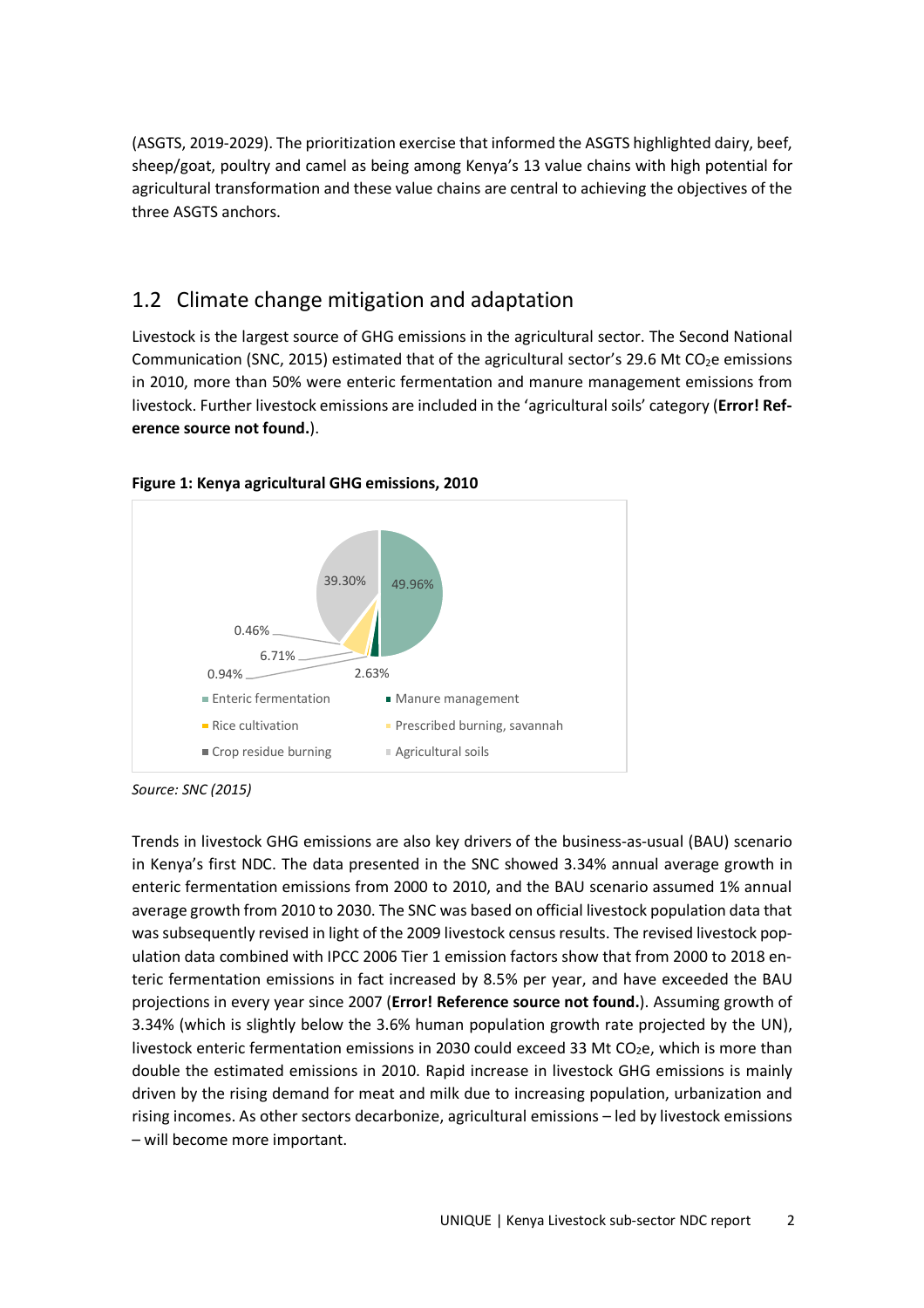(ASGTS, 2019-2029). The prioritization exercise that informed the ASGTS highlighted dairy, beef, sheep/goat, poultry and camel as being among Kenya's 13 value chains with high potential for agricultural transformation and these value chains are central to achieving the objectives of the three ASGTS anchors.

## 1.2 Climate change mitigation and adaptation

Livestock is the largest source of GHG emissions in the agricultural sector. The Second National Communication (SNC, 2015) estimated that of the agricultural sector's 29.6 Mt CO<sub>2</sub>e emissions in 2010, more than 50% were enteric fermentation and manure management emissions from livestock. Further livestock emissions are included in the 'agricultural soils' category (**Error! Reference source not found.**).



**Figure 1: Kenya agricultural GHG emissions, 2010** 

*Source: SNC (2015)* 

Trends in livestock GHG emissions are also key drivers of the business-as-usual (BAU) scenario in Kenya's first NDC. The data presented in the SNC showed 3.34% annual average growth in enteric fermentation emissions from 2000 to 2010, and the BAU scenario assumed 1% annual average growth from 2010 to 2030. The SNC was based on official livestock population data that was subsequently revised in light of the 2009 livestock census results. The revised livestock population data combined with IPCC 2006 Tier 1 emission factors show that from 2000 to 2018 enteric fermentation emissions in fact increased by 8.5% per year, and have exceeded the BAU projections in every year since 2007 (**Error! Reference source not found.**). Assuming growth of 3.34% (which is slightly below the 3.6% human population growth rate projected by the UN), livestock enteric fermentation emissions in 2030 could exceed 33 Mt  $CO<sub>2</sub>e$ , which is more than double the estimated emissions in 2010. Rapid increase in livestock GHG emissions is mainly driven by the rising demand for meat and milk due to increasing population, urbanization and rising incomes. As other sectors decarbonize, agricultural emissions – led by livestock emissions – will become more important.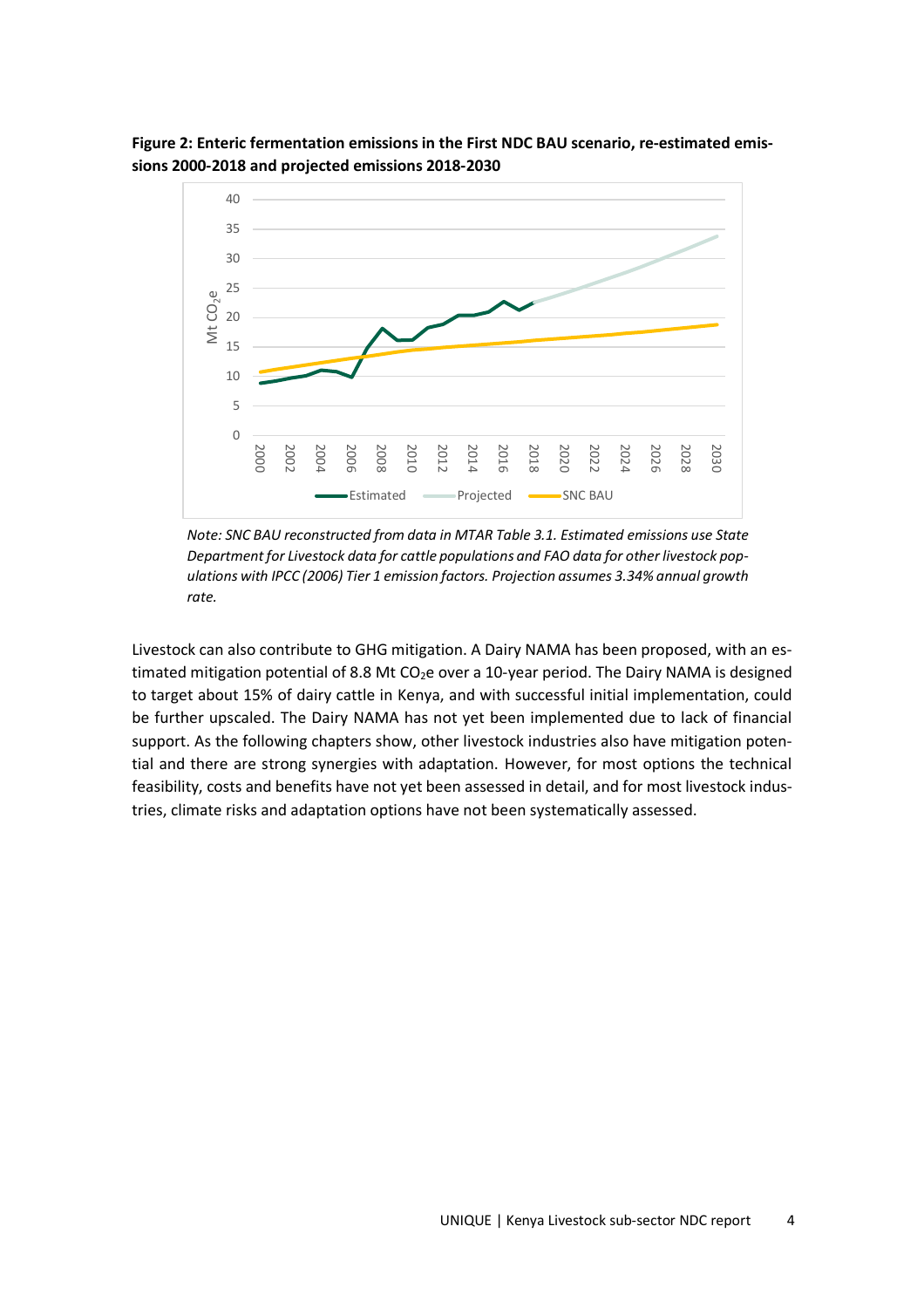

**Figure 2: Enteric fermentation emissions in the First NDC BAU scenario, re-estimated emissions 2000-2018 and projected emissions 2018-2030** 

*Note: SNC BAU reconstructed from data in MTAR Table 3.1. Estimated emissions use State Department for Livestock data for cattle populations and FAO data for other livestock populations with IPCC (2006) Tier 1 emission factors. Projection assumes 3.34% annual growth rate.* 

Livestock can also contribute to GHG mitigation. A Dairy NAMA has been proposed, with an estimated mitigation potential of 8.8 Mt CO<sub>2</sub>e over a 10-year period. The Dairy NAMA is designed to target about 15% of dairy cattle in Kenya, and with successful initial implementation, could be further upscaled. The Dairy NAMA has not yet been implemented due to lack of financial support. As the following chapters show, other livestock industries also have mitigation potential and there are strong synergies with adaptation. However, for most options the technical feasibility, costs and benefits have not yet been assessed in detail, and for most livestock industries, climate risks and adaptation options have not been systematically assessed.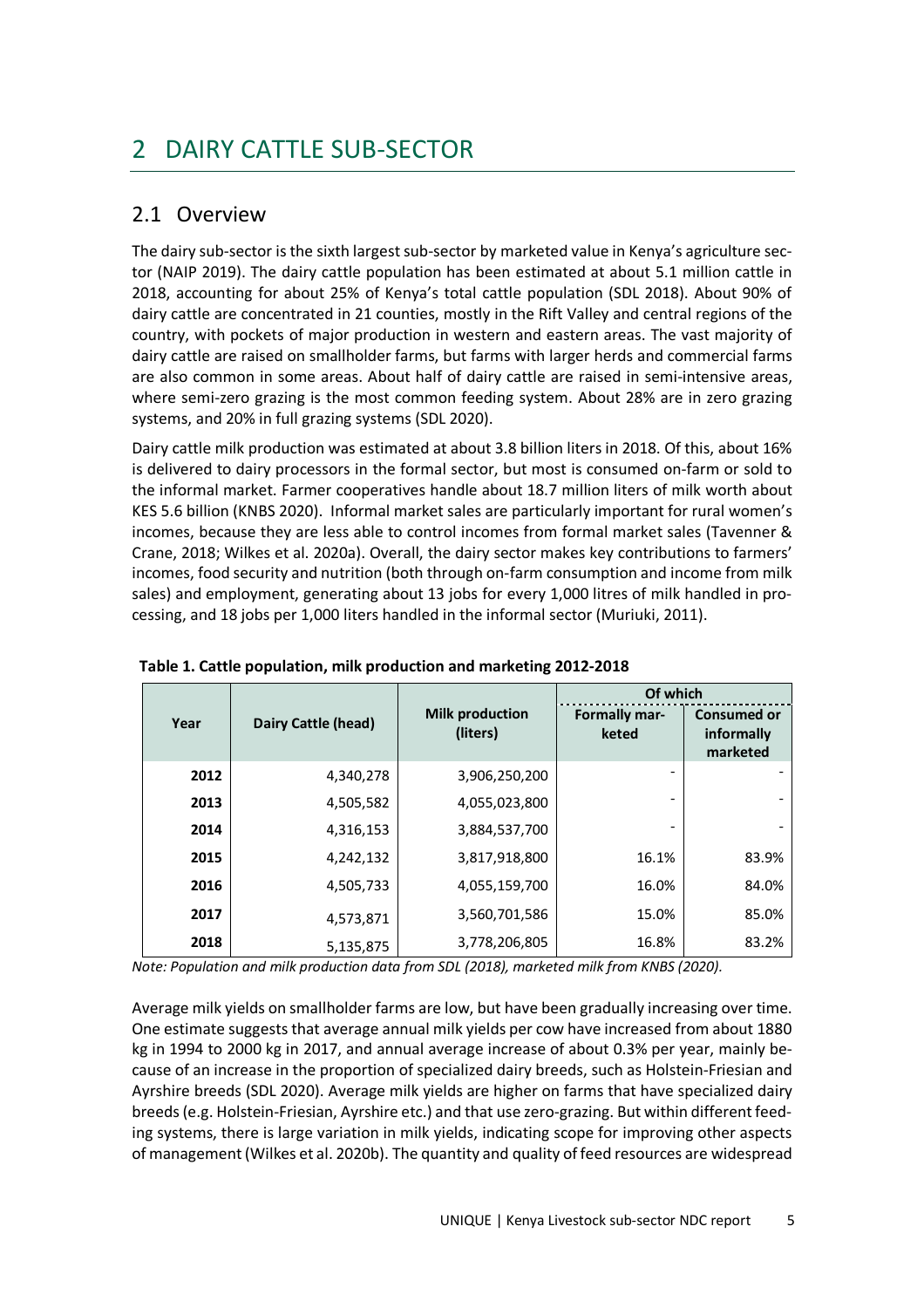# 2 DAIRY CATTLE SUB-SECTOR

## 2.1 Overview

The dairy sub-sector is the sixth largest sub-sector by marketed value in Kenya's agriculture sector (NAIP 2019). The dairy cattle population has been estimated at about 5.1 million cattle in 2018, accounting for about 25% of Kenya's total cattle population (SDL 2018). About 90% of dairy cattle are concentrated in 21 counties, mostly in the Rift Valley and central regions of the country, with pockets of major production in western and eastern areas. The vast majority of dairy cattle are raised on smallholder farms, but farms with larger herds and commercial farms are also common in some areas. About half of dairy cattle are raised in semi-intensive areas, where semi-zero grazing is the most common feeding system. About 28% are in zero grazing systems, and 20% in full grazing systems (SDL 2020).

Dairy cattle milk production was estimated at about 3.8 billion liters in 2018. Of this, about 16% is delivered to dairy processors in the formal sector, but most is consumed on-farm or sold to the informal market. Farmer cooperatives handle about 18.7 million liters of milk worth about KES 5.6 billion (KNBS 2020). Informal market sales are particularly important for rural women's incomes, because they are less able to control incomes from formal market sales (Tavenner & Crane, 2018; Wilkes et al. 2020a). Overall, the dairy sector makes key contributions to farmers' incomes, food security and nutrition (both through on-farm consumption and income from milk sales) and employment, generating about 13 jobs for every 1,000 litres of milk handled in processing, and 18 jobs per 1,000 liters handled in the informal sector (Muriuki, 2011).

|      |                            |                                    | Of which                      |                                              |
|------|----------------------------|------------------------------------|-------------------------------|----------------------------------------------|
| Year | <b>Dairy Cattle (head)</b> | <b>Milk production</b><br>(liters) | <b>Formally mar-</b><br>keted | <b>Consumed or</b><br>informally<br>marketed |
| 2012 | 4,340,278                  | 3,906,250,200                      |                               |                                              |
| 2013 | 4,505,582                  | 4,055,023,800                      |                               |                                              |
| 2014 | 4,316,153                  | 3,884,537,700                      |                               |                                              |
| 2015 | 4,242,132                  | 3,817,918,800                      | 16.1%                         | 83.9%                                        |
| 2016 | 4,505,733                  | 4,055,159,700                      | 16.0%                         | 84.0%                                        |
| 2017 | 4,573,871                  | 3,560,701,586                      | 15.0%                         | 85.0%                                        |
| 2018 | 5,135,875                  | 3,778,206,805                      | 16.8%                         | 83.2%                                        |

 **Table 1. Cattle population, milk production and marketing 2012-2018** 

*Note: Population and milk production data from SDL (2018), marketed milk from KNBS (2020).* 

Average milk yields on smallholder farms are low, but have been gradually increasing over time. One estimate suggests that average annual milk yields per cow have increased from about 1880 kg in 1994 to 2000 kg in 2017, and annual average increase of about 0.3% per year, mainly because of an increase in the proportion of specialized dairy breeds, such as Holstein-Friesian and Ayrshire breeds (SDL 2020). Average milk yields are higher on farms that have specialized dairy breeds (e.g. Holstein-Friesian, Ayrshire etc.) and that use zero-grazing. But within different feeding systems, there is large variation in milk yields, indicating scope for improving other aspects of management (Wilkes et al. 2020b). The quantity and quality of feed resources are widespread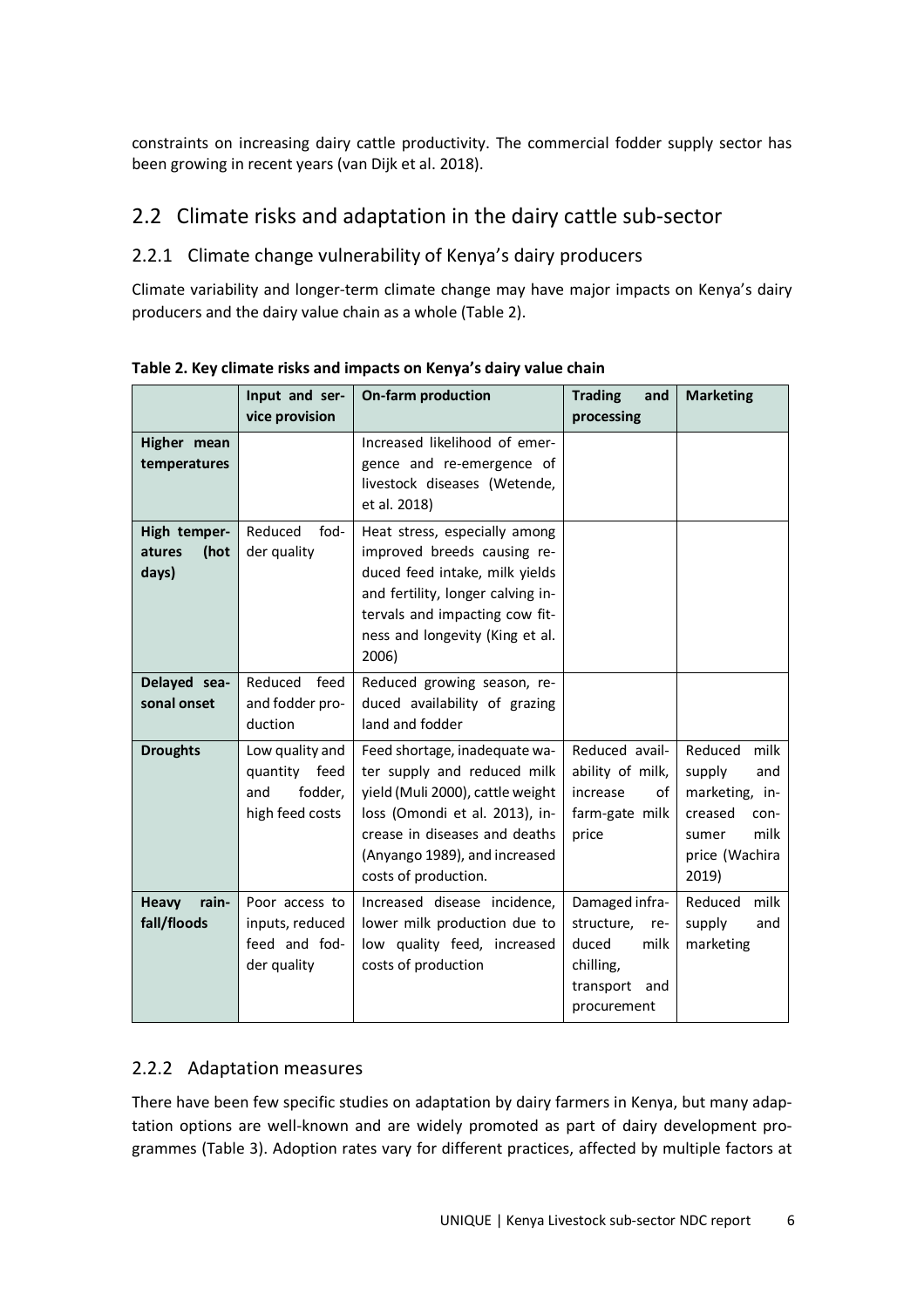constraints on increasing dairy cattle productivity. The commercial fodder supply sector has been growing in recent years (van Dijk et al. 2018).

## 2.2 Climate risks and adaptation in the dairy cattle sub-sector

### 2.2.1 Climate change vulnerability of Kenya's dairy producers

Climate variability and longer-term climate change may have major impacts on Kenya's dairy producers and the dairy value chain as a whole (Table 2).

|                                                                           | Input and ser-<br><b>On-farm production</b><br><b>Trading</b><br>and<br>vice provision<br>processing                                                                                                                                                                                                                          |                                                                                                                                                                                                                   | <b>Marketing</b>                                                                                     |                                                                                                                   |
|---------------------------------------------------------------------------|-------------------------------------------------------------------------------------------------------------------------------------------------------------------------------------------------------------------------------------------------------------------------------------------------------------------------------|-------------------------------------------------------------------------------------------------------------------------------------------------------------------------------------------------------------------|------------------------------------------------------------------------------------------------------|-------------------------------------------------------------------------------------------------------------------|
| Higher mean<br>temperatures                                               |                                                                                                                                                                                                                                                                                                                               | Increased likelihood of emer-<br>gence and re-emergence of<br>livestock diseases (Wetende,<br>et al. 2018)                                                                                                        |                                                                                                      |                                                                                                                   |
| Reduced<br>High temper-<br>fod-<br>der quality<br>atures<br>(hot<br>days) |                                                                                                                                                                                                                                                                                                                               | Heat stress, especially among<br>improved breeds causing re-<br>duced feed intake, milk yields<br>and fertility, longer calving in-<br>tervals and impacting cow fit-<br>ness and longevity (King et al.<br>2006) |                                                                                                      |                                                                                                                   |
| Delayed sea-<br>sonal onset                                               | Reduced<br>feed<br>and fodder pro-<br>duction                                                                                                                                                                                                                                                                                 | Reduced growing season, re-<br>duced availability of grazing<br>land and fodder                                                                                                                                   |                                                                                                      |                                                                                                                   |
| <b>Droughts</b>                                                           | Low quality and<br>Feed shortage, inadequate wa-<br>feed<br>ter supply and reduced milk<br>quantity<br>fodder,<br>yield (Muli 2000), cattle weight<br>and<br>increase<br>high feed costs<br>loss (Omondi et al. 2013), in-<br>crease in diseases and deaths<br>price<br>(Anyango 1989), and increased<br>costs of production. |                                                                                                                                                                                                                   | Reduced avail-<br>ability of milk,<br>οf<br>farm-gate milk                                           | milk<br>Reduced<br>supply<br>and<br>marketing, in-<br>creased<br>con-<br>milk<br>sumer<br>price (Wachira<br>2019) |
| Heavy<br>rain-<br>fall/floods                                             | Poor access to<br>inputs, reduced<br>feed and fod-<br>der quality                                                                                                                                                                                                                                                             | Increased disease incidence,<br>lower milk production due to<br>low quality feed, increased<br>costs of production                                                                                                | Damaged infra-<br>structure,<br>re-<br>duced<br>milk<br>chilling,<br>transport<br>and<br>procurement | milk<br>Reduced<br>supply<br>and<br>marketing                                                                     |

**Table 2. Key climate risks and impacts on Kenya's dairy value chain** 

### 2.2.2 Adaptation measures

There have been few specific studies on adaptation by dairy farmers in Kenya, but many adaptation options are well-known and are widely promoted as part of dairy development programmes (Table 3). Adoption rates vary for different practices, affected by multiple factors at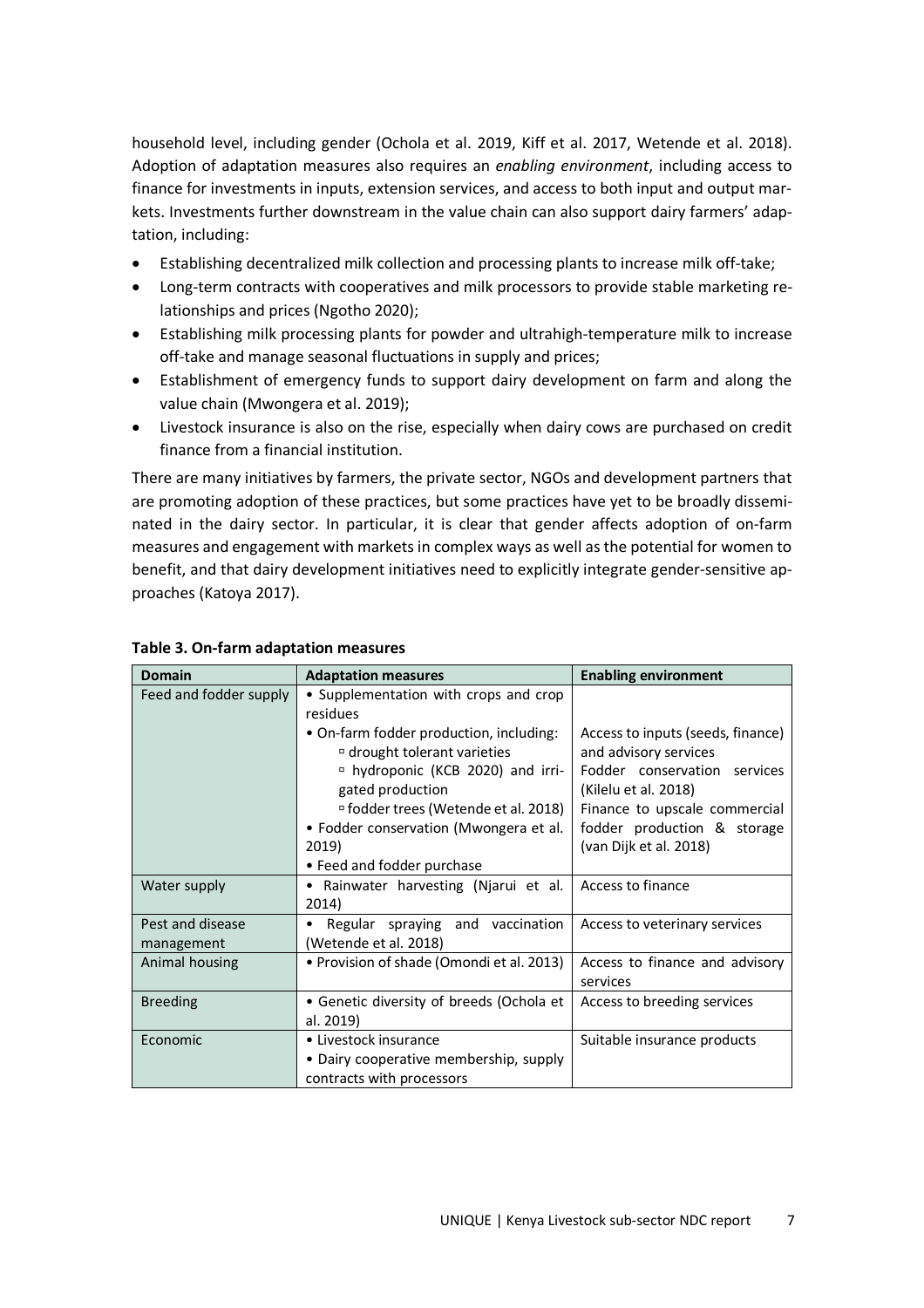household level, including gender (Ochola et al. 2019, Kiff et al. 2017, Wetende et al. 2018). Adoption of adaptation measures also requires an *enabling environment*, including access to finance for investments in inputs, extension services, and access to both input and output markets. Investments further downstream in the value chain can also support dairy farmers' adaptation, including:

- Establishing decentralized milk collection and processing plants to increase milk off-take;
- Long-term contracts with cooperatives and milk processors to provide stable marketing relationships and prices (Ngotho 2020);
- Establishing milk processing plants for powder and ultrahigh-temperature milk to increase off-take and manage seasonal fluctuations in supply and prices;
- Establishment of emergency funds to support dairy development on farm and along the value chain (Mwongera et al. 2019);
- Livestock insurance is also on the rise, especially when dairy cows are purchased on credit finance from a financial institution.

There are many initiatives by farmers, the private sector, NGOs and development partners that are promoting adoption of these practices, but some practices have yet to be broadly disseminated in the dairy sector. In particular, it is clear that gender affects adoption of on-farm measures and engagement with markets in complex ways as well as the potential for women to benefit, and that dairy development initiatives need to explicitly integrate gender-sensitive approaches (Katoya 2017).

| <b>Domain</b>                  | <b>Adaptation measures</b>                                                                                                                                                                                                                                                                 | <b>Enabling environment</b>                                                                                                                                                                                  |  |
|--------------------------------|--------------------------------------------------------------------------------------------------------------------------------------------------------------------------------------------------------------------------------------------------------------------------------------------|--------------------------------------------------------------------------------------------------------------------------------------------------------------------------------------------------------------|--|
| Feed and fodder supply         | • Supplementation with crops and crop<br>residues                                                                                                                                                                                                                                          |                                                                                                                                                                                                              |  |
|                                | • On-farm fodder production, including:<br><sup>¤</sup> drought tolerant varieties<br><sup>n</sup> hydroponic (KCB 2020) and irri-<br>gated production<br><sup>¤</sup> fodder trees (Wetende et al. 2018)<br>• Fodder conservation (Mwongera et al.<br>2019)<br>• Feed and fodder purchase | Access to inputs (seeds, finance)<br>and advisory services<br>Fodder conservation services<br>(Kilelu et al. 2018)<br>Finance to upscale commercial<br>fodder production & storage<br>(van Dijk et al. 2018) |  |
| Water supply                   | • Rainwater harvesting (Njarui et al.<br>2014)                                                                                                                                                                                                                                             | Access to finance                                                                                                                                                                                            |  |
| Pest and disease<br>management | Regular spraying and vaccination<br>(Wetende et al. 2018)                                                                                                                                                                                                                                  | Access to veterinary services                                                                                                                                                                                |  |
| Animal housing                 | • Provision of shade (Omondi et al. 2013)                                                                                                                                                                                                                                                  | Access to finance and advisory<br>services                                                                                                                                                                   |  |
| <b>Breeding</b>                | • Genetic diversity of breeds (Ochola et<br>al. 2019)                                                                                                                                                                                                                                      | Access to breeding services                                                                                                                                                                                  |  |
| Economic                       | • Livestock insurance<br>• Dairy cooperative membership, supply<br>contracts with processors                                                                                                                                                                                               | Suitable insurance products                                                                                                                                                                                  |  |

#### **Table 3. On-farm adaptation measures**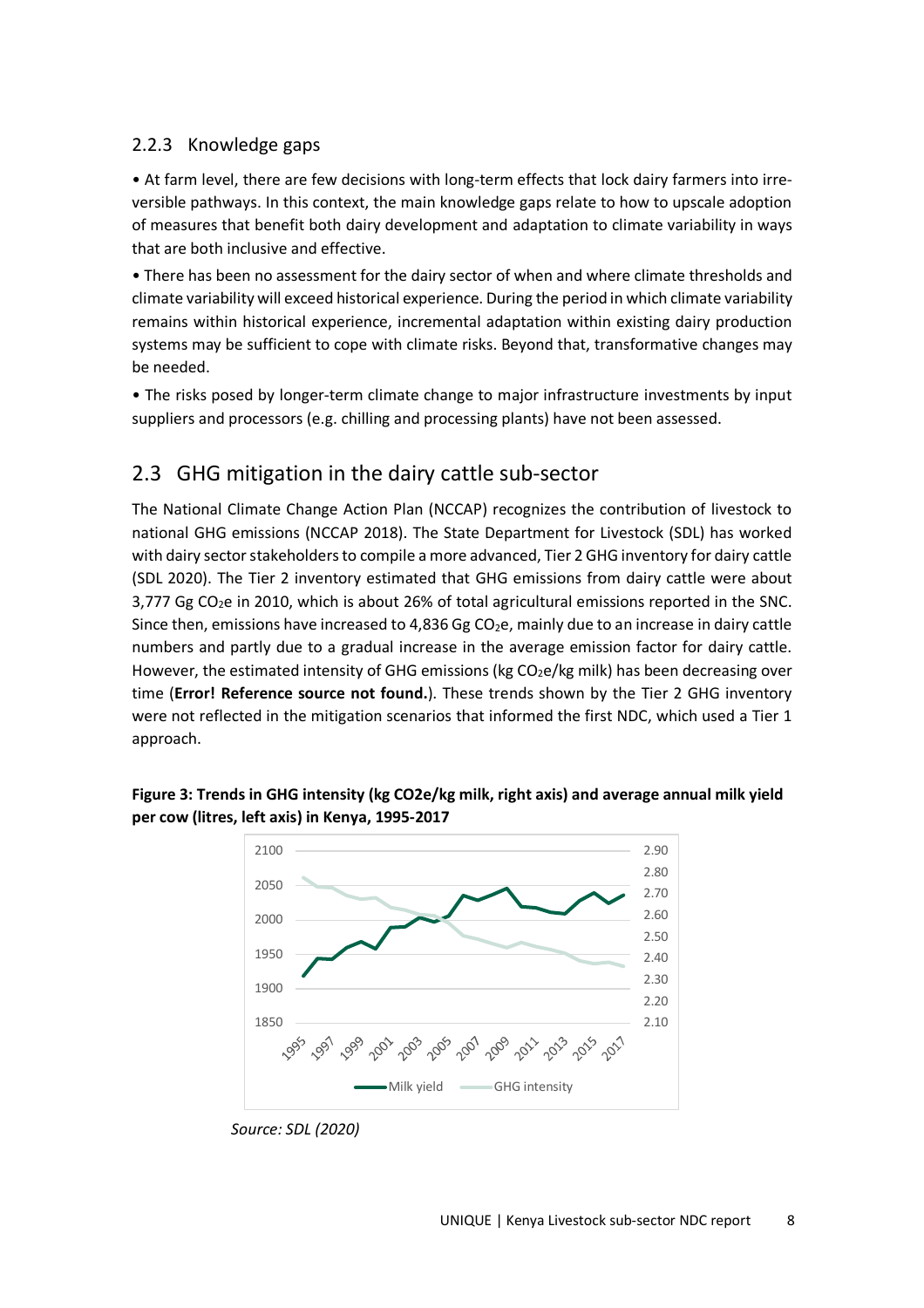#### 2.2.3 Knowledge gaps

• At farm level, there are few decisions with long-term effects that lock dairy farmers into irreversible pathways. In this context, the main knowledge gaps relate to how to upscale adoption of measures that benefit both dairy development and adaptation to climate variability in ways that are both inclusive and effective.

• There has been no assessment for the dairy sector of when and where climate thresholds and climate variability will exceed historical experience. During the period in which climate variability remains within historical experience, incremental adaptation within existing dairy production systems may be sufficient to cope with climate risks. Beyond that, transformative changes may be needed.

• The risks posed by longer-term climate change to major infrastructure investments by input suppliers and processors (e.g. chilling and processing plants) have not been assessed.

### 2.3 GHG mitigation in the dairy cattle sub-sector

The National Climate Change Action Plan (NCCAP) recognizes the contribution of livestock to national GHG emissions (NCCAP 2018). The State Department for Livestock (SDL) has worked with dairy sector stakeholders to compile a more advanced, Tier 2 GHG inventory for dairy cattle (SDL 2020). The Tier 2 inventory estimated that GHG emissions from dairy cattle were about  $3,777$  Gg CO<sub>2</sub>e in 2010, which is about 26% of total agricultural emissions reported in the SNC. Since then, emissions have increased to 4,836 Gg CO<sub>2</sub>e, mainly due to an increase in dairy cattle numbers and partly due to a gradual increase in the average emission factor for dairy cattle. However, the estimated intensity of GHG emissions (kg  $CO<sub>2</sub>e/kg$  milk) has been decreasing over time (**Error! Reference source not found.**). These trends shown by the Tier 2 GHG inventory were not reflected in the mitigation scenarios that informed the first NDC, which used a Tier 1 approach.



**Figure 3: Trends in GHG intensity (kg CO2e/kg milk, right axis) and average annual milk yield per cow (litres, left axis) in Kenya, 1995-2017**

*Source: SDL (2020)*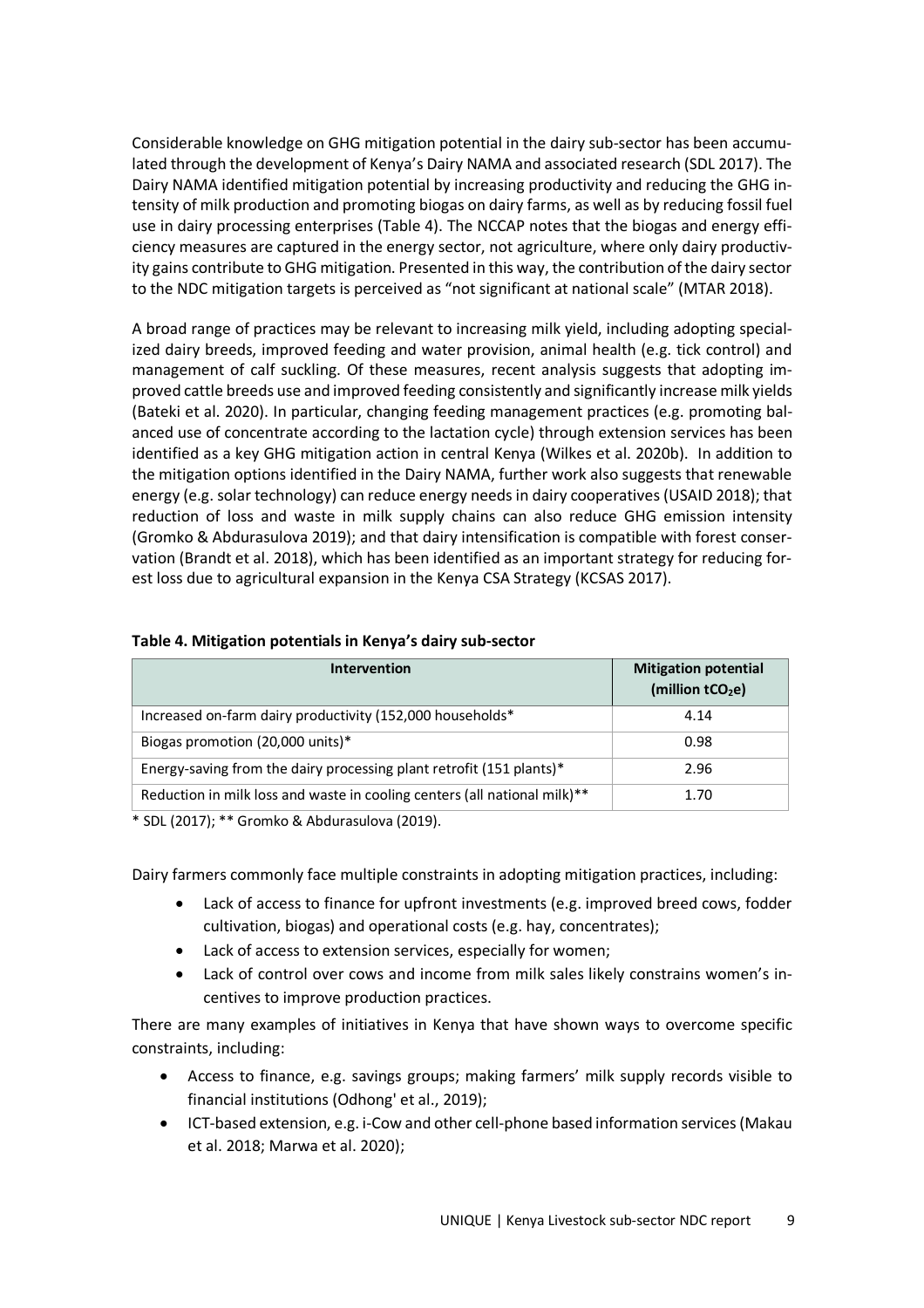Considerable knowledge on GHG mitigation potential in the dairy sub-sector has been accumulated through the development of Kenya's Dairy NAMA and associated research (SDL 2017). The Dairy NAMA identified mitigation potential by increasing productivity and reducing the GHG intensity of milk production and promoting biogas on dairy farms, as well as by reducing fossil fuel use in dairy processing enterprises (Table 4). The NCCAP notes that the biogas and energy efficiency measures are captured in the energy sector, not agriculture, where only dairy productivity gains contribute to GHG mitigation. Presented in this way, the contribution of the dairy sector to the NDC mitigation targets is perceived as "not significant at national scale" (MTAR 2018).

A broad range of practices may be relevant to increasing milk yield, including adopting specialized dairy breeds, improved feeding and water provision, animal health (e.g. tick control) and management of calf suckling. Of these measures, recent analysis suggests that adopting improved cattle breeds use and improved feeding consistently and significantly increase milk yields (Bateki et al. 2020). In particular, changing feeding management practices (e.g. promoting balanced use of concentrate according to the lactation cycle) through extension services has been identified as a key GHG mitigation action in central Kenya (Wilkes et al. 2020b). In addition to the mitigation options identified in the Dairy NAMA, further work also suggests that renewable energy (e.g. solar technology) can reduce energy needs in dairy cooperatives (USAID 2018); that reduction of loss and waste in milk supply chains can also reduce GHG emission intensity (Gromko & Abdurasulova 2019); and that dairy intensification is compatible with forest conservation (Brandt et al. 2018), which has been identified as an important strategy for reducing forest loss due to agricultural expansion in the Kenya CSA Strategy (KCSAS 2017).

| <b>Intervention</b>                                                                   | <b>Mitigation potential</b><br>(million tCO <sub>2</sub> e) |
|---------------------------------------------------------------------------------------|-------------------------------------------------------------|
| Increased on-farm dairy productivity (152,000 households*                             | 4.14                                                        |
| Biogas promotion (20,000 units)*                                                      | 0.98                                                        |
| Energy-saving from the dairy processing plant retrofit (151 plants)*                  | 2.96                                                        |
| Reduction in milk loss and waste in cooling centers (all national milk) <sup>**</sup> | 1.70                                                        |

#### **Table 4. Mitigation potentials in Kenya's dairy sub-sector**

\* SDL (2017); \*\* Gromko & Abdurasulova (2019).

Dairy farmers commonly face multiple constraints in adopting mitigation practices, including:

- Lack of access to finance for upfront investments (e.g. improved breed cows, fodder cultivation, biogas) and operational costs (e.g. hay, concentrates);
- Lack of access to extension services, especially for women;
- Lack of control over cows and income from milk sales likely constrains women's incentives to improve production practices.

There are many examples of initiatives in Kenya that have shown ways to overcome specific constraints, including:

- Access to finance, e.g. savings groups; making farmers' milk supply records visible to financial institutions (Odhong' et al., 2019);
- ICT-based extension, e.g. i-Cow and other cell-phone based information services (Makau et al. 2018; Marwa et al. 2020);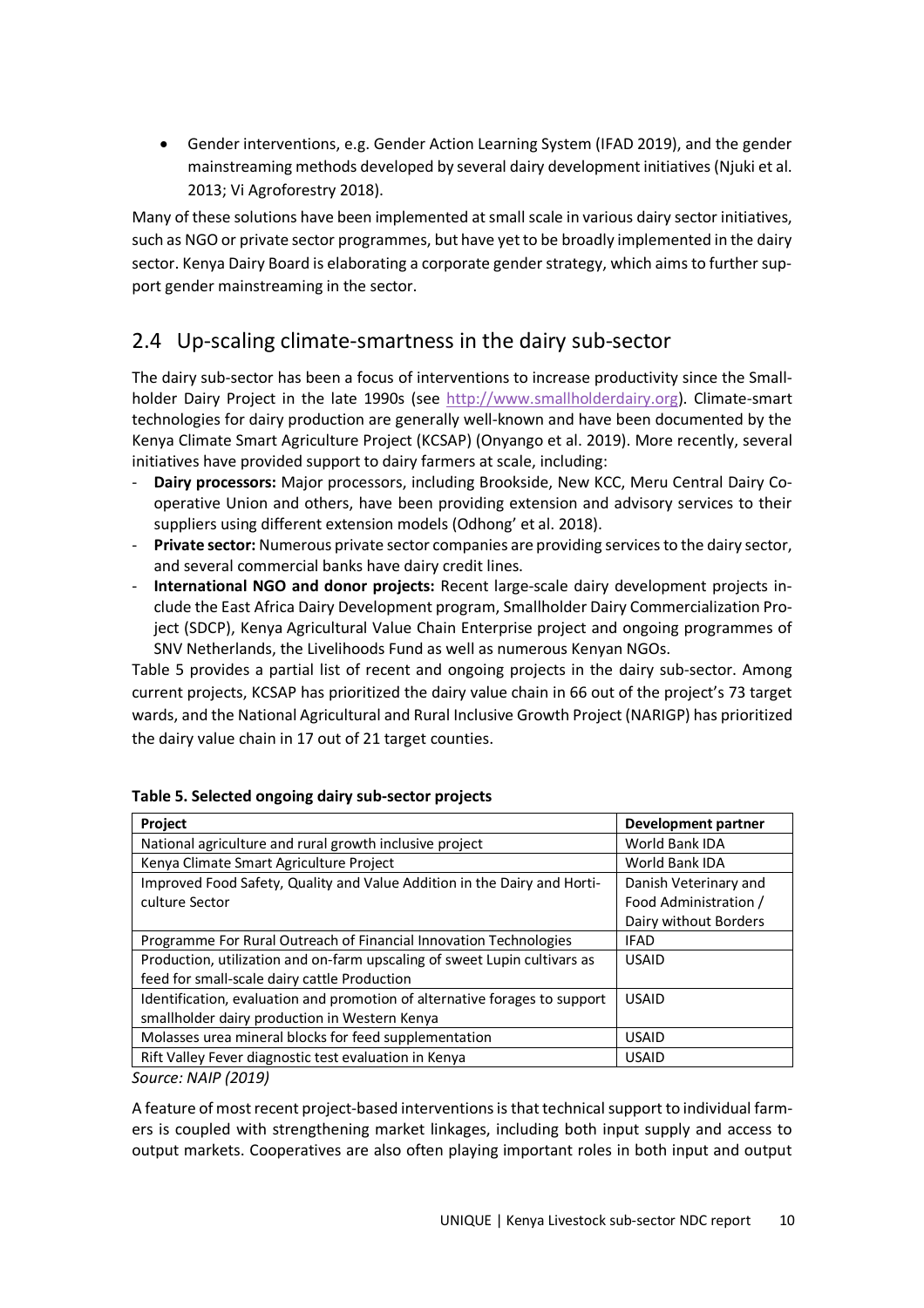Gender interventions, e.g. Gender Action Learning System (IFAD 2019), and the gender mainstreaming methods developed by several dairy development initiatives (Njuki et al. 2013; Vi Agroforestry 2018).

Many of these solutions have been implemented at small scale in various dairy sector initiatives, such as NGO or private sector programmes, but have yet to be broadly implemented in the dairy sector. Kenya Dairy Board is elaborating a corporate gender strategy, which aims to further support gender mainstreaming in the sector.

## 2.4 Up-scaling climate-smartness in the dairy sub-sector

The dairy sub-sector has been a focus of interventions to increase productivity since the Smallholder Dairy Project in the late 1990s (see http://www.smallholderdairy.org). Climate-smart technologies for dairy production are generally well-known and have been documented by the Kenya Climate Smart Agriculture Project (KCSAP) (Onyango et al. 2019). More recently, several initiatives have provided support to dairy farmers at scale, including:

- **Dairy processors:** Major processors, including Brookside, New KCC, Meru Central Dairy Cooperative Union and others, have been providing extension and advisory services to their suppliers using different extension models (Odhong' et al. 2018).
- **Private sector:** Numerous private sector companies are providing services to the dairy sector, and several commercial banks have dairy credit lines.
- **International NGO and donor projects:** Recent large-scale dairy development projects include the East Africa Dairy Development program, Smallholder Dairy Commercialization Project (SDCP), Kenya Agricultural Value Chain Enterprise project and ongoing programmes of SNV Netherlands, the Livelihoods Fund as well as numerous Kenyan NGOs.

Table 5 provides a partial list of recent and ongoing projects in the dairy sub-sector. Among current projects, KCSAP has prioritized the dairy value chain in 66 out of the project's 73 target wards, and the National Agricultural and Rural Inclusive Growth Project (NARIGP) has prioritized the dairy value chain in 17 out of 21 target counties.

| Project                                                                    | <b>Development partner</b> |
|----------------------------------------------------------------------------|----------------------------|
| National agriculture and rural growth inclusive project                    | World Bank IDA             |
| Kenya Climate Smart Agriculture Project                                    | World Bank IDA             |
| Improved Food Safety, Quality and Value Addition in the Dairy and Horti-   | Danish Veterinary and      |
| culture Sector                                                             | Food Administration /      |
|                                                                            | Dairy without Borders      |
| Programme For Rural Outreach of Financial Innovation Technologies          | <b>IFAD</b>                |
| Production, utilization and on-farm upscaling of sweet Lupin cultivars as  | <b>USAID</b>               |
| feed for small-scale dairy cattle Production                               |                            |
| Identification, evaluation and promotion of alternative forages to support | <b>USAID</b>               |
| smallholder dairy production in Western Kenya                              |                            |
| Molasses urea mineral blocks for feed supplementation                      | <b>USAID</b>               |
| Rift Valley Fever diagnostic test evaluation in Kenya                      | <b>USAID</b>               |

#### **Table 5. Selected ongoing dairy sub-sector projects**

*Source: NAIP (2019)* 

A feature of most recent project-based interventions is that technical support to individual farmers is coupled with strengthening market linkages, including both input supply and access to output markets. Cooperatives are also often playing important roles in both input and output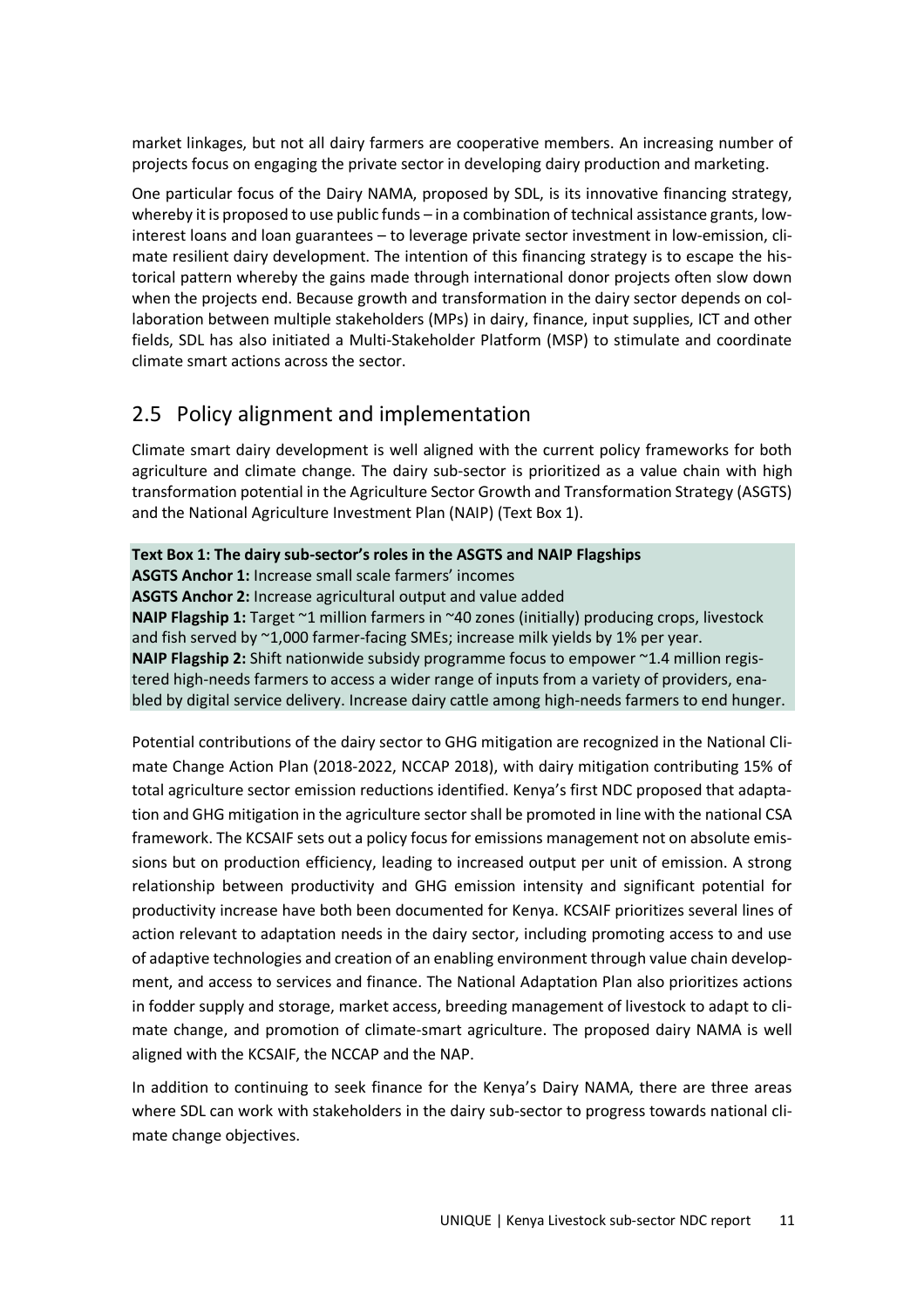market linkages, but not all dairy farmers are cooperative members. An increasing number of projects focus on engaging the private sector in developing dairy production and marketing.

One particular focus of the Dairy NAMA, proposed by SDL, is its innovative financing strategy, whereby it is proposed to use public funds – in a combination of technical assistance grants, lowinterest loans and loan guarantees – to leverage private sector investment in low-emission, climate resilient dairy development. The intention of this financing strategy is to escape the historical pattern whereby the gains made through international donor projects often slow down when the projects end. Because growth and transformation in the dairy sector depends on collaboration between multiple stakeholders (MPs) in dairy, finance, input supplies, ICT and other fields, SDL has also initiated a Multi-Stakeholder Platform (MSP) to stimulate and coordinate climate smart actions across the sector.

## 2.5 Policy alignment and implementation

Climate smart dairy development is well aligned with the current policy frameworks for both agriculture and climate change. The dairy sub-sector is prioritized as a value chain with high transformation potential in the Agriculture Sector Growth and Transformation Strategy (ASGTS) and the National Agriculture Investment Plan (NAIP) (Text Box 1).

**Text Box 1: The dairy sub-sector's roles in the ASGTS and NAIP Flagships ASGTS Anchor 1:** Increase small scale farmers' incomes **ASGTS Anchor 2:** Increase agricultural output and value added **NAIP Flagship 1:** Target ~1 million farmers in ~40 zones (initially) producing crops, livestock and fish served by ~1,000 farmer-facing SMEs; increase milk yields by 1% per year. **NAIP Flagship 2:** Shift nationwide subsidy programme focus to empower ~1.4 million registered high-needs farmers to access a wider range of inputs from a variety of providers, enabled by digital service delivery. Increase dairy cattle among high-needs farmers to end hunger.

Potential contributions of the dairy sector to GHG mitigation are recognized in the National Climate Change Action Plan (2018-2022, NCCAP 2018), with dairy mitigation contributing 15% of total agriculture sector emission reductions identified. Kenya's first NDC proposed that adaptation and GHG mitigation in the agriculture sector shall be promoted in line with the national CSA framework. The KCSAIF sets out a policy focus for emissions management not on absolute emissions but on production efficiency, leading to increased output per unit of emission. A strong relationship between productivity and GHG emission intensity and significant potential for productivity increase have both been documented for Kenya. KCSAIF prioritizes several lines of action relevant to adaptation needs in the dairy sector, including promoting access to and use of adaptive technologies and creation of an enabling environment through value chain development, and access to services and finance. The National Adaptation Plan also prioritizes actions in fodder supply and storage, market access, breeding management of livestock to adapt to climate change, and promotion of climate-smart agriculture. The proposed dairy NAMA is well aligned with the KCSAIF, the NCCAP and the NAP.

In addition to continuing to seek finance for the Kenya's Dairy NAMA, there are three areas where SDL can work with stakeholders in the dairy sub-sector to progress towards national climate change objectives.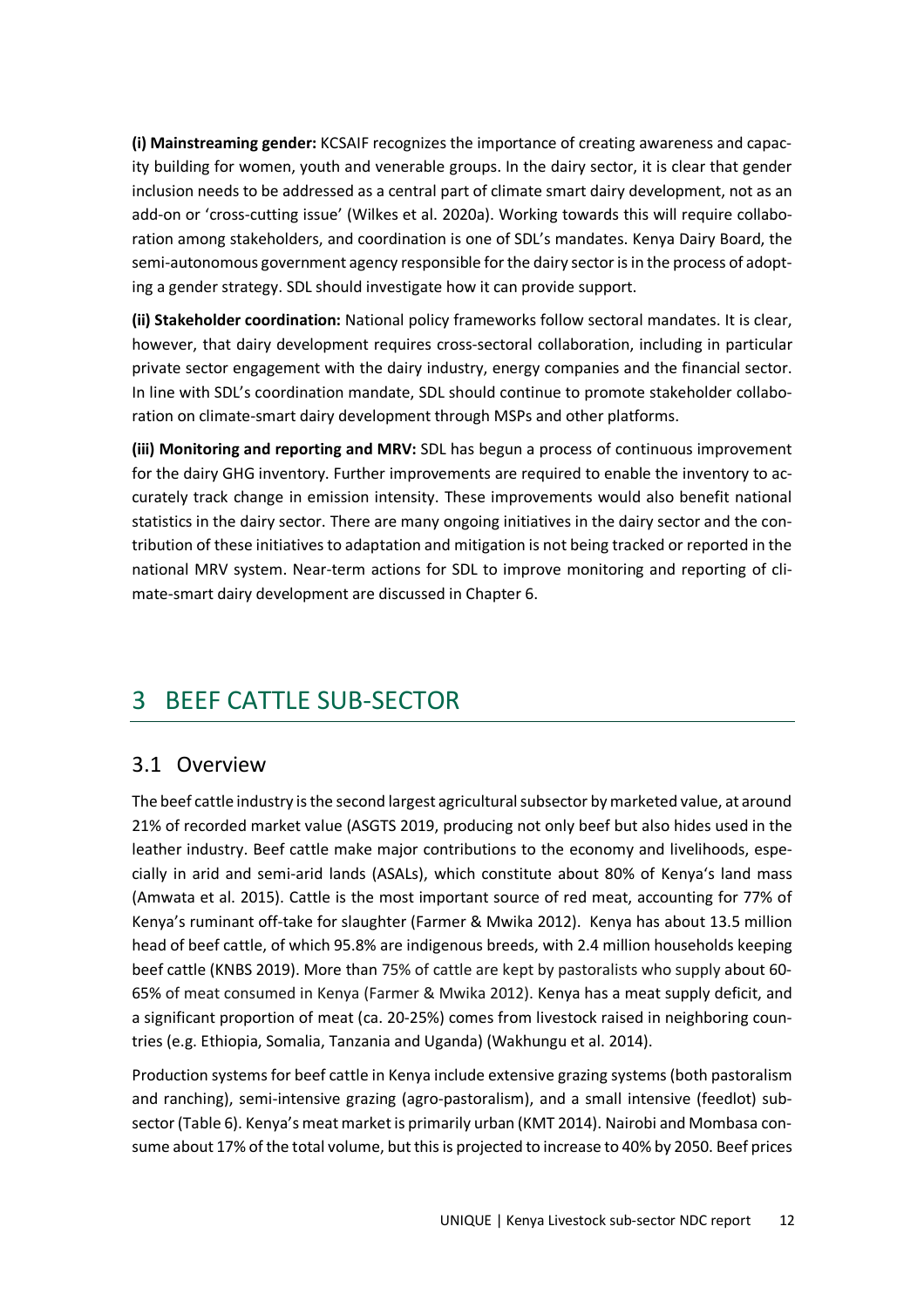**(i) Mainstreaming gender:** KCSAIF recognizes the importance of creating awareness and capacity building for women, youth and venerable groups. In the dairy sector, it is clear that gender inclusion needs to be addressed as a central part of climate smart dairy development, not as an add-on or 'cross-cutting issue' (Wilkes et al. 2020a). Working towards this will require collaboration among stakeholders, and coordination is one of SDL's mandates. Kenya Dairy Board, the semi-autonomous government agency responsible for the dairy sector is in the process of adopting a gender strategy. SDL should investigate how it can provide support.

**(ii) Stakeholder coordination:** National policy frameworks follow sectoral mandates. It is clear, however, that dairy development requires cross-sectoral collaboration, including in particular private sector engagement with the dairy industry, energy companies and the financial sector. In line with SDL's coordination mandate, SDL should continue to promote stakeholder collaboration on climate-smart dairy development through MSPs and other platforms.

**(iii) Monitoring and reporting and MRV:** SDL has begun a process of continuous improvement for the dairy GHG inventory. Further improvements are required to enable the inventory to accurately track change in emission intensity. These improvements would also benefit national statistics in the dairy sector. There are many ongoing initiatives in the dairy sector and the contribution of these initiatives to adaptation and mitigation is not being tracked or reported in the national MRV system. Near-term actions for SDL to improve monitoring and reporting of climate-smart dairy development are discussed in Chapter 6.

# 3 BEEF CATTLE SUB-SECTOR

### 3.1 Overview

The beef cattle industry is the second largest agricultural subsector by marketed value, at around 21% of recorded market value (ASGTS 2019, producing not only beef but also hides used in the leather industry. Beef cattle make major contributions to the economy and livelihoods, especially in arid and semi-arid lands (ASALs), which constitute about 80% of Kenya's land mass (Amwata et al. 2015). Cattle is the most important source of red meat, accounting for 77% of Kenya's ruminant off-take for slaughter (Farmer & Mwika 2012). Kenya has about 13.5 million head of beef cattle, of which 95.8% are indigenous breeds, with 2.4 million households keeping beef cattle (KNBS 2019). More than 75% of cattle are kept by pastoralists who supply about 60- 65% of meat consumed in Kenya (Farmer & Mwika 2012). Kenya has a meat supply deficit, and a significant proportion of meat (ca. 20-25%) comes from livestock raised in neighboring countries (e.g. Ethiopia, Somalia, Tanzania and Uganda) (Wakhungu et al. 2014).

Production systems for beef cattle in Kenya include extensive grazing systems (both pastoralism and ranching), semi-intensive grazing (agro-pastoralism), and a small intensive (feedlot) subsector (Table 6). Kenya's meat market is primarily urban (KMT 2014). Nairobi and Mombasa consume about 17% of the total volume, but this is projected to increase to 40% by 2050. Beef prices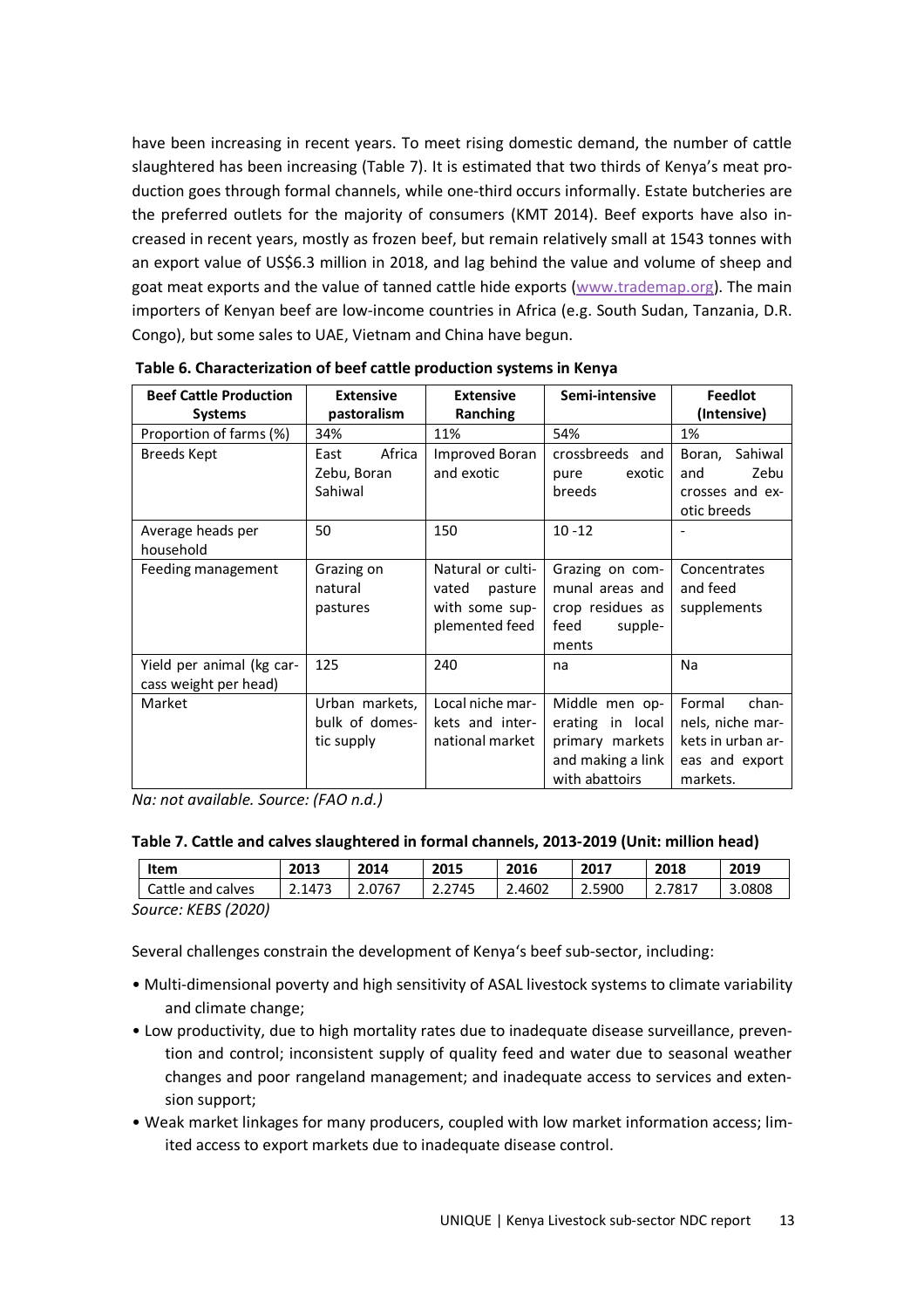have been increasing in recent years. To meet rising domestic demand, the number of cattle slaughtered has been increasing (Table 7). It is estimated that two thirds of Kenya's meat production goes through formal channels, while one-third occurs informally. Estate butcheries are the preferred outlets for the majority of consumers (KMT 2014). Beef exports have also increased in recent years, mostly as frozen beef, but remain relatively small at 1543 tonnes with an export value of US\$6.3 million in 2018, and lag behind the value and volume of sheep and goat meat exports and the value of tanned cattle hide exports (www.trademap.org). The main importers of Kenyan beef are low-income countries in Africa (e.g. South Sudan, Tanzania, D.R. Congo), but some sales to UAE, Vietnam and China have begun.

| <b>Beef Cattle Production</b><br><b>Systems</b>    | <b>Extensive</b><br>pastoralism                | <b>Extensive</b><br>Ranching                                              | Semi-intensive                                                                               | <b>Feedlot</b><br>(Intensive)                                                          |
|----------------------------------------------------|------------------------------------------------|---------------------------------------------------------------------------|----------------------------------------------------------------------------------------------|----------------------------------------------------------------------------------------|
| Proportion of farms (%)                            | 34%                                            | 11%                                                                       | 54%                                                                                          | 1%                                                                                     |
| <b>Breeds Kept</b>                                 | Africa<br>East<br>Zebu, Boran<br>Sahiwal       | Improved Boran<br>and exotic                                              | crossbreeds and<br>exotic<br>pure<br>breeds                                                  | Sahiwal<br>Boran,<br>Zebu<br>and<br>crosses and ex-<br>otic breeds                     |
| Average heads per<br>household                     | 50                                             | 150                                                                       | $10 - 12$                                                                                    |                                                                                        |
| Feeding management                                 | Grazing on<br>natural<br>pastures              | Natural or culti-<br>vated<br>pasture<br>with some sup-<br>plemented feed | Grazing on com-<br>munal areas and<br>crop residues as<br>feed<br>supple-<br>ments           | Concentrates<br>and feed<br>supplements                                                |
| Yield per animal (kg car-<br>cass weight per head) | 125                                            | 240                                                                       | na                                                                                           | Na                                                                                     |
| Market                                             | Urban markets,<br>bulk of domes-<br>tic supply | Local niche mar-<br>kets and inter-<br>national market                    | Middle men op-<br>erating in local<br>primary markets<br>and making a link<br>with abattoirs | Formal<br>chan-<br>nels, niche mar-<br>kets in urban ar-<br>eas and export<br>markets. |

 **Table 6. Characterization of beef cattle production systems in Kenya** 

*Na: not available. Source: (FAO n.d.)* 

| Table 7. Cattle and calves slaughtered in formal channels, 2013-2019 (Unit: million head) |  |
|-------------------------------------------------------------------------------------------|--|
|-------------------------------------------------------------------------------------------|--|

| Item              | 2013   | 2014   | 2015   | 2016   | 2017   | 2018 | 2019   |
|-------------------|--------|--------|--------|--------|--------|------|--------|
| Cattle and calves | 2.1473 | 2.0767 | 2.2745 | 2.4602 | 2.5900 | 7817 | 3.0808 |

*Source: KEBS (2020)* 

Several challenges constrain the development of Kenya's beef sub-sector, including:

- Multi-dimensional poverty and high sensitivity of ASAL livestock systems to climate variability and climate change;
- Low productivity, due to high mortality rates due to inadequate disease surveillance, prevention and control; inconsistent supply of quality feed and water due to seasonal weather changes and poor rangeland management; and inadequate access to services and extension support;
- Weak market linkages for many producers, coupled with low market information access; limited access to export markets due to inadequate disease control.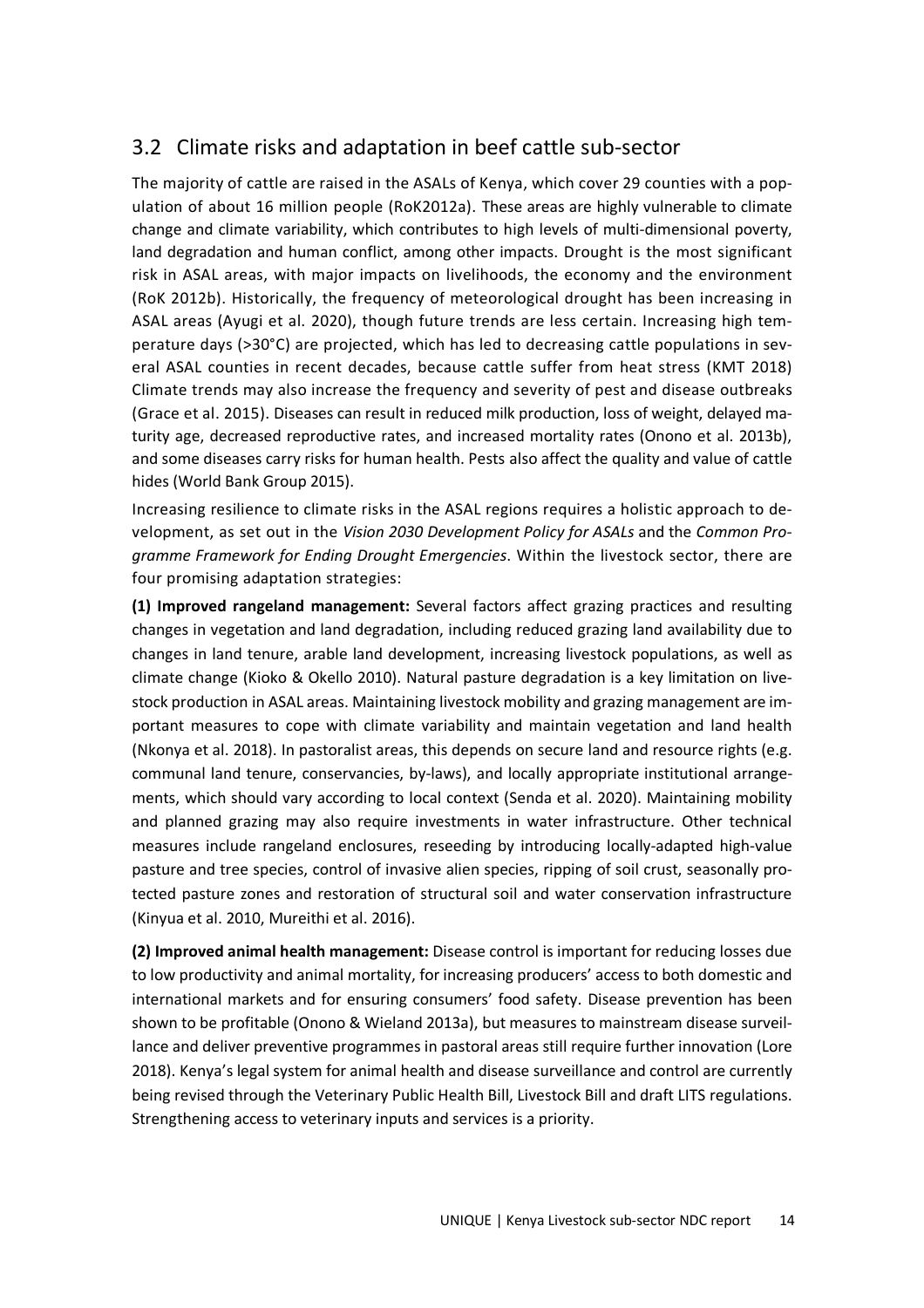## 3.2 Climate risks and adaptation in beef cattle sub-sector

The majority of cattle are raised in the ASALs of Kenya, which cover 29 counties with a population of about 16 million people (RoK2012a). These areas are highly vulnerable to climate change and climate variability, which contributes to high levels of multi-dimensional poverty, land degradation and human conflict, among other impacts. Drought is the most significant risk in ASAL areas, with major impacts on livelihoods, the economy and the environment (RoK 2012b). Historically, the frequency of meteorological drought has been increasing in ASAL areas (Ayugi et al. 2020), though future trends are less certain. Increasing high temperature days (>30°C) are projected, which has led to decreasing cattle populations in several ASAL counties in recent decades, because cattle suffer from heat stress (KMT 2018) Climate trends may also increase the frequency and severity of pest and disease outbreaks (Grace et al. 2015). Diseases can result in reduced milk production, loss of weight, delayed maturity age, decreased reproductive rates, and increased mortality rates (Onono et al. 2013b), and some diseases carry risks for human health. Pests also affect the quality and value of cattle hides (World Bank Group 2015).

Increasing resilience to climate risks in the ASAL regions requires a holistic approach to development, as set out in the *Vision 2030 Development Policy for ASALs* and the *Common Programme Framework for Ending Drought Emergencies*. Within the livestock sector, there are four promising adaptation strategies:

**(1) Improved rangeland management:** Several factors affect grazing practices and resulting changes in vegetation and land degradation, including reduced grazing land availability due to changes in land tenure, arable land development, increasing livestock populations, as well as climate change (Kioko & Okello 2010). Natural pasture degradation is a key limitation on livestock production in ASAL areas. Maintaining livestock mobility and grazing management are important measures to cope with climate variability and maintain vegetation and land health (Nkonya et al. 2018). In pastoralist areas, this depends on secure land and resource rights (e.g. communal land tenure, conservancies, by-laws), and locally appropriate institutional arrangements, which should vary according to local context (Senda et al. 2020). Maintaining mobility and planned grazing may also require investments in water infrastructure. Other technical measures include rangeland enclosures, reseeding by introducing locally-adapted high-value pasture and tree species, control of invasive alien species, ripping of soil crust, seasonally protected pasture zones and restoration of structural soil and water conservation infrastructure (Kinyua et al. 2010, Mureithi et al. 2016).

**(2) Improved animal health management:** Disease control is important for reducing losses due to low productivity and animal mortality, for increasing producers' access to both domestic and international markets and for ensuring consumers' food safety. Disease prevention has been shown to be profitable (Onono & Wieland 2013a), but measures to mainstream disease surveillance and deliver preventive programmes in pastoral areas still require further innovation (Lore 2018). Kenya's legal system for animal health and disease surveillance and control are currently being revised through the Veterinary Public Health Bill, Livestock Bill and draft LITS regulations. Strengthening access to veterinary inputs and services is a priority.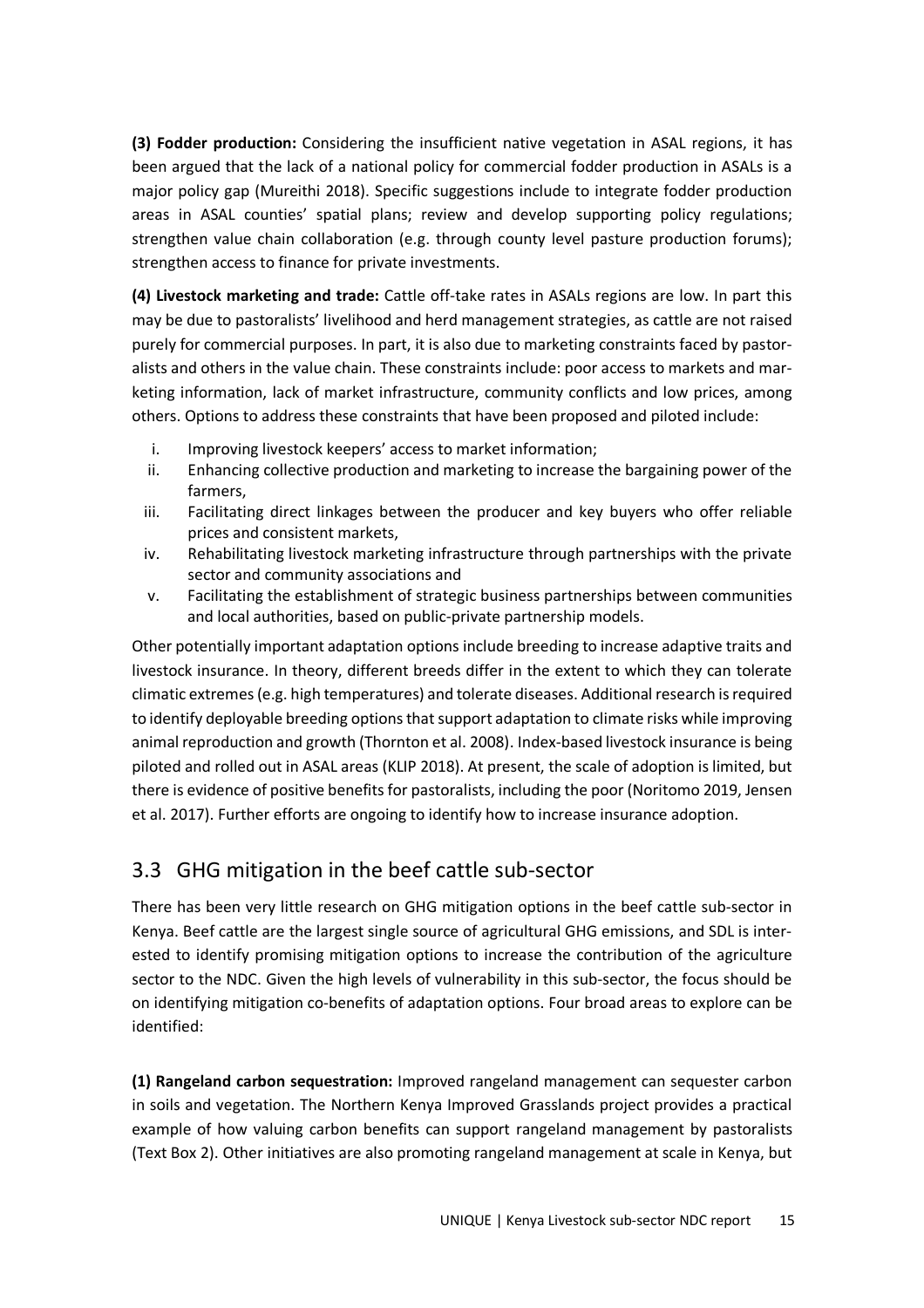**(3) Fodder production:** Considering the insufficient native vegetation in ASAL regions, it has been argued that the lack of a national policy for commercial fodder production in ASALs is a major policy gap (Mureithi 2018). Specific suggestions include to integrate fodder production areas in ASAL counties' spatial plans; review and develop supporting policy regulations; strengthen value chain collaboration (e.g. through county level pasture production forums); strengthen access to finance for private investments.

**(4) Livestock marketing and trade:** Cattle off-take rates in ASALs regions are low. In part this may be due to pastoralists' livelihood and herd management strategies, as cattle are not raised purely for commercial purposes. In part, it is also due to marketing constraints faced by pastoralists and others in the value chain. These constraints include: poor access to markets and marketing information, lack of market infrastructure, community conflicts and low prices, among others. Options to address these constraints that have been proposed and piloted include:

- i. Improving livestock keepers' access to market information;
- ii. Enhancing collective production and marketing to increase the bargaining power of the farmers,
- iii. Facilitating direct linkages between the producer and key buyers who offer reliable prices and consistent markets,
- iv. Rehabilitating livestock marketing infrastructure through partnerships with the private sector and community associations and
- v. Facilitating the establishment of strategic business partnerships between communities and local authorities, based on public-private partnership models.

Other potentially important adaptation options include breeding to increase adaptive traits and livestock insurance. In theory, different breeds differ in the extent to which they can tolerate climatic extremes (e.g. high temperatures) and tolerate diseases. Additional research is required to identify deployable breeding options that support adaptation to climate risks while improving animal reproduction and growth (Thornton et al. 2008). Index-based livestock insurance is being piloted and rolled out in ASAL areas (KLIP 2018). At present, the scale of adoption is limited, but there is evidence of positive benefits for pastoralists, including the poor (Noritomo 2019, Jensen et al. 2017). Further efforts are ongoing to identify how to increase insurance adoption.

## 3.3 GHG mitigation in the beef cattle sub-sector

There has been very little research on GHG mitigation options in the beef cattle sub-sector in Kenya. Beef cattle are the largest single source of agricultural GHG emissions, and SDL is interested to identify promising mitigation options to increase the contribution of the agriculture sector to the NDC. Given the high levels of vulnerability in this sub-sector, the focus should be on identifying mitigation co-benefits of adaptation options. Four broad areas to explore can be identified:

**(1) Rangeland carbon sequestration:** Improved rangeland management can sequester carbon in soils and vegetation. The Northern Kenya Improved Grasslands project provides a practical example of how valuing carbon benefits can support rangeland management by pastoralists (Text Box 2). Other initiatives are also promoting rangeland management at scale in Kenya, but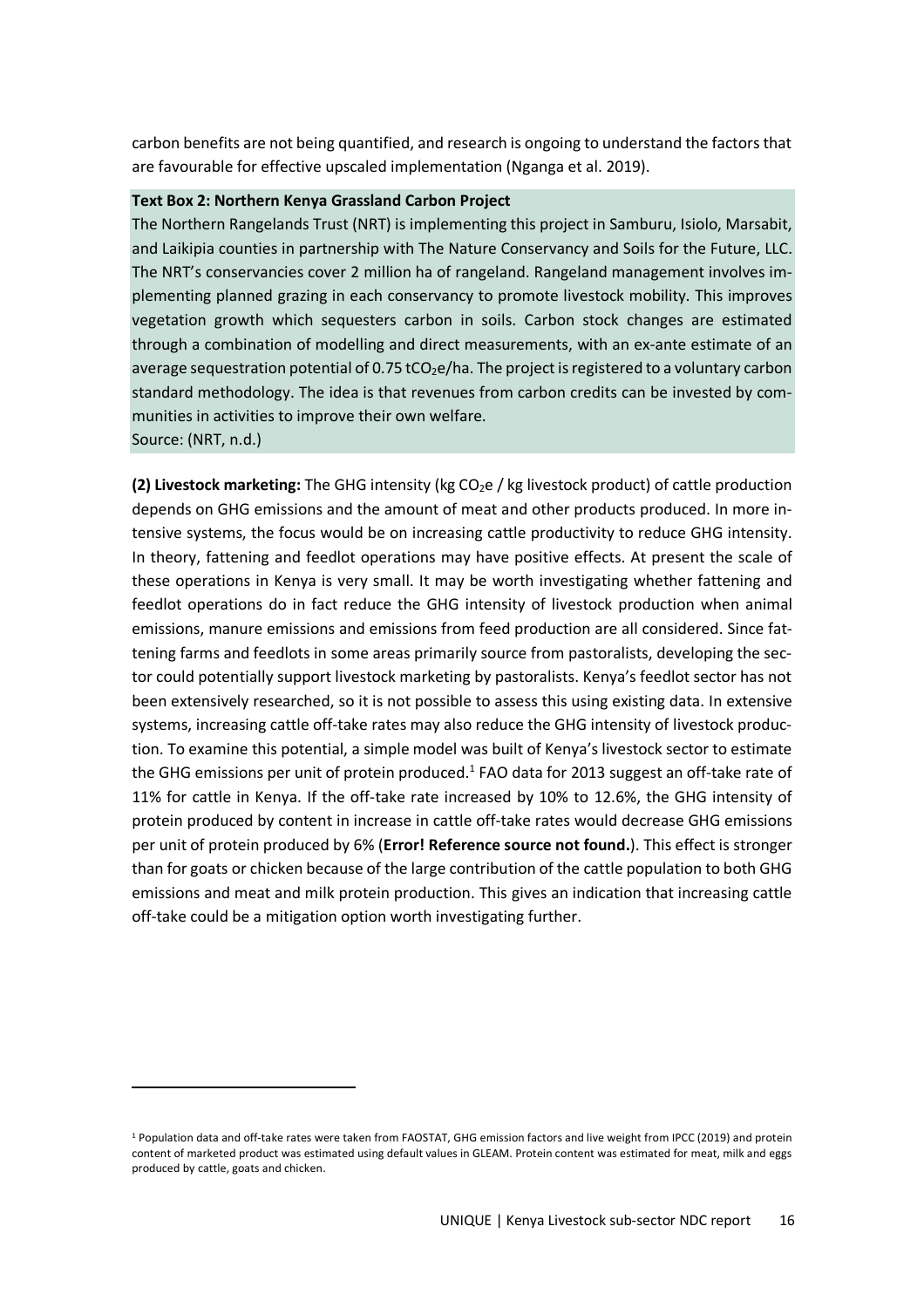carbon benefits are not being quantified, and research is ongoing to understand the factors that are favourable for effective upscaled implementation (Nganga et al. 2019).

#### **Text Box 2: Northern Kenya Grassland Carbon Project**

The Northern Rangelands Trust (NRT) is implementing this project in Samburu, Isiolo, Marsabit, and Laikipia counties in partnership with The Nature Conservancy and Soils for the Future, LLC. The NRT's conservancies cover 2 million ha of rangeland. Rangeland management involves implementing planned grazing in each conservancy to promote livestock mobility. This improves vegetation growth which sequesters carbon in soils. Carbon stock changes are estimated through a combination of modelling and direct measurements, with an ex-ante estimate of an average sequestration potential of 0.75 tCO<sub>2</sub>e/ha. The project is registered to a voluntary carbon standard methodology. The idea is that revenues from carbon credits can be invested by communities in activities to improve their own welfare.

Source: (NRT, n.d.)

**(2) Livestock marketing:** The GHG intensity (kg CO<sub>2</sub>e / kg livestock product) of cattle production depends on GHG emissions and the amount of meat and other products produced. In more intensive systems, the focus would be on increasing cattle productivity to reduce GHG intensity. In theory, fattening and feedlot operations may have positive effects. At present the scale of these operations in Kenya is very small. It may be worth investigating whether fattening and feedlot operations do in fact reduce the GHG intensity of livestock production when animal emissions, manure emissions and emissions from feed production are all considered. Since fattening farms and feedlots in some areas primarily source from pastoralists, developing the sector could potentially support livestock marketing by pastoralists. Kenya's feedlot sector has not been extensively researched, so it is not possible to assess this using existing data. In extensive systems, increasing cattle off-take rates may also reduce the GHG intensity of livestock production. To examine this potential, a simple model was built of Kenya's livestock sector to estimate the GHG emissions per unit of protein produced.<sup>1</sup> FAO data for 2013 suggest an off-take rate of 11% for cattle in Kenya. If the off-take rate increased by 10% to 12.6%, the GHG intensity of protein produced by content in increase in cattle off-take rates would decrease GHG emissions per unit of protein produced by 6% (**Error! Reference source not found.**). This effect is stronger than for goats or chicken because of the large contribution of the cattle population to both GHG emissions and meat and milk protein production. This gives an indication that increasing cattle off-take could be a mitigation option worth investigating further.

<sup>&</sup>lt;sup>1</sup> Population data and off-take rates were taken from FAOSTAT, GHG emission factors and live weight from IPCC (2019) and protein content of marketed product was estimated using default values in GLEAM. Protein content was estimated for meat, milk and eggs produced by cattle, goats and chicken.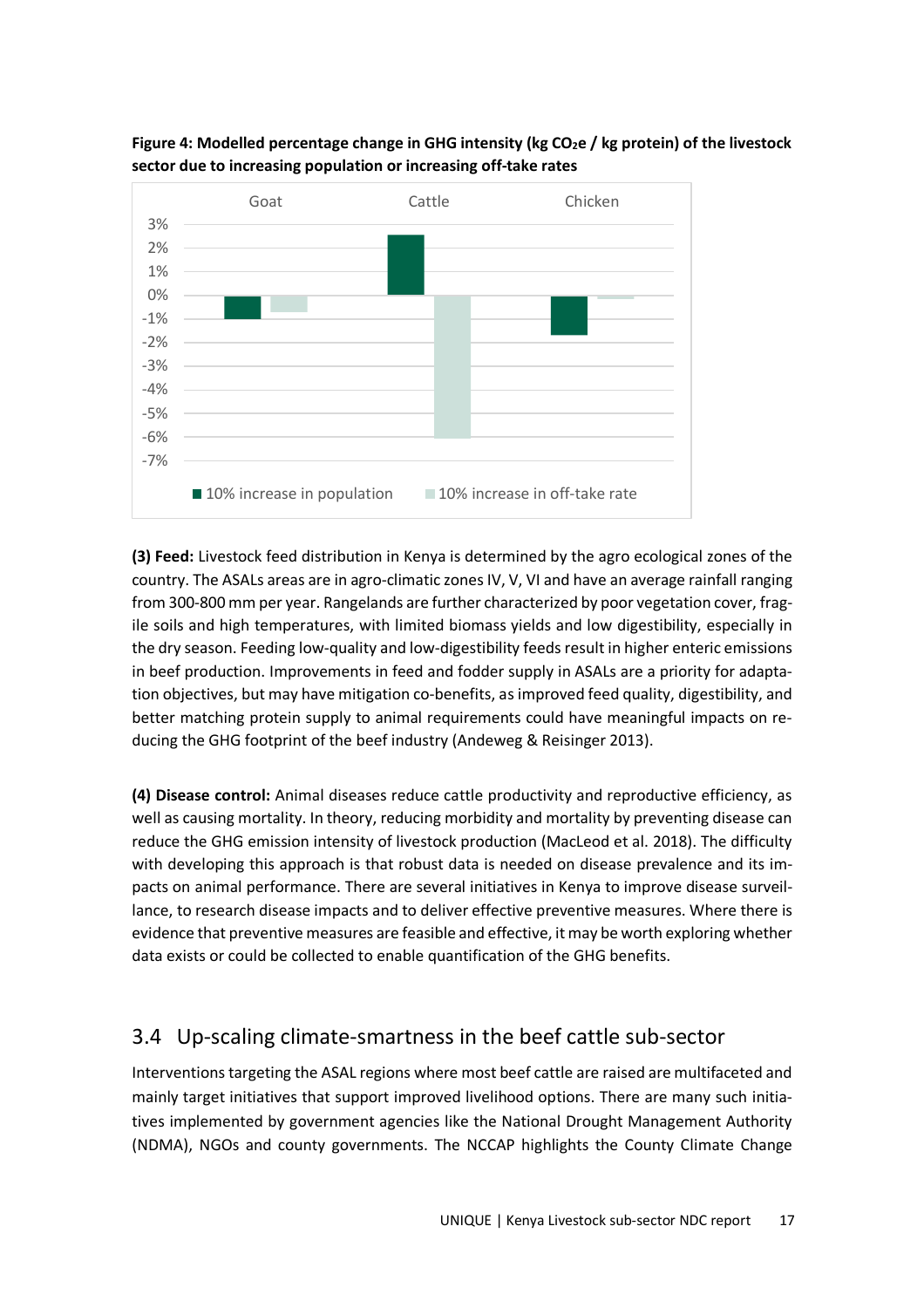

**Figure 4: Modelled percentage change in GHG intensity (kg CO2e / kg protein) of the livestock sector due to increasing population or increasing off-take rates** 

**(3) Feed:** Livestock feed distribution in Kenya is determined by the agro ecological zones of the country. The ASALs areas are in agro-climatic zones IV, V, VI and have an average rainfall ranging from 300-800 mm per year. Rangelands are further characterized by poor vegetation cover, fragile soils and high temperatures, with limited biomass yields and low digestibility, especially in the dry season. Feeding low-quality and low-digestibility feeds result in higher enteric emissions in beef production. Improvements in feed and fodder supply in ASALs are a priority for adaptation objectives, but may have mitigation co-benefits, as improved feed quality, digestibility, and better matching protein supply to animal requirements could have meaningful impacts on reducing the GHG footprint of the beef industry (Andeweg & Reisinger 2013).

**(4) Disease control:** Animal diseases reduce cattle productivity and reproductive efficiency, as well as causing mortality. In theory, reducing morbidity and mortality by preventing disease can reduce the GHG emission intensity of livestock production (MacLeod et al. 2018). The difficulty with developing this approach is that robust data is needed on disease prevalence and its impacts on animal performance. There are several initiatives in Kenya to improve disease surveillance, to research disease impacts and to deliver effective preventive measures. Where there is evidence that preventive measures are feasible and effective, it may be worth exploring whether data exists or could be collected to enable quantification of the GHG benefits.

## 3.4 Up-scaling climate-smartness in the beef cattle sub-sector

Interventions targeting the ASAL regions where most beef cattle are raised are multifaceted and mainly target initiatives that support improved livelihood options. There are many such initiatives implemented by government agencies like the National Drought Management Authority (NDMA), NGOs and county governments. The NCCAP highlights the County Climate Change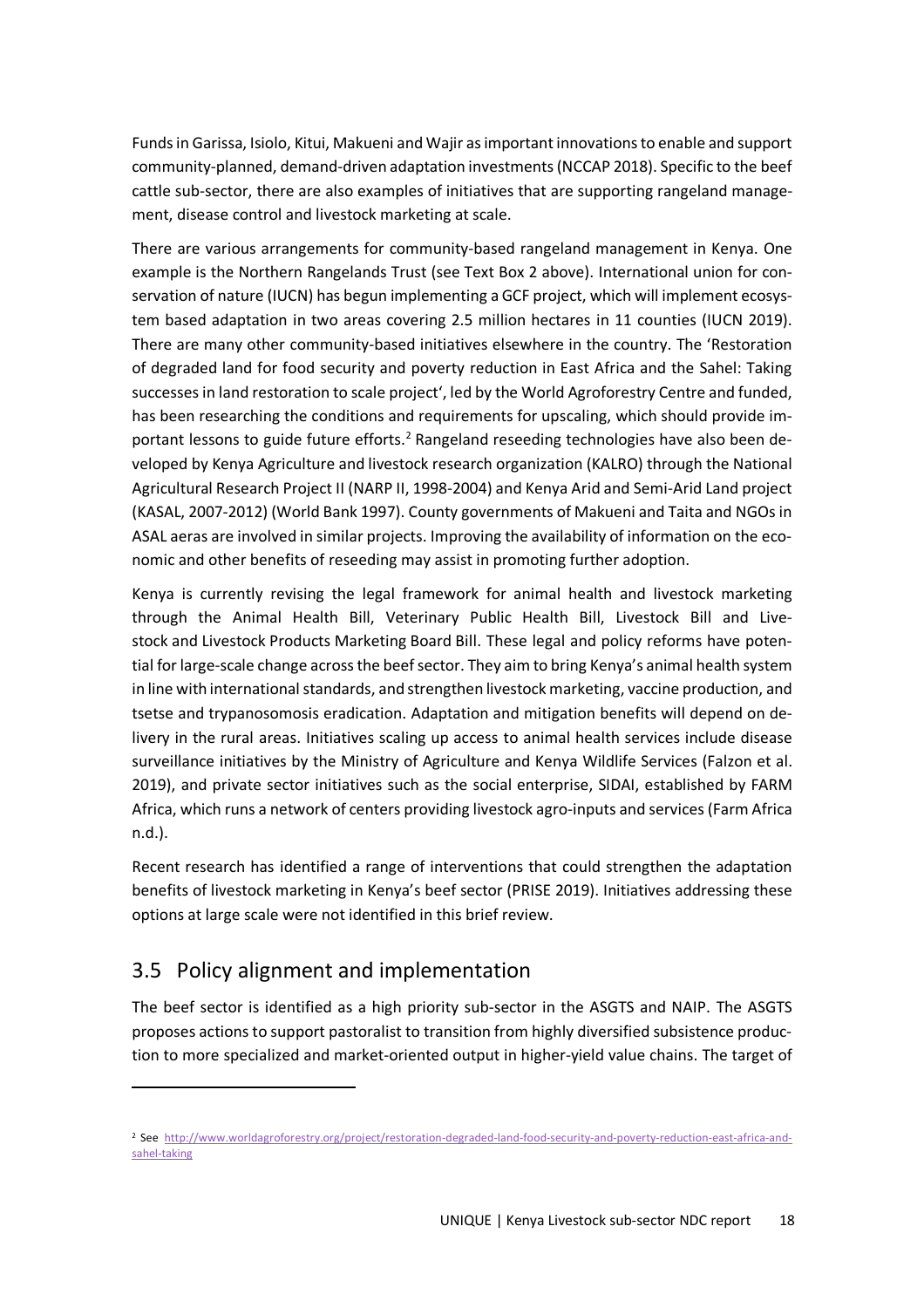Funds in Garissa, Isiolo, Kitui, Makueni and Wajir as important innovations to enable and support community-planned, demand-driven adaptation investments (NCCAP 2018). Specific to the beef cattle sub-sector, there are also examples of initiatives that are supporting rangeland management, disease control and livestock marketing at scale.

There are various arrangements for community-based rangeland management in Kenya. One example is the Northern Rangelands Trust (see Text Box 2 above). International union for conservation of nature (IUCN) has begun implementing a GCF project, which will implement ecosystem based adaptation in two areas covering 2.5 million hectares in 11 counties (IUCN 2019). There are many other community-based initiatives elsewhere in the country. The 'Restoration of degraded land for food security and poverty reduction in East Africa and the Sahel: Taking successes in land restoration to scale project', led by the World Agroforestry Centre and funded, has been researching the conditions and requirements for upscaling, which should provide important lessons to guide future efforts.<sup>2</sup> Rangeland reseeding technologies have also been developed by Kenya Agriculture and livestock research organization (KALRO) through the National Agricultural Research Project II (NARP II, 1998-2004) and Kenya Arid and Semi-Arid Land project (KASAL, 2007-2012) (World Bank 1997). County governments of Makueni and Taita and NGOs in ASAL aeras are involved in similar projects. Improving the availability of information on the economic and other benefits of reseeding may assist in promoting further adoption.

Kenya is currently revising the legal framework for animal health and livestock marketing through the Animal Health Bill, Veterinary Public Health Bill, Livestock Bill and Livestock and Livestock Products Marketing Board Bill. These legal and policy reforms have potential for large-scale change across the beef sector. They aim to bring Kenya's animal health system in line with international standards, and strengthen livestock marketing, vaccine production, and tsetse and trypanosomosis eradication. Adaptation and mitigation benefits will depend on delivery in the rural areas. Initiatives scaling up access to animal health services include disease surveillance initiatives by the Ministry of Agriculture and Kenya Wildlife Services (Falzon et al. 2019), and private sector initiatives such as the social enterprise, SIDAI, established by FARM Africa, which runs a network of centers providing livestock agro-inputs and services (Farm Africa n.d.).

Recent research has identified a range of interventions that could strengthen the adaptation benefits of livestock marketing in Kenya's beef sector (PRISE 2019). Initiatives addressing these options at large scale were not identified in this brief review.

## 3.5 Policy alignment and implementation

The beef sector is identified as a high priority sub-sector in the ASGTS and NAIP. The ASGTS proposes actions to support pastoralist to transition from highly diversified subsistence production to more specialized and market-oriented output in higher-yield value chains. The target of

<sup>&</sup>lt;sup>2</sup> See http://www.worldagroforestry.org/project/restoration-degraded-land-food-security-and-poverty-reduction-east-africa-andsahel-taking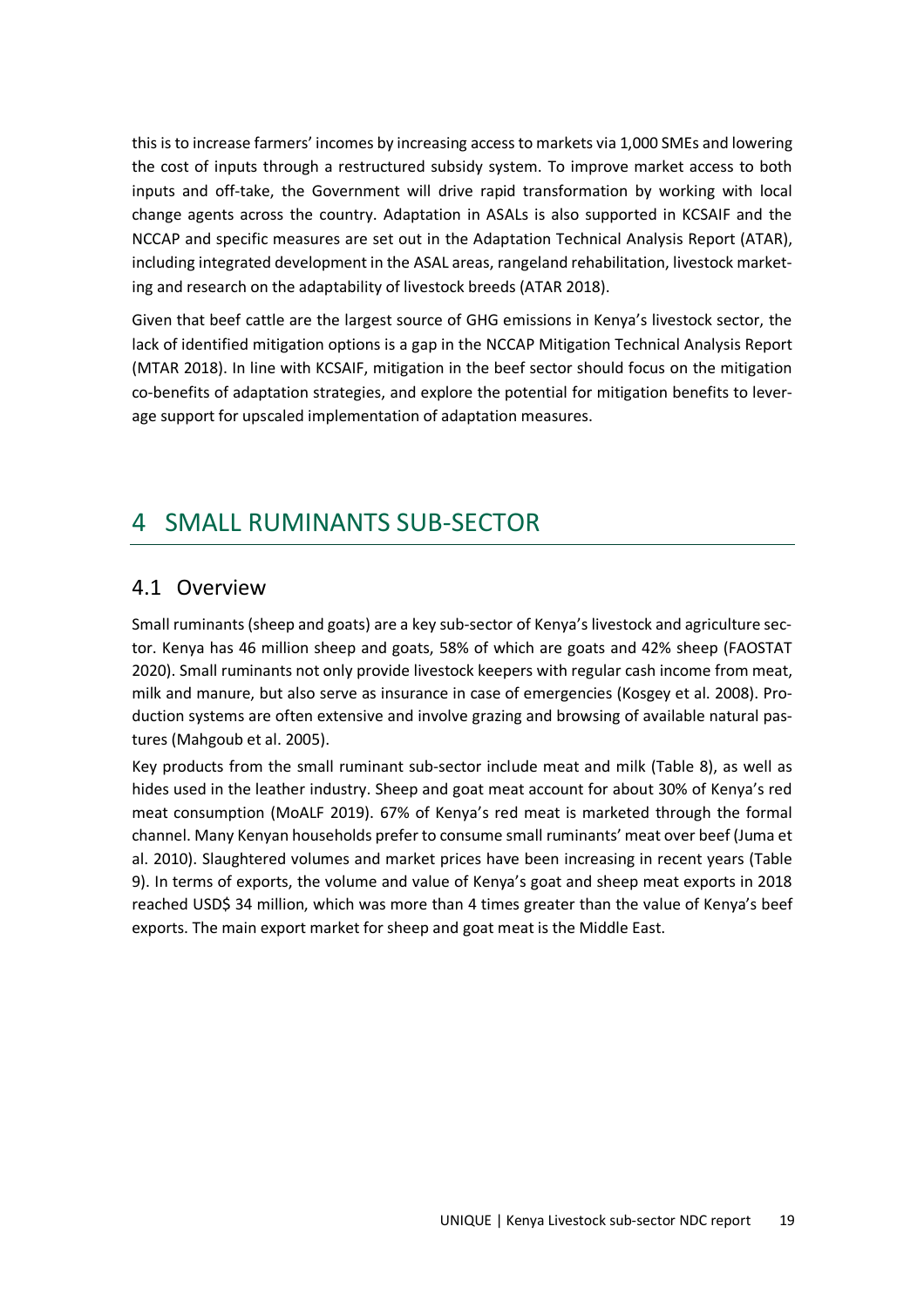this is to increase farmers' incomes by increasing access to markets via 1,000 SMEs and lowering the cost of inputs through a restructured subsidy system. To improve market access to both inputs and off-take, the Government will drive rapid transformation by working with local change agents across the country. Adaptation in ASALs is also supported in KCSAIF and the NCCAP and specific measures are set out in the Adaptation Technical Analysis Report (ATAR), including integrated development in the ASAL areas, rangeland rehabilitation, livestock marketing and research on the adaptability of livestock breeds (ATAR 2018).

Given that beef cattle are the largest source of GHG emissions in Kenya's livestock sector, the lack of identified mitigation options is a gap in the NCCAP Mitigation Technical Analysis Report (MTAR 2018). In line with KCSAIF, mitigation in the beef sector should focus on the mitigation co-benefits of adaptation strategies, and explore the potential for mitigation benefits to leverage support for upscaled implementation of adaptation measures.

## 4 SMALL RUMINANTS SUB-SECTOR

### 4.1 Overview

Small ruminants (sheep and goats) are a key sub-sector of Kenya's livestock and agriculture sector. Kenya has 46 million sheep and goats, 58% of which are goats and 42% sheep (FAOSTAT 2020). Small ruminants not only provide livestock keepers with regular cash income from meat, milk and manure, but also serve as insurance in case of emergencies (Kosgey et al. 2008). Production systems are often extensive and involve grazing and browsing of available natural pastures (Mahgoub et al. 2005).

Key products from the small ruminant sub-sector include meat and milk (Table 8), as well as hides used in the leather industry. Sheep and goat meat account for about 30% of Kenya's red meat consumption (MoALF 2019). 67% of Kenya's red meat is marketed through the formal channel. Many Kenyan households prefer to consume small ruminants' meat over beef (Juma et al. 2010). Slaughtered volumes and market prices have been increasing in recent years (Table 9). In terms of exports, the volume and value of Kenya's goat and sheep meat exports in 2018 reached USD\$ 34 million, which was more than 4 times greater than the value of Kenya's beef exports. The main export market for sheep and goat meat is the Middle East.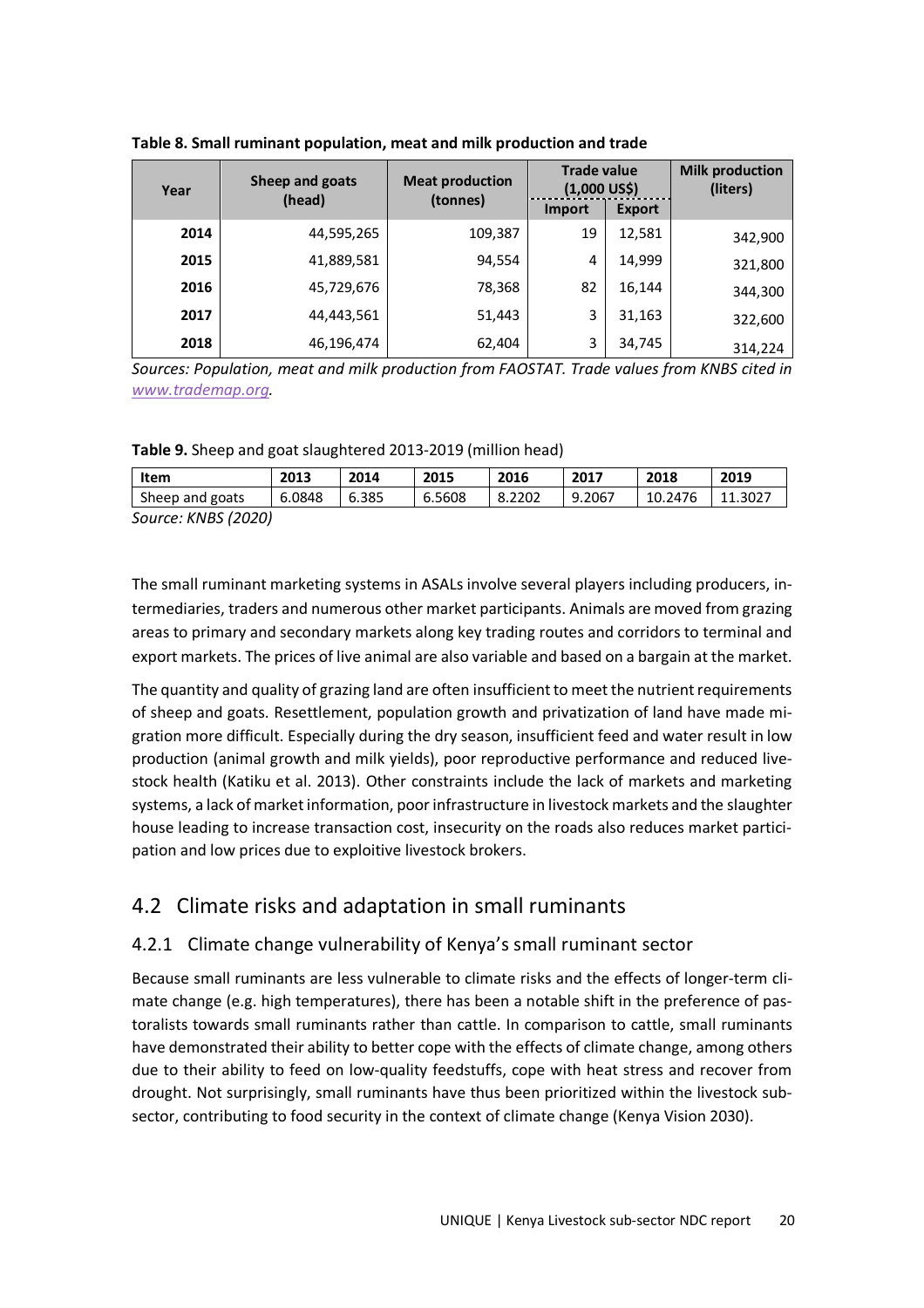| Year | Sheep and goats<br>(head) | <b>Meat production</b> | <b>Trade value</b><br>$(1,000$ US\$) |               | <b>Milk production</b><br>(liters) |
|------|---------------------------|------------------------|--------------------------------------|---------------|------------------------------------|
|      |                           | (tonnes)               | <b>Import</b>                        | <b>Export</b> |                                    |
| 2014 | 44,595,265                | 109,387                | 19                                   | 12,581        | 342,900                            |
| 2015 | 41,889,581                | 94,554                 | 4                                    | 14,999        | 321,800                            |
| 2016 | 45,729,676                | 78,368                 | 82                                   | 16,144        | 344,300                            |
| 2017 | 44,443,561                | 51,443                 | 3                                    | 31,163        | 322,600                            |
| 2018 | 46,196,474                | 62,404                 | 3                                    | 34,745        | 314,224                            |

**Table 8. Small ruminant population, meat and milk production and trade** 

*Sources: Population, meat and milk production from FAOSTAT. Trade values from KNBS cited in www.trademap.org.* 

**Table 9.** Sheep and goat slaughtered 2013-2019 (million head)

| Item                                       | 2013   | 2014  | 2015   | 2016   | 2017   | 2018    | 2019 |
|--------------------------------------------|--------|-------|--------|--------|--------|---------|------|
| Sheep and goats                            | 6.0848 | 6.385 | 6.5608 | 8.2202 | 9.2067 | 10.2476 |      |
| 11117277777777<br>$\overline{\phantom{0}}$ |        |       |        |        |        |         |      |

*Source: KNBS (2020)* 

The small ruminant marketing systems in ASALs involve several players including producers, intermediaries, traders and numerous other market participants. Animals are moved from grazing areas to primary and secondary markets along key trading routes and corridors to terminal and export markets. The prices of live animal are also variable and based on a bargain at the market.

The quantity and quality of grazing land are often insufficient to meet the nutrient requirements of sheep and goats. Resettlement, population growth and privatization of land have made migration more difficult. Especially during the dry season, insufficient feed and water result in low production (animal growth and milk yields), poor reproductive performance and reduced livestock health (Katiku et al. 2013). Other constraints include the lack of markets and marketing systems, a lack of market information, poor infrastructure in livestock markets and the slaughter house leading to increase transaction cost, insecurity on the roads also reduces market participation and low prices due to exploitive livestock brokers.

## 4.2 Climate risks and adaptation in small ruminants

### 4.2.1 Climate change vulnerability of Kenya's small ruminant sector

Because small ruminants are less vulnerable to climate risks and the effects of longer-term climate change (e.g. high temperatures), there has been a notable shift in the preference of pastoralists towards small ruminants rather than cattle. In comparison to cattle, small ruminants have demonstrated their ability to better cope with the effects of climate change, among others due to their ability to feed on low-quality feedstuffs, cope with heat stress and recover from drought. Not surprisingly, small ruminants have thus been prioritized within the livestock subsector, contributing to food security in the context of climate change (Kenya Vision 2030).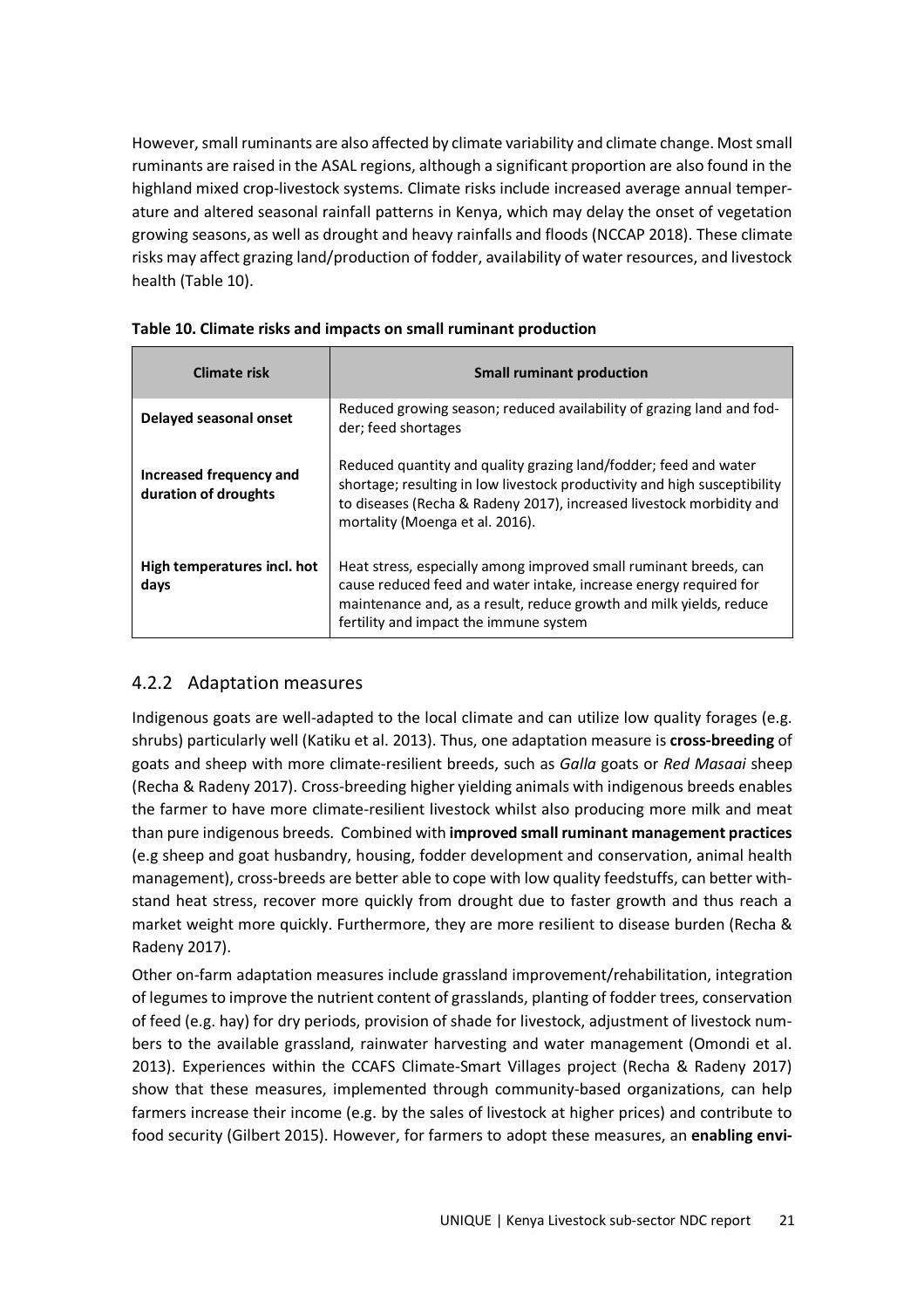However, small ruminants are also affected by climate variability and climate change. Most small ruminants are raised in the ASAL regions, although a significant proportion are also found in the highland mixed crop-livestock systems. Climate risks include increased average annual temperature and altered seasonal rainfall patterns in Kenya, which may delay the onset of vegetation growing seasons, as well as drought and heavy rainfalls and floods (NCCAP 2018). These climate risks may affect grazing land/production of fodder, availability of water resources, and livestock health (Table 10).

| <b>Climate risk</b>                             | <b>Small ruminant production</b>                                                                                                                                                                                                                         |
|-------------------------------------------------|----------------------------------------------------------------------------------------------------------------------------------------------------------------------------------------------------------------------------------------------------------|
| Delayed seasonal onset                          | Reduced growing season; reduced availability of grazing land and fod-<br>der; feed shortages                                                                                                                                                             |
| Increased frequency and<br>duration of droughts | Reduced quantity and quality grazing land/fodder; feed and water<br>shortage; resulting in low livestock productivity and high susceptibility<br>to diseases (Recha & Radeny 2017), increased livestock morbidity and<br>mortality (Moenga et al. 2016). |
| High temperatures incl. hot<br>days             | Heat stress, especially among improved small ruminant breeds, can<br>cause reduced feed and water intake, increase energy required for<br>maintenance and, as a result, reduce growth and milk yields, reduce<br>fertility and impact the immune system  |

|  | Table 10. Climate risks and impacts on small ruminant production |  |  |
|--|------------------------------------------------------------------|--|--|
|  |                                                                  |  |  |

### 4.2.2 Adaptation measures

Indigenous goats are well-adapted to the local climate and can utilize low quality forages (e.g. shrubs) particularly well (Katiku et al. 2013). Thus, one adaptation measure is **cross-breeding** of goats and sheep with more climate-resilient breeds, such as *Galla* goats or *Red Masaai* sheep (Recha & Radeny 2017). Cross-breeding higher yielding animals with indigenous breeds enables the farmer to have more climate-resilient livestock whilst also producing more milk and meat than pure indigenous breeds. Combined with **improved small ruminant management practices** (e.g sheep and goat husbandry, housing, fodder development and conservation, animal health management), cross-breeds are better able to cope with low quality feedstuffs, can better withstand heat stress, recover more quickly from drought due to faster growth and thus reach a market weight more quickly. Furthermore, they are more resilient to disease burden (Recha & Radeny 2017).

Other on-farm adaptation measures include grassland improvement/rehabilitation, integration of legumes to improve the nutrient content of grasslands, planting of fodder trees, conservation of feed (e.g. hay) for dry periods, provision of shade for livestock, adjustment of livestock numbers to the available grassland, rainwater harvesting and water management (Omondi et al. 2013). Experiences within the CCAFS Climate-Smart Villages project (Recha & Radeny 2017) show that these measures, implemented through community-based organizations, can help farmers increase their income (e.g. by the sales of livestock at higher prices) and contribute to food security (Gilbert 2015). However, for farmers to adopt these measures, an **enabling envi-**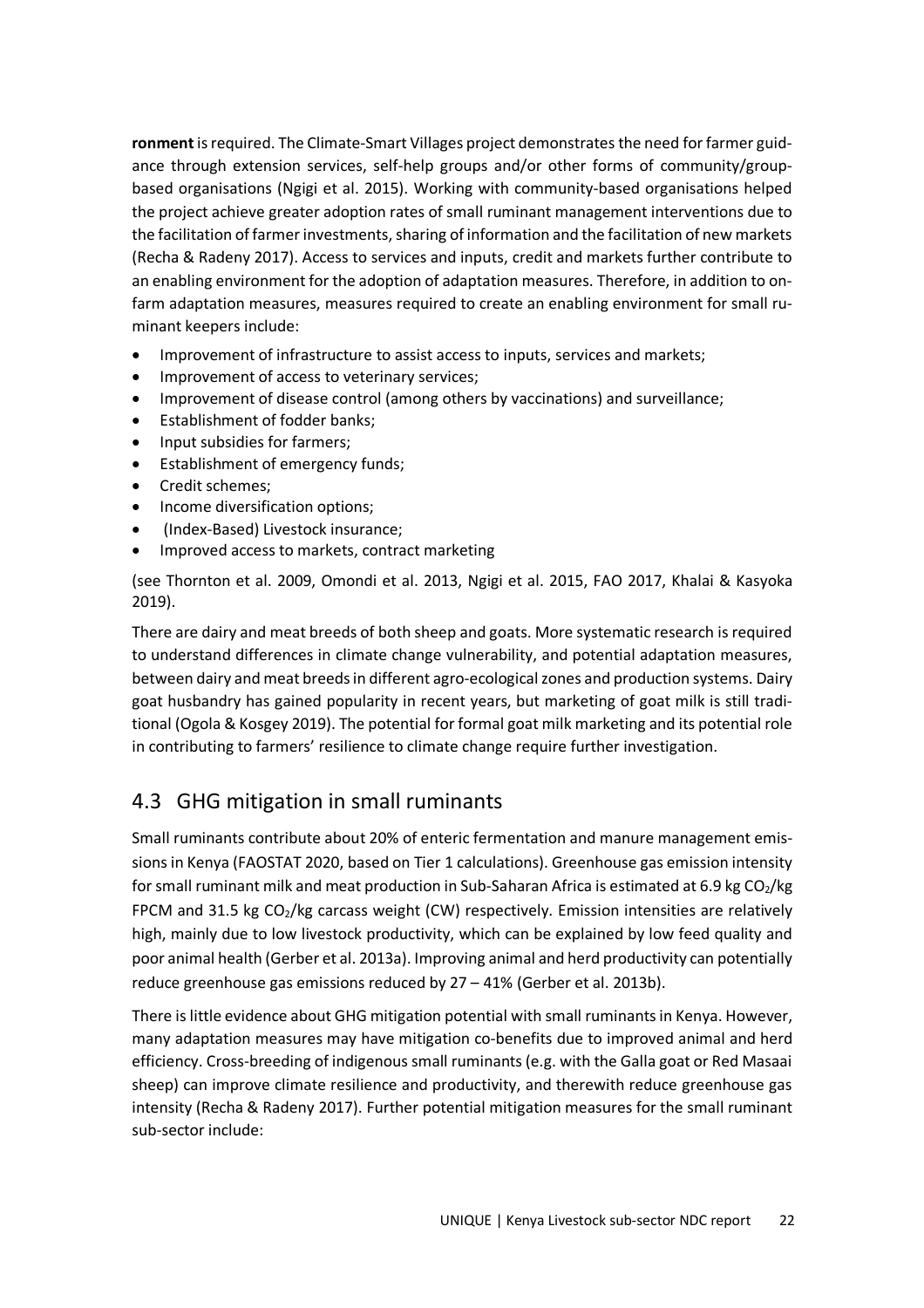**ronment** is required. The Climate-Smart Villages project demonstrates the need for farmer guidance through extension services, self-help groups and/or other forms of community/groupbased organisations (Ngigi et al. 2015). Working with community-based organisations helped the project achieve greater adoption rates of small ruminant management interventions due to the facilitation of farmer investments, sharing of information and the facilitation of new markets (Recha & Radeny 2017). Access to services and inputs, credit and markets further contribute to an enabling environment for the adoption of adaptation measures. Therefore, in addition to onfarm adaptation measures, measures required to create an enabling environment for small ruminant keepers include:

- Improvement of infrastructure to assist access to inputs, services and markets;
- Improvement of access to veterinary services;
- Improvement of disease control (among others by vaccinations) and surveillance;
- Establishment of fodder banks;
- Input subsidies for farmers;
- Establishment of emergency funds;
- Credit schemes;
- Income diversification options;
- (Index-Based) Livestock insurance;
- Improved access to markets, contract marketing

(see Thornton et al. 2009, Omondi et al. 2013, Ngigi et al. 2015, FAO 2017, Khalai & Kasyoka 2019).

There are dairy and meat breeds of both sheep and goats. More systematic research is required to understand differences in climate change vulnerability, and potential adaptation measures, between dairy and meat breeds in different agro-ecological zones and production systems. Dairy goat husbandry has gained popularity in recent years, but marketing of goat milk is still traditional (Ogola & Kosgey 2019). The potential for formal goat milk marketing and its potential role in contributing to farmers' resilience to climate change require further investigation.

## 4.3 GHG mitigation in small ruminants

Small ruminants contribute about 20% of enteric fermentation and manure management emissions in Kenya (FAOSTAT 2020, based on Tier 1 calculations). Greenhouse gas emission intensity for small ruminant milk and meat production in Sub-Saharan Africa is estimated at 6.9 kg CO<sub>2</sub>/kg FPCM and 31.5 kg  $CO<sub>2</sub>/kg$  carcass weight (CW) respectively. Emission intensities are relatively high, mainly due to low livestock productivity, which can be explained by low feed quality and poor animal health (Gerber et al. 2013a). Improving animal and herd productivity can potentially reduce greenhouse gas emissions reduced by 27 – 41% (Gerber et al. 2013b).

There is little evidence about GHG mitigation potential with small ruminants in Kenya. However, many adaptation measures may have mitigation co-benefits due to improved animal and herd efficiency. Cross-breeding of indigenous small ruminants (e.g. with the Galla goat or Red Masaai sheep) can improve climate resilience and productivity, and therewith reduce greenhouse gas intensity (Recha & Radeny 2017). Further potential mitigation measures for the small ruminant sub-sector include: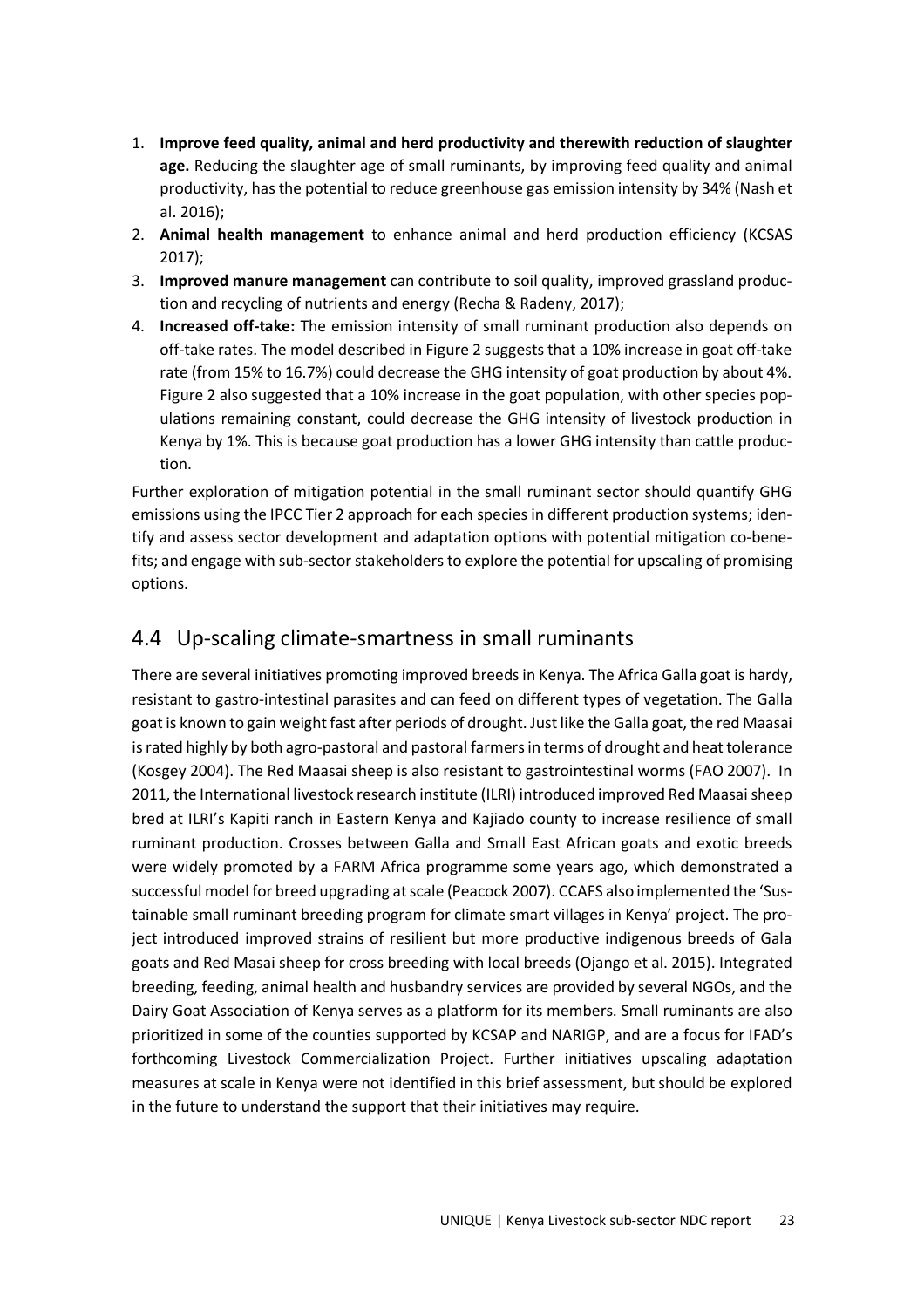- 1. **Improve feed quality, animal and herd productivity and therewith reduction of slaughter age.** Reducing the slaughter age of small ruminants, by improving feed quality and animal productivity, has the potential to reduce greenhouse gas emission intensity by 34% (Nash et al. 2016);
- 2. **Animal health management** to enhance animal and herd production efficiency (KCSAS 2017);
- 3. **Improved manure management** can contribute to soil quality, improved grassland production and recycling of nutrients and energy (Recha & Radeny, 2017);
- 4. **Increased off-take:** The emission intensity of small ruminant production also depends on off-take rates. The model described in Figure 2 suggests that a 10% increase in goat off-take rate (from 15% to 16.7%) could decrease the GHG intensity of goat production by about 4%. Figure 2 also suggested that a 10% increase in the goat population, with other species populations remaining constant, could decrease the GHG intensity of livestock production in Kenya by 1%. This is because goat production has a lower GHG intensity than cattle production.

Further exploration of mitigation potential in the small ruminant sector should quantify GHG emissions using the IPCC Tier 2 approach for each species in different production systems; identify and assess sector development and adaptation options with potential mitigation co-benefits; and engage with sub-sector stakeholders to explore the potential for upscaling of promising options.

## 4.4 Up-scaling climate-smartness in small ruminants

There are several initiatives promoting improved breeds in Kenya. The Africa Galla goat is hardy, resistant to gastro-intestinal parasites and can feed on different types of vegetation. The Galla goat is known to gain weight fast after periods of drought. Just like the Galla goat, the red Maasai is rated highly by both agro-pastoral and pastoral farmers in terms of drought and heat tolerance (Kosgey 2004). The Red Maasai sheep is also resistant to gastrointestinal worms (FAO 2007). In 2011, the International livestock research institute (ILRI) introduced improved Red Maasai sheep bred at ILRI's Kapiti ranch in Eastern Kenya and Kajiado county to increase resilience of small ruminant production. Crosses between Galla and Small East African goats and exotic breeds were widely promoted by a FARM Africa programme some years ago, which demonstrated a successful model for breed upgrading at scale (Peacock 2007). CCAFS also implemented the 'Sustainable small ruminant breeding program for climate smart villages in Kenya' project. The project introduced improved strains of resilient but more productive indigenous breeds of Gala goats and Red Masai sheep for cross breeding with local breeds (Ojango et al. 2015). Integrated breeding, feeding, animal health and husbandry services are provided by several NGOs, and the Dairy Goat Association of Kenya serves as a platform for its members. Small ruminants are also prioritized in some of the counties supported by KCSAP and NARIGP, and are a focus for IFAD's forthcoming Livestock Commercialization Project. Further initiatives upscaling adaptation measures at scale in Kenya were not identified in this brief assessment, but should be explored in the future to understand the support that their initiatives may require.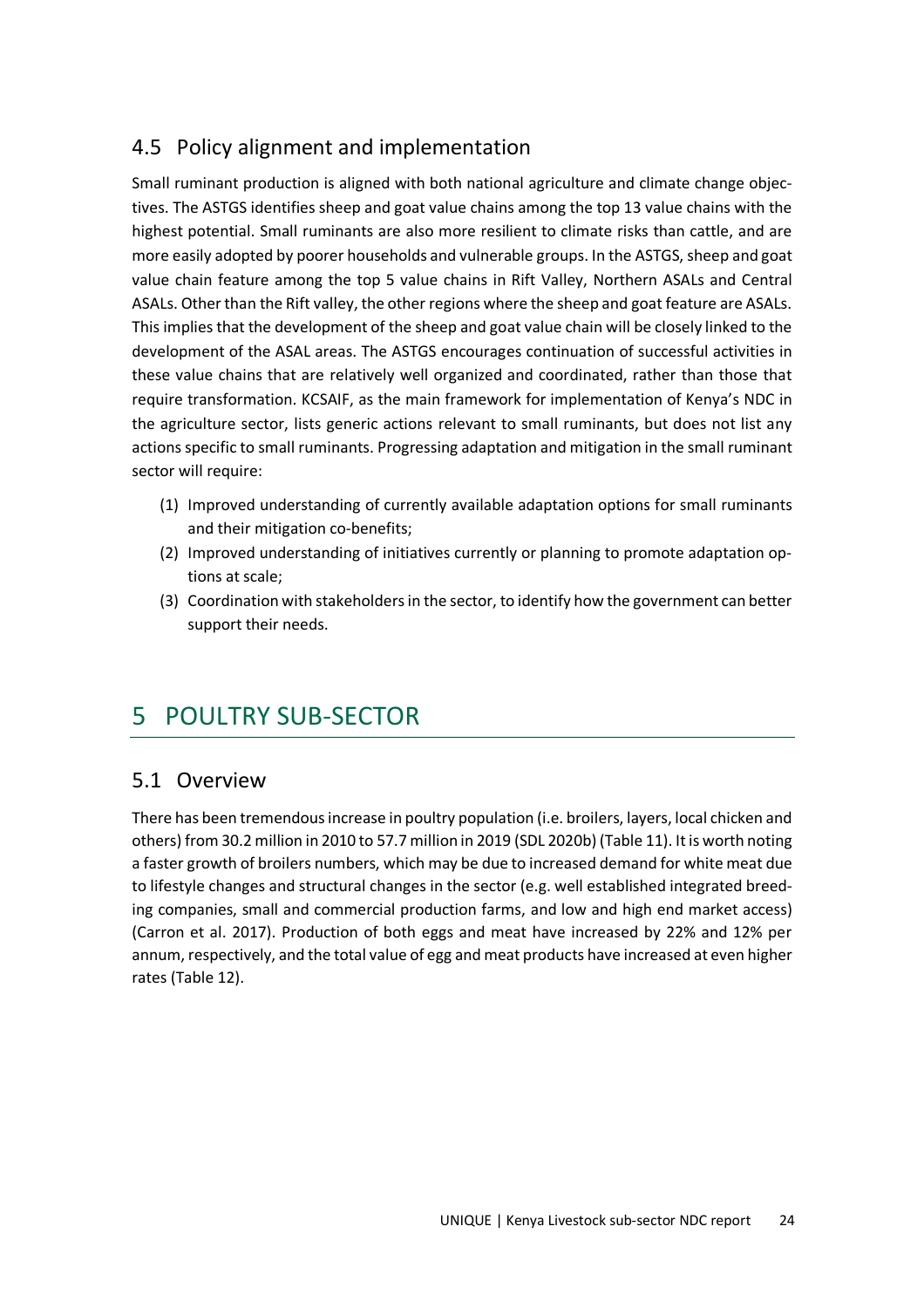## 4.5 Policy alignment and implementation

Small ruminant production is aligned with both national agriculture and climate change objectives. The ASTGS identifies sheep and goat value chains among the top 13 value chains with the highest potential. Small ruminants are also more resilient to climate risks than cattle, and are more easily adopted by poorer households and vulnerable groups. In the ASTGS, sheep and goat value chain feature among the top 5 value chains in Rift Valley, Northern ASALs and Central ASALs. Other than the Rift valley, the other regions where the sheep and goat feature are ASALs. This implies that the development of the sheep and goat value chain will be closely linked to the development of the ASAL areas. The ASTGS encourages continuation of successful activities in these value chains that are relatively well organized and coordinated, rather than those that require transformation. KCSAIF, as the main framework for implementation of Kenya's NDC in the agriculture sector, lists generic actions relevant to small ruminants, but does not list any actions specific to small ruminants. Progressing adaptation and mitigation in the small ruminant sector will require:

- (1) Improved understanding of currently available adaptation options for small ruminants and their mitigation co-benefits;
- (2) Improved understanding of initiatives currently or planning to promote adaptation options at scale;
- (3) Coordination with stakeholders in the sector, to identify how the government can better support their needs.

## 5 POULTRY SUB-SECTOR

### 5.1 Overview

There has been tremendous increase in poultry population (i.e. broilers, layers, local chicken and others) from 30.2 million in 2010 to 57.7 million in 2019 (SDL 2020b) (Table 11). It is worth noting a faster growth of broilers numbers, which may be due to increased demand for white meat due to lifestyle changes and structural changes in the sector (e.g. well established integrated breeding companies, small and commercial production farms, and low and high end market access) (Carron et al. 2017). Production of both eggs and meat have increased by 22% and 12% per annum, respectively, and the total value of egg and meat products have increased at even higher rates (Table 12).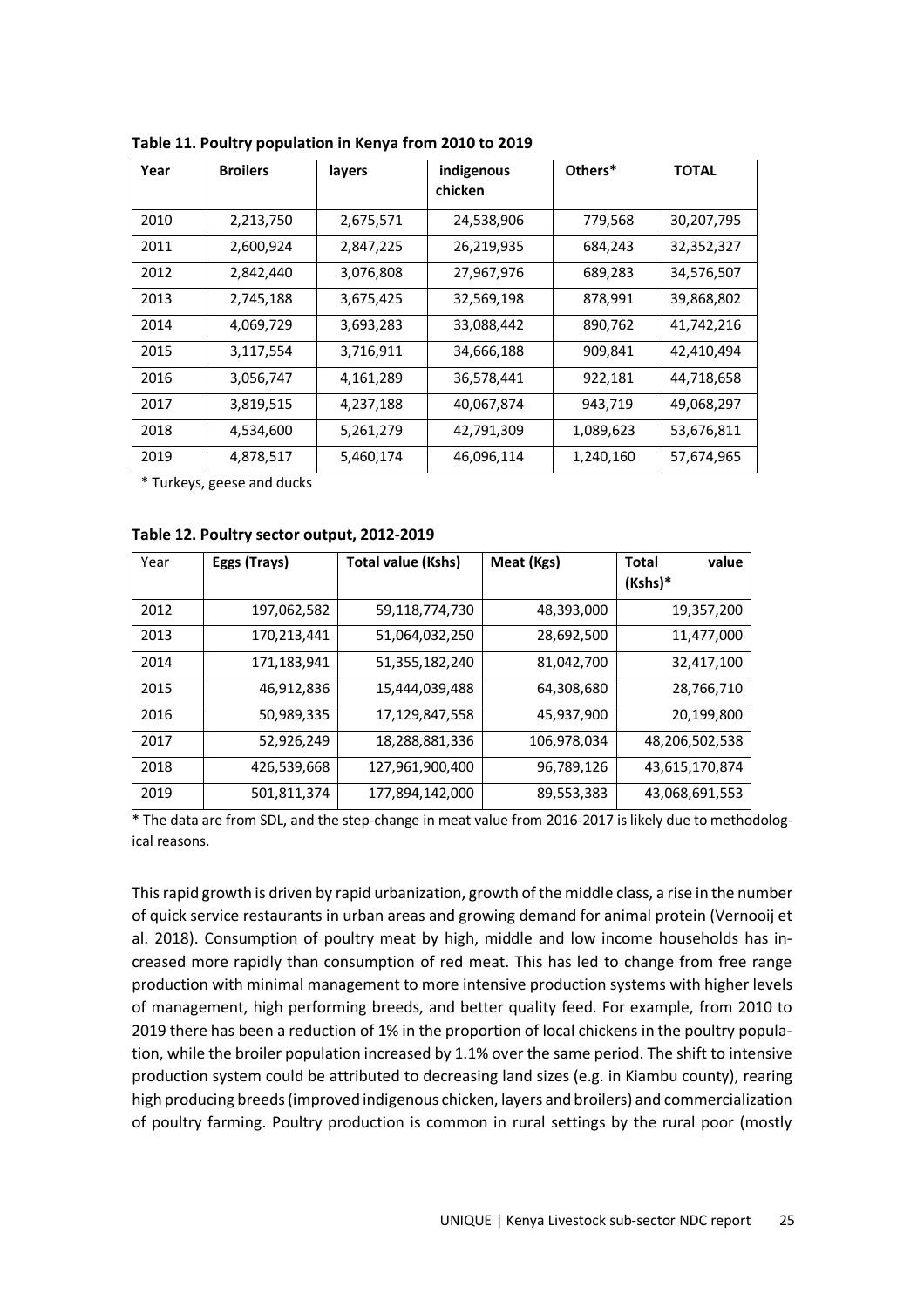| Year | <b>Broilers</b> | layers    | indigenous<br>chicken | Others*   | <b>TOTAL</b> |
|------|-----------------|-----------|-----------------------|-----------|--------------|
| 2010 | 2,213,750       | 2,675,571 | 24,538,906            | 779,568   | 30,207,795   |
| 2011 | 2,600,924       | 2,847,225 | 26,219,935            | 684,243   | 32,352,327   |
| 2012 | 2,842,440       | 3,076,808 | 27,967,976            | 689,283   | 34,576,507   |
| 2013 | 2,745,188       | 3,675,425 | 32,569,198            | 878,991   | 39,868,802   |
| 2014 | 4,069,729       | 3,693,283 | 33,088,442            | 890,762   | 41,742,216   |
| 2015 | 3,117,554       | 3,716,911 | 34,666,188            | 909,841   | 42,410,494   |
| 2016 | 3,056,747       | 4,161,289 | 36,578,441            | 922,181   | 44,718,658   |
| 2017 | 3,819,515       | 4,237,188 | 40,067,874            | 943,719   | 49,068,297   |
| 2018 | 4,534,600       | 5,261,279 | 42,791,309            | 1,089,623 | 53,676,811   |
| 2019 | 4,878,517       | 5,460,174 | 46,096,114            | 1,240,160 | 57,674,965   |

**Table 11. Poultry population in Kenya from 2010 to 2019** 

\* Turkeys, geese and ducks

|  | Table 12. Poultry sector output, 2012-2019 |  |
|--|--------------------------------------------|--|
|--|--------------------------------------------|--|

| Year | Eggs (Trays) | <b>Total value (Kshs)</b> | Meat (Kgs)  | Total<br>value<br>(Kshs)* |
|------|--------------|---------------------------|-------------|---------------------------|
| 2012 | 197,062,582  | 59,118,774,730            | 48,393,000  | 19,357,200                |
| 2013 | 170,213,441  | 51,064,032,250            | 28,692,500  | 11,477,000                |
| 2014 | 171,183,941  | 51,355,182,240            | 81,042,700  | 32,417,100                |
| 2015 | 46,912,836   | 15,444,039,488            | 64,308,680  | 28,766,710                |
| 2016 | 50,989,335   | 17,129,847,558            | 45,937,900  | 20,199,800                |
| 2017 | 52,926,249   | 18,288,881,336            | 106,978,034 | 48,206,502,538            |
| 2018 | 426,539,668  | 127,961,900,400           | 96,789,126  | 43,615,170,874            |
| 2019 | 501,811,374  | 177,894,142,000           | 89,553,383  | 43,068,691,553            |

\* The data are from SDL, and the step-change in meat value from 2016-2017 is likely due to methodological reasons.

This rapid growth is driven by rapid urbanization, growth of the middle class, a rise in the number of quick service restaurants in urban areas and growing demand for animal protein (Vernooij et al. 2018). Consumption of poultry meat by high, middle and low income households has increased more rapidly than consumption of red meat. This has led to change from free range production with minimal management to more intensive production systems with higher levels of management, high performing breeds, and better quality feed. For example, from 2010 to 2019 there has been a reduction of 1% in the proportion of local chickens in the poultry population, while the broiler population increased by 1.1% over the same period. The shift to intensive production system could be attributed to decreasing land sizes (e.g. in Kiambu county), rearing high producing breeds (improved indigenous chicken, layers and broilers) and commercialization of poultry farming. Poultry production is common in rural settings by the rural poor (mostly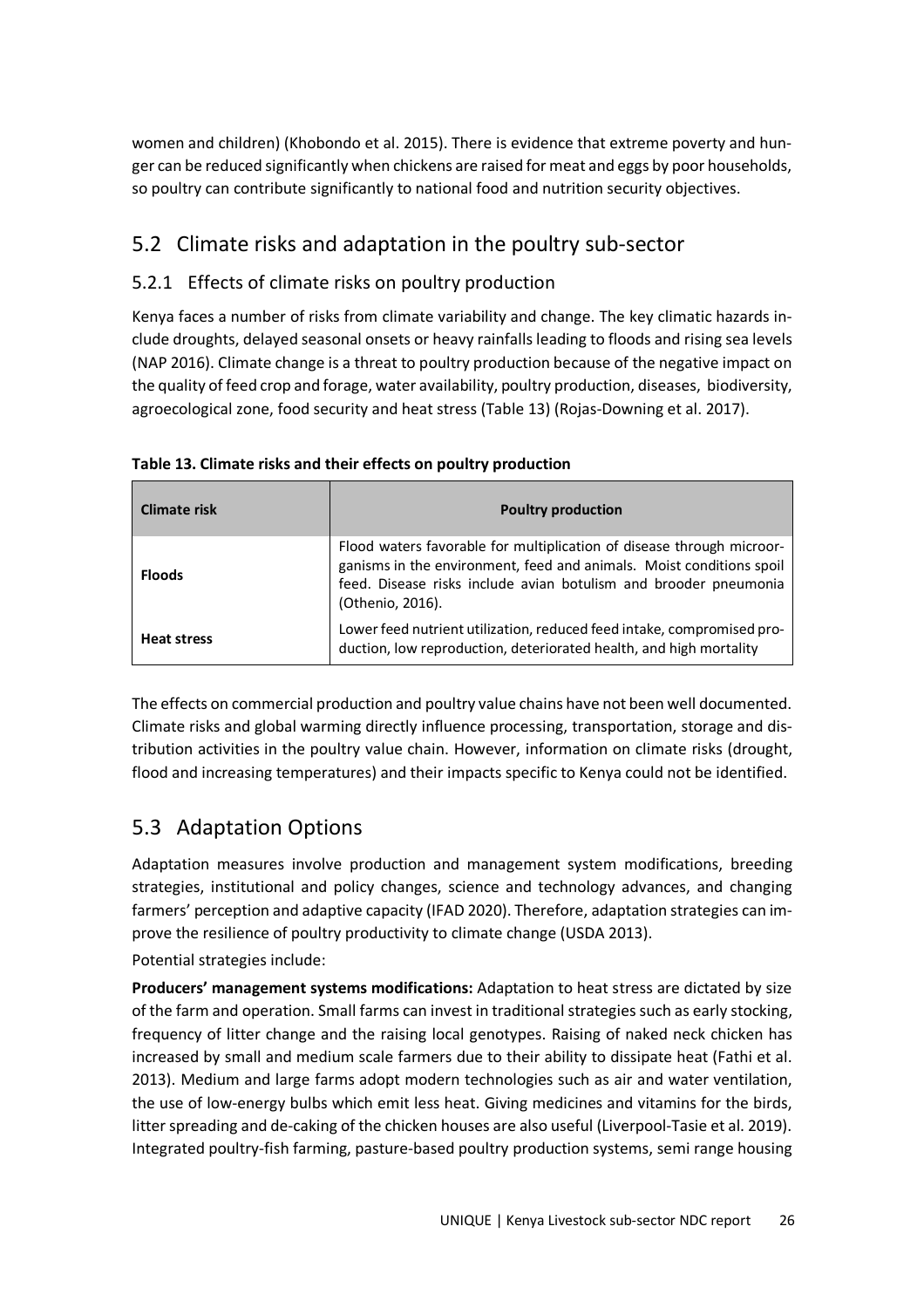women and children) (Khobondo et al. 2015). There is evidence that extreme poverty and hunger can be reduced significantly when chickens are raised for meat and eggs by poor households, so poultry can contribute significantly to national food and nutrition security objectives.

## 5.2 Climate risks and adaptation in the poultry sub-sector

### 5.2.1 Effects of climate risks on poultry production

Kenya faces a number of risks from climate variability and change. The key climatic hazards include droughts, delayed seasonal onsets or heavy rainfalls leading to floods and rising sea levels (NAP 2016). Climate change is a threat to poultry production because of the negative impact on the quality of feed crop and forage, water availability, poultry production, diseases, biodiversity, agroecological zone, food security and heat stress (Table 13) (Rojas-Downing et al. 2017).

| Climate risk       | <b>Poultry production</b>                                                                                                                                                                                                             |
|--------------------|---------------------------------------------------------------------------------------------------------------------------------------------------------------------------------------------------------------------------------------|
| <b>Floods</b>      | Flood waters favorable for multiplication of disease through microor-<br>ganisms in the environment, feed and animals. Moist conditions spoil<br>feed. Disease risks include avian botulism and brooder pneumonia<br>(Othenio, 2016). |
| <b>Heat stress</b> | Lower feed nutrient utilization, reduced feed intake, compromised pro-<br>duction, low reproduction, deteriorated health, and high mortality                                                                                          |

**Table 13. Climate risks and their effects on poultry production** 

The effects on commercial production and poultry value chains have not been well documented. Climate risks and global warming directly influence processing, transportation, storage and distribution activities in the poultry value chain. However, information on climate risks (drought, flood and increasing temperatures) and their impacts specific to Kenya could not be identified.

## 5.3 Adaptation Options

Adaptation measures involve production and management system modifications, breeding strategies, institutional and policy changes, science and technology advances, and changing farmers' perception and adaptive capacity (IFAD 2020). Therefore, adaptation strategies can improve the resilience of poultry productivity to climate change (USDA 2013).

Potential strategies include:

**Producers' management systems modifications:** Adaptation to heat stress are dictated by size of the farm and operation. Small farms can invest in traditional strategies such as early stocking, frequency of litter change and the raising local genotypes. Raising of naked neck chicken has increased by small and medium scale farmers due to their ability to dissipate heat (Fathi et al. 2013). Medium and large farms adopt modern technologies such as air and water ventilation, the use of low-energy bulbs which emit less heat. Giving medicines and vitamins for the birds, litter spreading and de-caking of the chicken houses are also useful (Liverpool-Tasie et al. 2019). Integrated poultry-fish farming, pasture-based poultry production systems, semi range housing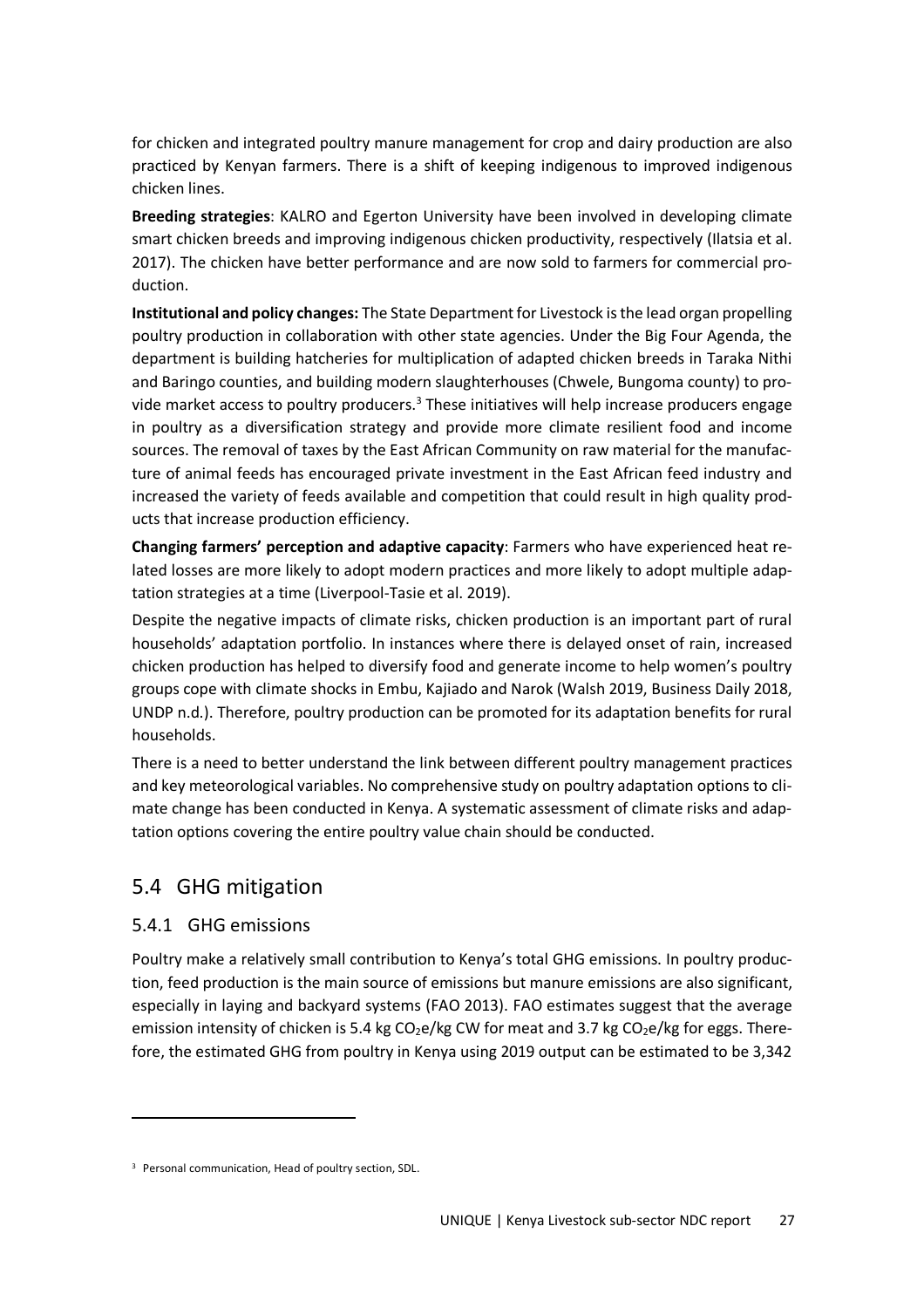for chicken and integrated poultry manure management for crop and dairy production are also practiced by Kenyan farmers. There is a shift of keeping indigenous to improved indigenous chicken lines.

**Breeding strategies**: KALRO and Egerton University have been involved in developing climate smart chicken breeds and improving indigenous chicken productivity, respectively (Ilatsia et al. 2017). The chicken have better performance and are now sold to farmers for commercial production.

**Institutional and policy changes:** The State Department for Livestock is the lead organ propelling poultry production in collaboration with other state agencies. Under the Big Four Agenda, the department is building hatcheries for multiplication of adapted chicken breeds in Taraka Nithi and Baringo counties, and building modern slaughterhouses (Chwele, Bungoma county) to provide market access to poultry producers.<sup>3</sup> These initiatives will help increase producers engage in poultry as a diversification strategy and provide more climate resilient food and income sources. The removal of taxes by the East African Community on raw material for the manufacture of animal feeds has encouraged private investment in the East African feed industry and increased the variety of feeds available and competition that could result in high quality products that increase production efficiency.

**Changing farmers' perception and adaptive capacity**: Farmers who have experienced heat related losses are more likely to adopt modern practices and more likely to adopt multiple adaptation strategies at a time (Liverpool-Tasie et al. 2019).

Despite the negative impacts of climate risks, chicken production is an important part of rural households' adaptation portfolio. In instances where there is delayed onset of rain, increased chicken production has helped to diversify food and generate income to help women's poultry groups cope with climate shocks in Embu, Kajiado and Narok (Walsh 2019, Business Daily 2018, UNDP n.d.). Therefore, poultry production can be promoted for its adaptation benefits for rural households.

There is a need to better understand the link between different poultry management practices and key meteorological variables. No comprehensive study on poultry adaptation options to climate change has been conducted in Kenya. A systematic assessment of climate risks and adaptation options covering the entire poultry value chain should be conducted.

## 5.4 GHG mitigation

### 5.4.1 GHG emissions

Poultry make a relatively small contribution to Kenya's total GHG emissions. In poultry production, feed production is the main source of emissions but manure emissions are also significant, especially in laying and backyard systems (FAO 2013). FAO estimates suggest that the average emission intensity of chicken is 5.4 kg  $CO<sub>2</sub>e/kg CW$  for meat and 3.7 kg  $CO<sub>2</sub>e/kg$  for eggs. Therefore, the estimated GHG from poultry in Kenya using 2019 output can be estimated to be 3,342

<sup>3</sup> Personal communication, Head of poultry section, SDL.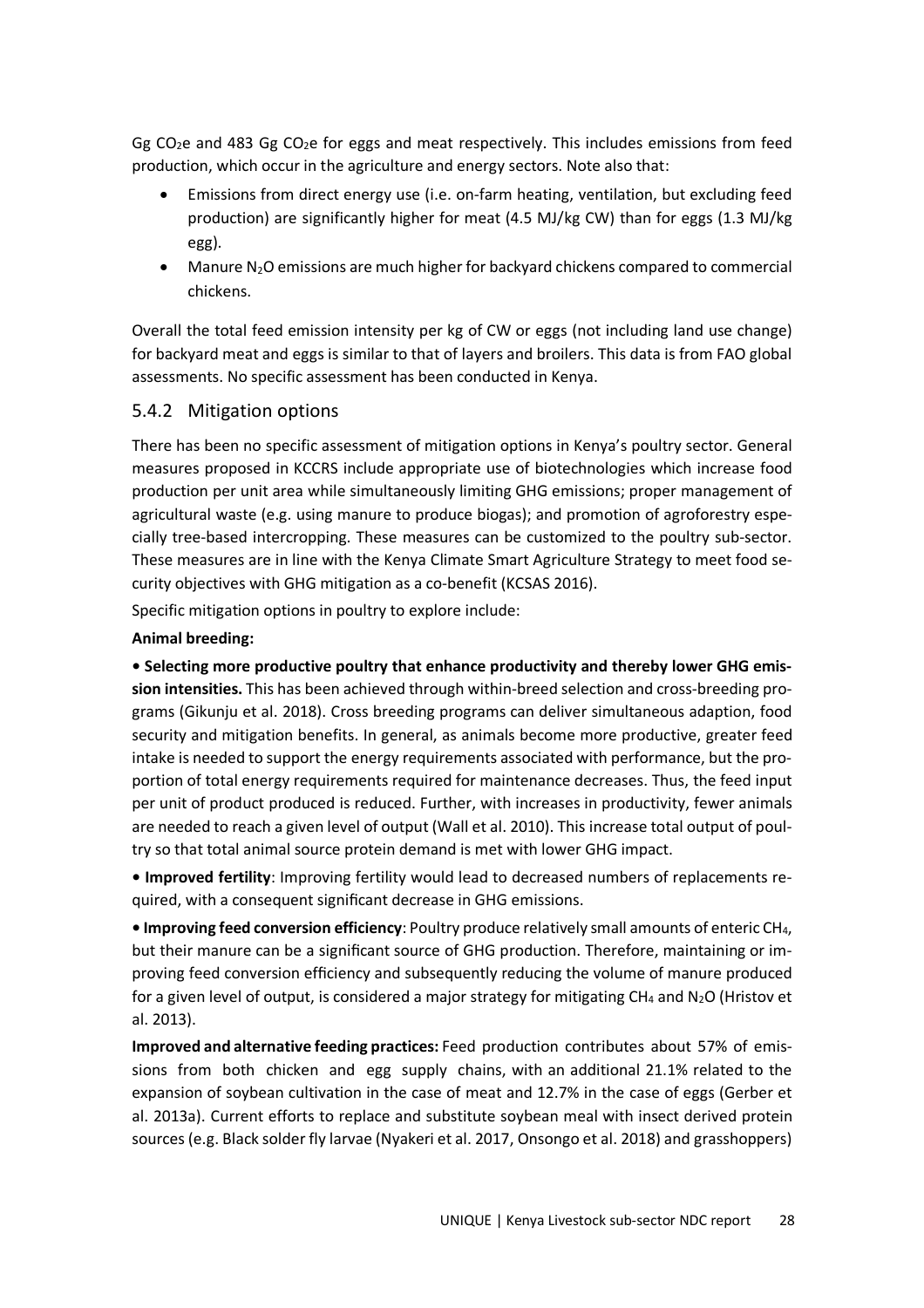Gg  $CO<sub>2</sub>e$  and 483 Gg  $CO<sub>2</sub>e$  for eggs and meat respectively. This includes emissions from feed production, which occur in the agriculture and energy sectors. Note also that:

- Emissions from direct energy use (i.e. on-farm heating, ventilation, but excluding feed production) are significantly higher for meat (4.5 MJ/kg CW) than for eggs (1.3 MJ/kg egg).
- $\bullet$  Manure N<sub>2</sub>O emissions are much higher for backyard chickens compared to commercial chickens.

Overall the total feed emission intensity per kg of CW or eggs (not including land use change) for backyard meat and eggs is similar to that of layers and broilers. This data is from FAO global assessments. No specific assessment has been conducted in Kenya.

#### 5.4.2 Mitigation options

There has been no specific assessment of mitigation options in Kenya's poultry sector. General measures proposed in KCCRS include appropriate use of biotechnologies which increase food production per unit area while simultaneously limiting GHG emissions; proper management of agricultural waste (e.g. using manure to produce biogas); and promotion of agroforestry especially tree-based intercropping. These measures can be customized to the poultry sub-sector. These measures are in line with the Kenya Climate Smart Agriculture Strategy to meet food security objectives with GHG mitigation as a co-benefit (KCSAS 2016).

Specific mitigation options in poultry to explore include:

#### **Animal breeding:**

**• Selecting more productive poultry that enhance productivity and thereby lower GHG emission intensities.** This has been achieved through within-breed selection and cross-breeding programs (Gikunju et al. 2018). Cross breeding programs can deliver simultaneous adaption, food security and mitigation benefits. In general, as animals become more productive, greater feed intake is needed to support the energy requirements associated with performance, but the proportion of total energy requirements required for maintenance decreases. Thus, the feed input per unit of product produced is reduced. Further, with increases in productivity, fewer animals are needed to reach a given level of output (Wall et al. 2010). This increase total output of poultry so that total animal source protein demand is met with lower GHG impact.

**• Improved fertility**: Improving fertility would lead to decreased numbers of replacements required, with a consequent significant decrease in GHG emissions.

**• Improving feed conversion efficiency**: Poultry produce relatively small amounts of enteric CH4, but their manure can be a significant source of GHG production. Therefore, maintaining or improving feed conversion efficiency and subsequently reducing the volume of manure produced for a given level of output, is considered a major strategy for mitigating CH<sub>4</sub> and N<sub>2</sub>O (Hristov et al. 2013).

**Improved and alternative feeding practices:** Feed production contributes about 57% of emissions from both chicken and egg supply chains, with an additional 21.1% related to the expansion of soybean cultivation in the case of meat and 12.7% in the case of eggs (Gerber et al. 2013a). Current efforts to replace and substitute soybean meal with insect derived protein sources (e.g. Black solder fly larvae (Nyakeri et al. 2017, Onsongo et al. 2018) and grasshoppers)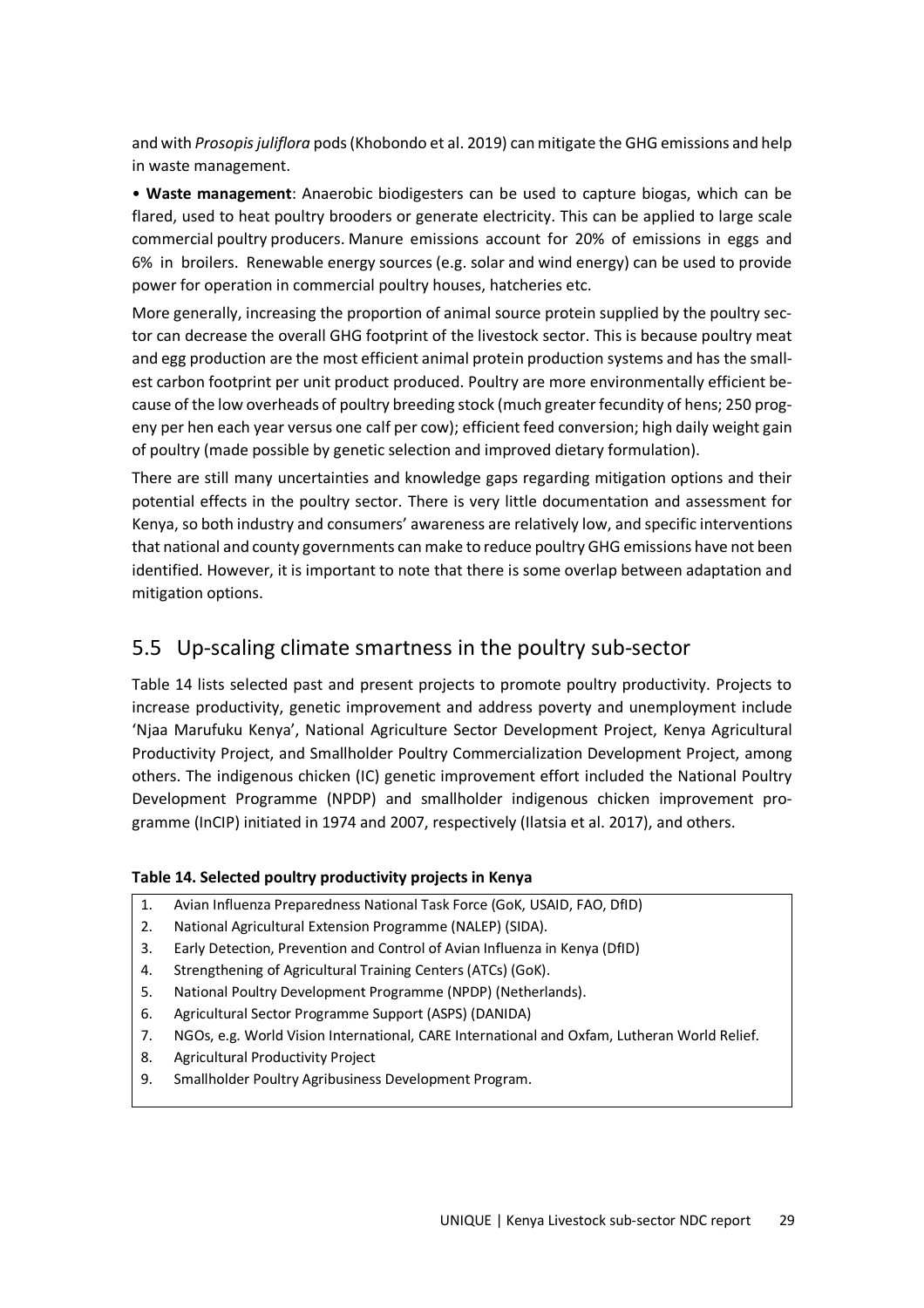and with *Prosopis juliflora* pods (Khobondo et al. 2019) can mitigate the GHG emissions and help in waste management.

• **Waste management**: Anaerobic biodigesters can be used to capture biogas, which can be flared, used to heat poultry brooders or generate electricity. This can be applied to large scale commercial poultry producers. Manure emissions account for 20% of emissions in eggs and 6% in broilers. Renewable energy sources (e.g. solar and wind energy) can be used to provide power for operation in commercial poultry houses, hatcheries etc.

More generally, increasing the proportion of animal source protein supplied by the poultry sector can decrease the overall GHG footprint of the livestock sector. This is because poultry meat and egg production are the most efficient animal protein production systems and has the smallest carbon footprint per unit product produced. Poultry are more environmentally efficient because of the low overheads of poultry breeding stock (much greater fecundity of hens; 250 progeny per hen each year versus one calf per cow); efficient feed conversion; high daily weight gain of poultry (made possible by genetic selection and improved dietary formulation).

There are still many uncertainties and knowledge gaps regarding mitigation options and their potential effects in the poultry sector. There is very little documentation and assessment for Kenya, so both industry and consumers' awareness are relatively low, and specific interventions that national and county governments can make to reduce poultry GHG emissions have not been identified. However, it is important to note that there is some overlap between adaptation and mitigation options.

### 5.5 Up-scaling climate smartness in the poultry sub-sector

Table 14 lists selected past and present projects to promote poultry productivity. Projects to increase productivity, genetic improvement and address poverty and unemployment include 'Njaa Marufuku Kenya', National Agriculture Sector Development Project, Kenya Agricultural Productivity Project, and Smallholder Poultry Commercialization Development Project, among others. The indigenous chicken (IC) genetic improvement effort included the National Poultry Development Programme (NPDP) and smallholder indigenous chicken improvement programme (InCIP) initiated in 1974 and 2007, respectively (Ilatsia et al. 2017), and others.

#### **Table 14. Selected poultry productivity projects in Kenya**

- 1. Avian Influenza Preparedness National Task Force (GoK, USAID, FAO, DfID)
- 2. National Agricultural Extension Programme (NALEP) (SIDA).
- 3. Early Detection, Prevention and Control of Avian Influenza in Kenya (DfID)
- 4. Strengthening of Agricultural Training Centers (ATCs) (GoK).
- 5. National Poultry Development Programme (NPDP) (Netherlands).
- 6. Agricultural Sector Programme Support (ASPS) (DANIDA)
- 7. NGOs, e.g. World Vision International, CARE International and Oxfam, Lutheran World Relief.
- 8. Agricultural Productivity Project
- 9. Smallholder Poultry Agribusiness Development Program.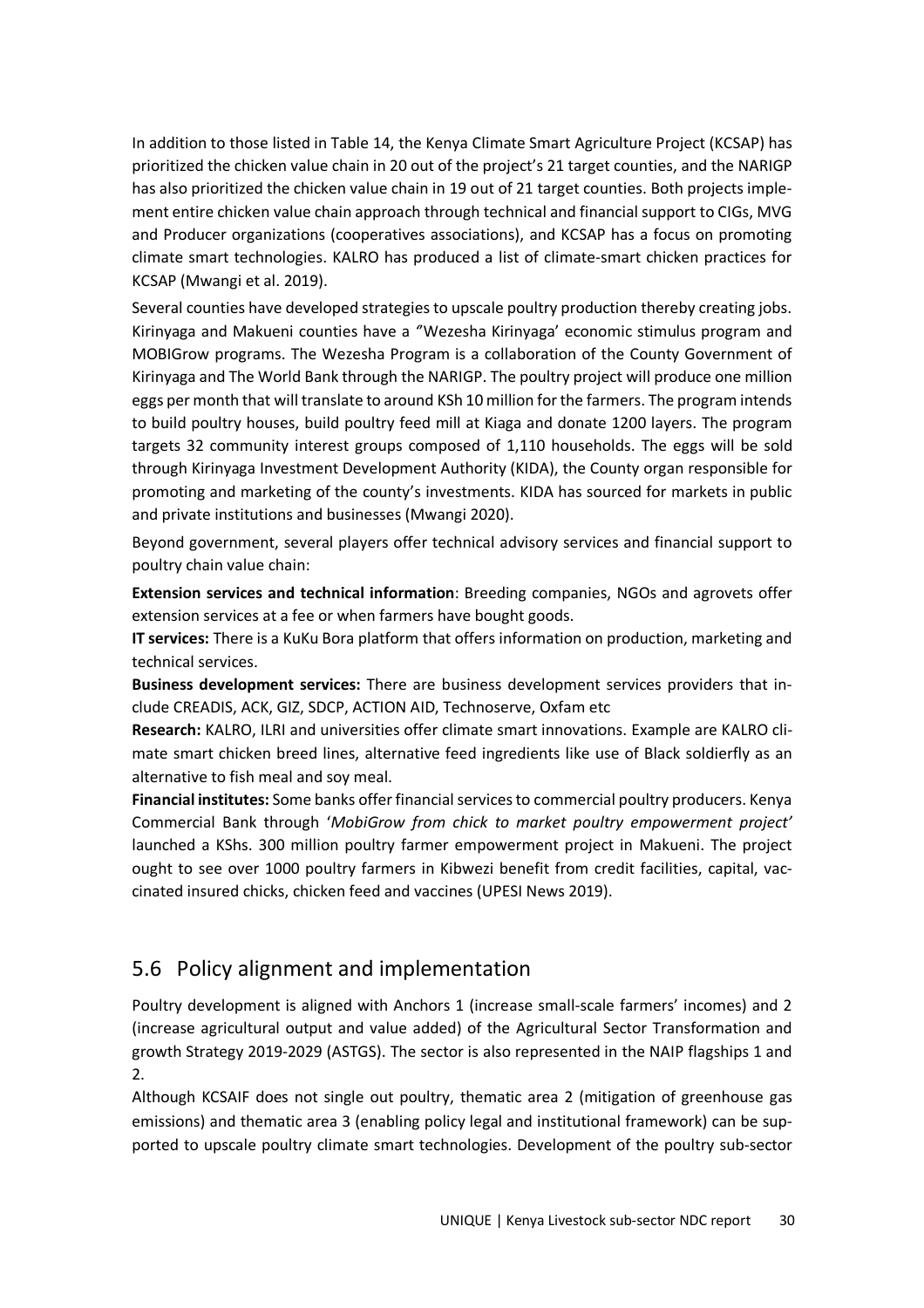In addition to those listed in Table 14, the Kenya Climate Smart Agriculture Project (KCSAP) has prioritized the chicken value chain in 20 out of the project's 21 target counties, and the NARIGP has also prioritized the chicken value chain in 19 out of 21 target counties. Both projects implement entire chicken value chain approach through technical and financial support to CIGs, MVG and Producer organizations (cooperatives associations), and KCSAP has a focus on promoting climate smart technologies. KALRO has produced a list of climate-smart chicken practices for KCSAP (Mwangi et al. 2019).

Several counties have developed strategies to upscale poultry production thereby creating jobs. Kirinyaga and Makueni counties have a *'*'Wezesha Kirinyaga' economic stimulus program and MOBIGrow programs. The Wezesha Program is a collaboration of the County Government of Kirinyaga and The World Bank through the NARIGP. The poultry project will produce one million eggs per month that will translate to around KSh 10 million for the farmers. The program intends to build poultry houses, build poultry feed mill at Kiaga and donate 1200 layers. The program targets 32 community interest groups composed of 1,110 households. The eggs will be sold through Kirinyaga Investment Development Authority (KIDA), the County organ responsible for promoting and marketing of the county's investments. KIDA has sourced for markets in public and private institutions and businesses (Mwangi 2020).

Beyond government, several players offer technical advisory services and financial support to poultry chain value chain:

**Extension services and technical information**: Breeding companies, NGOs and agrovets offer extension services at a fee or when farmers have bought goods.

**IT services:** There is a KuKu Bora platform that offers information on production, marketing and technical services.

**Business development services:** There are business development services providers that include CREADIS, ACK, GIZ, SDCP, ACTION AID, Technoserve, Oxfam etc

**Research:** KALRO, ILRI and universities offer climate smart innovations. Example are KALRO climate smart chicken breed lines, alternative feed ingredients like use of Black soldierfly as an alternative to fish meal and soy meal.

**Financial institutes:** Some banks offer financial services to commercial poultry producers. Kenya Commercial Bank through '*MobiGrow from chick to market poultry empowerment project'*  launched a KShs. 300 million poultry farmer empowerment project in Makueni. The project ought to see over 1000 poultry farmers in Kibwezi benefit from credit facilities, capital, vaccinated insured chicks, chicken feed and vaccines (UPESI News 2019).

### 5.6 Policy alignment and implementation

Poultry development is aligned with Anchors 1 (increase small-scale farmers' incomes) and 2 (increase agricultural output and value added) of the Agricultural Sector Transformation and growth Strategy 2019-2029 (ASTGS). The sector is also represented in the NAIP flagships 1 and 2.

Although KCSAIF does not single out poultry, thematic area 2 (mitigation of greenhouse gas emissions) and thematic area 3 (enabling policy legal and institutional framework) can be supported to upscale poultry climate smart technologies. Development of the poultry sub-sector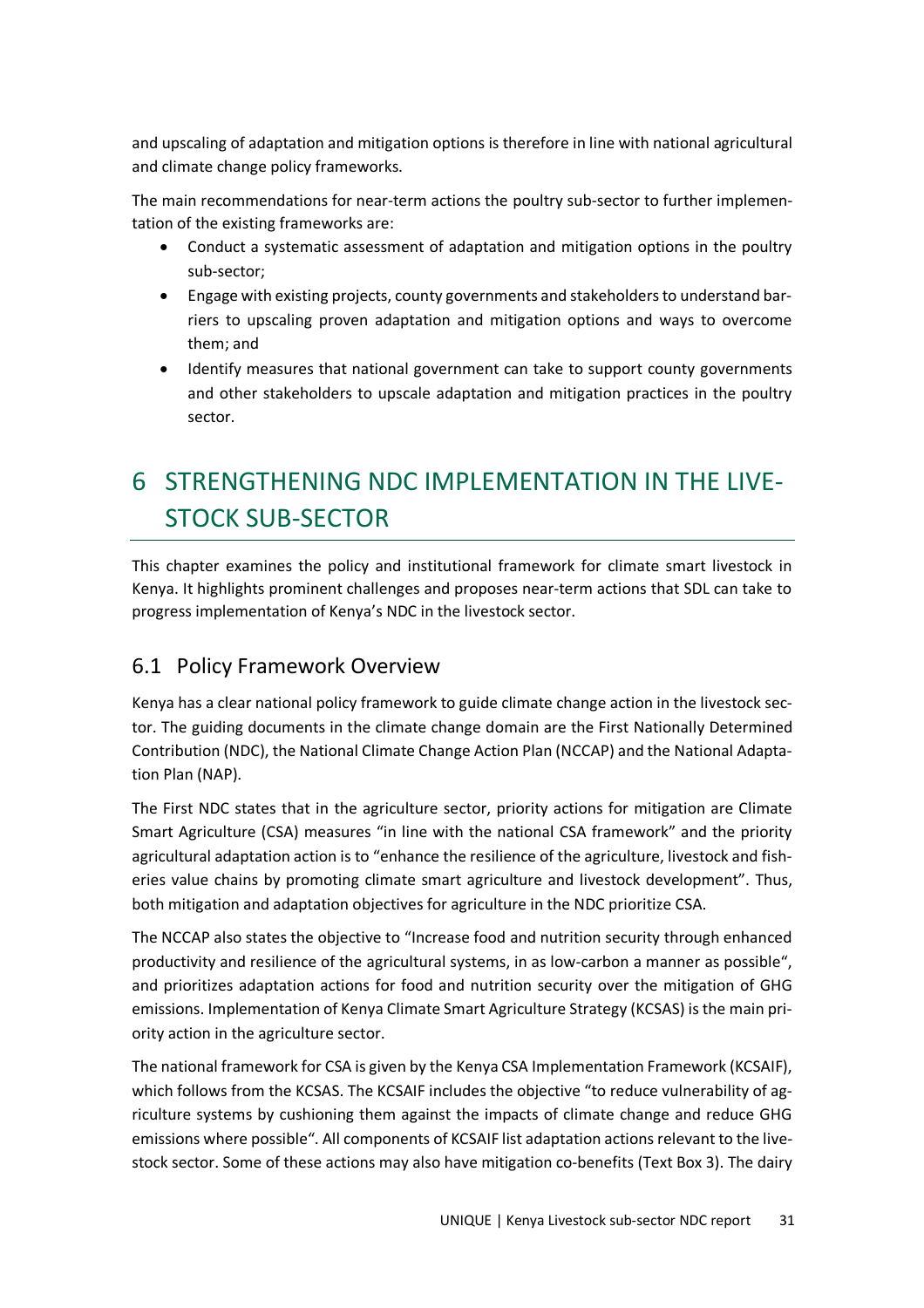and upscaling of adaptation and mitigation options is therefore in line with national agricultural and climate change policy frameworks.

The main recommendations for near-term actions the poultry sub-sector to further implementation of the existing frameworks are:

- Conduct a systematic assessment of adaptation and mitigation options in the poultry sub-sector;
- Engage with existing projects, county governments and stakeholders to understand barriers to upscaling proven adaptation and mitigation options and ways to overcome them; and
- Identify measures that national government can take to support county governments and other stakeholders to upscale adaptation and mitigation practices in the poultry sector.

# 6 STRENGTHENING NDC IMPLEMENTATION IN THE LIVE-STOCK SUB-SECTOR

This chapter examines the policy and institutional framework for climate smart livestock in Kenya. It highlights prominent challenges and proposes near-term actions that SDL can take to progress implementation of Kenya's NDC in the livestock sector.

## 6.1 Policy Framework Overview

Kenya has a clear national policy framework to guide climate change action in the livestock sector. The guiding documents in the climate change domain are the First Nationally Determined Contribution (NDC), the National Climate Change Action Plan (NCCAP) and the National Adaptation Plan (NAP).

The First NDC states that in the agriculture sector, priority actions for mitigation are Climate Smart Agriculture (CSA) measures "in line with the national CSA framework" and the priority agricultural adaptation action is to "enhance the resilience of the agriculture, livestock and fisheries value chains by promoting climate smart agriculture and livestock development". Thus, both mitigation and adaptation objectives for agriculture in the NDC prioritize CSA.

The NCCAP also states the objective to "Increase food and nutrition security through enhanced productivity and resilience of the agricultural systems, in as low-carbon a manner as possible", and prioritizes adaptation actions for food and nutrition security over the mitigation of GHG emissions. Implementation of Kenya Climate Smart Agriculture Strategy (KCSAS) is the main priority action in the agriculture sector.

The national framework for CSA is given by the Kenya CSA Implementation Framework (KCSAIF), which follows from the KCSAS. The KCSAIF includes the objective "to reduce vulnerability of agriculture systems by cushioning them against the impacts of climate change and reduce GHG emissions where possible". All components of KCSAIF list adaptation actions relevant to the livestock sector. Some of these actions may also have mitigation co-benefits (Text Box 3). The dairy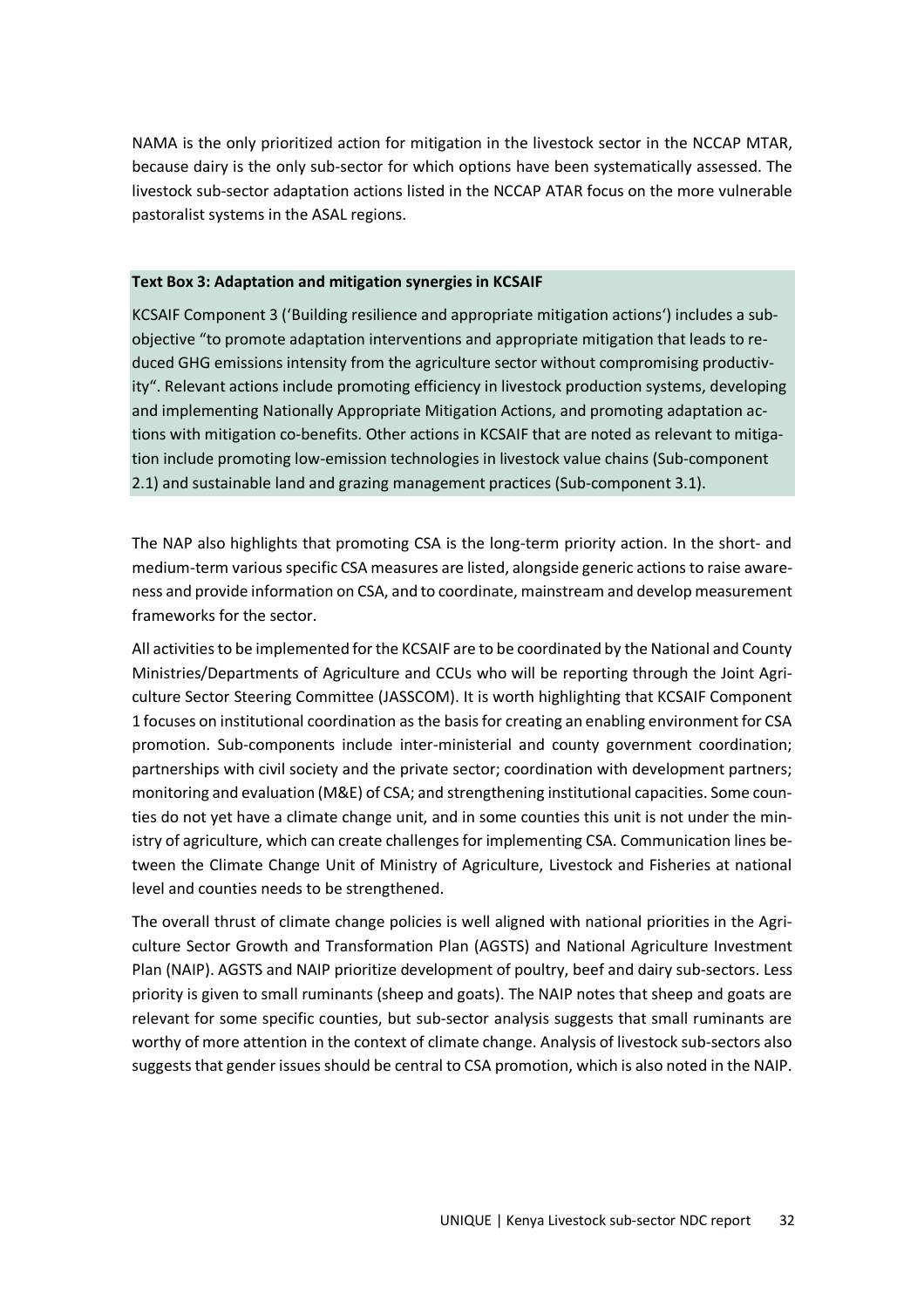NAMA is the only prioritized action for mitigation in the livestock sector in the NCCAP MTAR, because dairy is the only sub-sector for which options have been systematically assessed. The livestock sub-sector adaptation actions listed in the NCCAP ATAR focus on the more vulnerable pastoralist systems in the ASAL regions.

#### **Text Box 3: Adaptation and mitigation synergies in KCSAIF**

KCSAIF Component 3 ('Building resilience and appropriate mitigation actions') includes a subobjective "to promote adaptation interventions and appropriate mitigation that leads to reduced GHG emissions intensity from the agriculture sector without compromising productivity". Relevant actions include promoting efficiency in livestock production systems, developing and implementing Nationally Appropriate Mitigation Actions, and promoting adaptation actions with mitigation co-benefits. Other actions in KCSAIF that are noted as relevant to mitigation include promoting low-emission technologies in livestock value chains (Sub-component 2.1) and sustainable land and grazing management practices (Sub-component 3.1).

The NAP also highlights that promoting CSA is the long-term priority action. In the short- and medium-term various specific CSA measures are listed, alongside generic actions to raise awareness and provide information on CSA, and to coordinate, mainstream and develop measurement frameworks for the sector.

All activities to be implemented for the KCSAIF are to be coordinated by the National and County Ministries/Departments of Agriculture and CCUs who will be reporting through the Joint Agriculture Sector Steering Committee (JASSCOM). It is worth highlighting that KCSAIF Component 1 focuses on institutional coordination as the basis for creating an enabling environment for CSA promotion. Sub-components include inter-ministerial and county government coordination; partnerships with civil society and the private sector; coordination with development partners; monitoring and evaluation (M&E) of CSA; and strengthening institutional capacities. Some counties do not yet have a climate change unit, and in some counties this unit is not under the ministry of agriculture, which can create challenges for implementing CSA. Communication lines between the Climate Change Unit of Ministry of Agriculture, Livestock and Fisheries at national level and counties needs to be strengthened.

The overall thrust of climate change policies is well aligned with national priorities in the Agriculture Sector Growth and Transformation Plan (AGSTS) and National Agriculture Investment Plan (NAIP). AGSTS and NAIP prioritize development of poultry, beef and dairy sub-sectors. Less priority is given to small ruminants (sheep and goats). The NAIP notes that sheep and goats are relevant for some specific counties, but sub-sector analysis suggests that small ruminants are worthy of more attention in the context of climate change. Analysis of livestock sub-sectors also suggests that gender issues should be central to CSA promotion, which is also noted in the NAIP.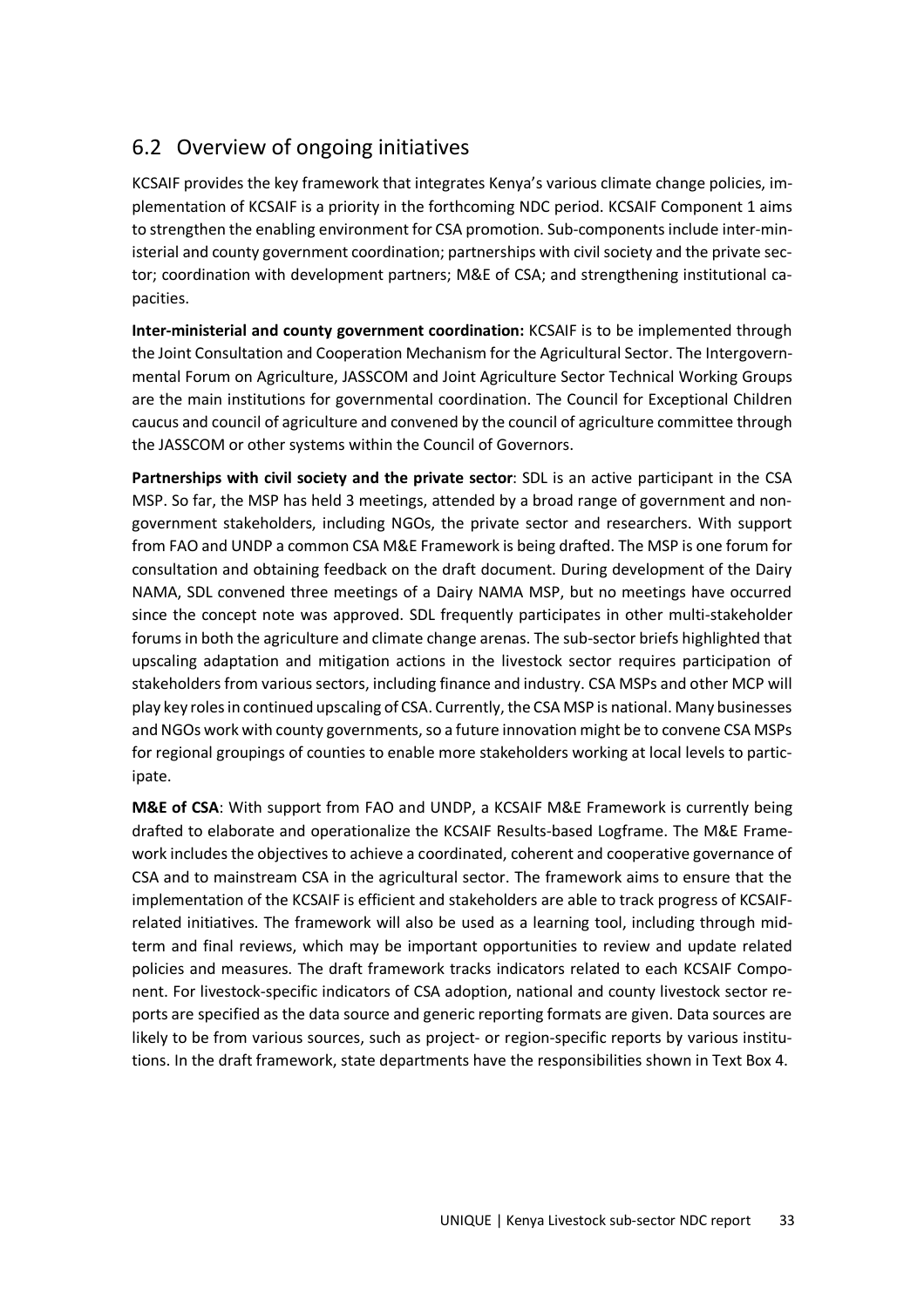## 6.2 Overview of ongoing initiatives

KCSAIF provides the key framework that integrates Kenya's various climate change policies, implementation of KCSAIF is a priority in the forthcoming NDC period. KCSAIF Component 1 aims to strengthen the enabling environment for CSA promotion. Sub-components include inter-ministerial and county government coordination; partnerships with civil society and the private sector; coordination with development partners; M&E of CSA; and strengthening institutional capacities.

**Inter-ministerial and county government coordination:** KCSAIF is to be implemented through the Joint Consultation and Cooperation Mechanism for the Agricultural Sector. The Intergovernmental Forum on Agriculture, JASSCOM and Joint Agriculture Sector Technical Working Groups are the main institutions for governmental coordination. The Council for Exceptional Children caucus and council of agriculture and convened by the council of agriculture committee through the JASSCOM or other systems within the Council of Governors.

**Partnerships with civil society and the private sector**: SDL is an active participant in the CSA MSP. So far, the MSP has held 3 meetings, attended by a broad range of government and nongovernment stakeholders, including NGOs, the private sector and researchers. With support from FAO and UNDP a common CSA M&E Framework is being drafted. The MSP is one forum for consultation and obtaining feedback on the draft document. During development of the Dairy NAMA, SDL convened three meetings of a Dairy NAMA MSP, but no meetings have occurred since the concept note was approved. SDL frequently participates in other multi-stakeholder forums in both the agriculture and climate change arenas. The sub-sector briefs highlighted that upscaling adaptation and mitigation actions in the livestock sector requires participation of stakeholders from various sectors, including finance and industry. CSA MSPs and other MCP will play key roles in continued upscaling of CSA. Currently, the CSA MSP is national. Many businesses and NGOs work with county governments, so a future innovation might be to convene CSA MSPs for regional groupings of counties to enable more stakeholders working at local levels to participate.

**M&E of CSA**: With support from FAO and UNDP, a KCSAIF M&E Framework is currently being drafted to elaborate and operationalize the KCSAIF Results-based Logframe. The M&E Framework includes the objectives to achieve a coordinated, coherent and cooperative governance of CSA and to mainstream CSA in the agricultural sector. The framework aims to ensure that the implementation of the KCSAIF is efficient and stakeholders are able to track progress of KCSAIFrelated initiatives. The framework will also be used as a learning tool, including through midterm and final reviews, which may be important opportunities to review and update related policies and measures. The draft framework tracks indicators related to each KCSAIF Component. For livestock-specific indicators of CSA adoption, national and county livestock sector reports are specified as the data source and generic reporting formats are given. Data sources are likely to be from various sources, such as project- or region-specific reports by various institutions. In the draft framework, state departments have the responsibilities shown in Text Box 4.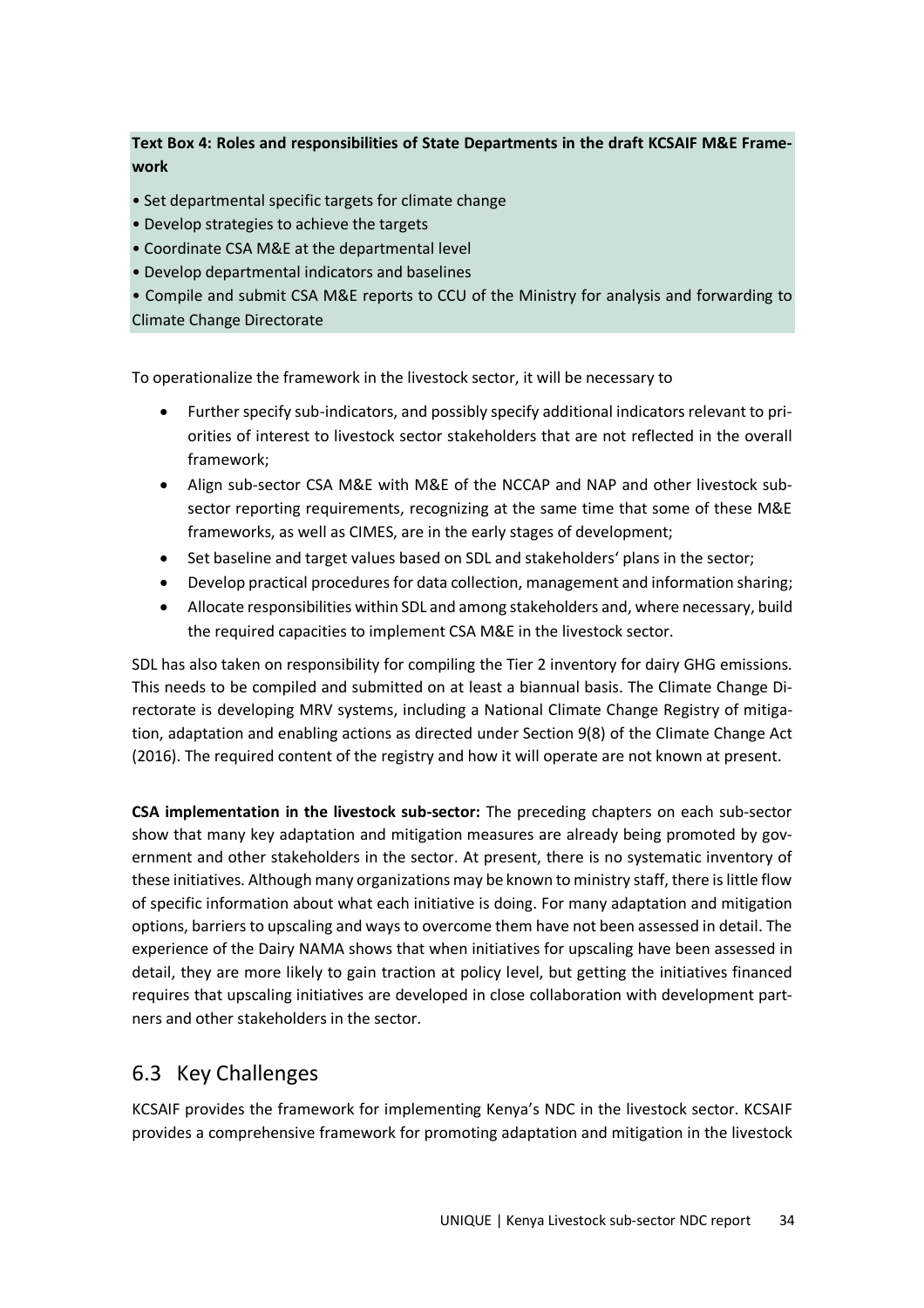#### **Text Box 4: Roles and responsibilities of State Departments in the draft KCSAIF M&E Framework**

- Set departmental specific targets for climate change
- Develop strategies to achieve the targets
- Coordinate CSA M&E at the departmental level
- Develop departmental indicators and baselines

• Compile and submit CSA M&E reports to CCU of the Ministry for analysis and forwarding to Climate Change Directorate

To operationalize the framework in the livestock sector, it will be necessary to

- Further specify sub-indicators, and possibly specify additional indicators relevant to priorities of interest to livestock sector stakeholders that are not reflected in the overall framework;
- Align sub-sector CSA M&E with M&E of the NCCAP and NAP and other livestock subsector reporting requirements, recognizing at the same time that some of these M&E frameworks, as well as CIMES, are in the early stages of development;
- Set baseline and target values based on SDL and stakeholders' plans in the sector;
- Develop practical procedures for data collection, management and information sharing;
- Allocate responsibilities within SDL and among stakeholders and, where necessary, build the required capacities to implement CSA M&E in the livestock sector.

SDL has also taken on responsibility for compiling the Tier 2 inventory for dairy GHG emissions. This needs to be compiled and submitted on at least a biannual basis. The Climate Change Directorate is developing MRV systems, including a National Climate Change Registry of mitigation, adaptation and enabling actions as directed under Section 9(8) of the Climate Change Act (2016). The required content of the registry and how it will operate are not known at present.

**CSA implementation in the livestock sub-sector:** The preceding chapters on each sub-sector show that many key adaptation and mitigation measures are already being promoted by government and other stakeholders in the sector. At present, there is no systematic inventory of these initiatives. Although many organizations may be known to ministry staff, there is little flow of specific information about what each initiative is doing. For many adaptation and mitigation options, barriers to upscaling and ways to overcome them have not been assessed in detail. The experience of the Dairy NAMA shows that when initiatives for upscaling have been assessed in detail, they are more likely to gain traction at policy level, but getting the initiatives financed requires that upscaling initiatives are developed in close collaboration with development partners and other stakeholders in the sector.

### 6.3 Key Challenges

KCSAIF provides the framework for implementing Kenya's NDC in the livestock sector. KCSAIF provides a comprehensive framework for promoting adaptation and mitigation in the livestock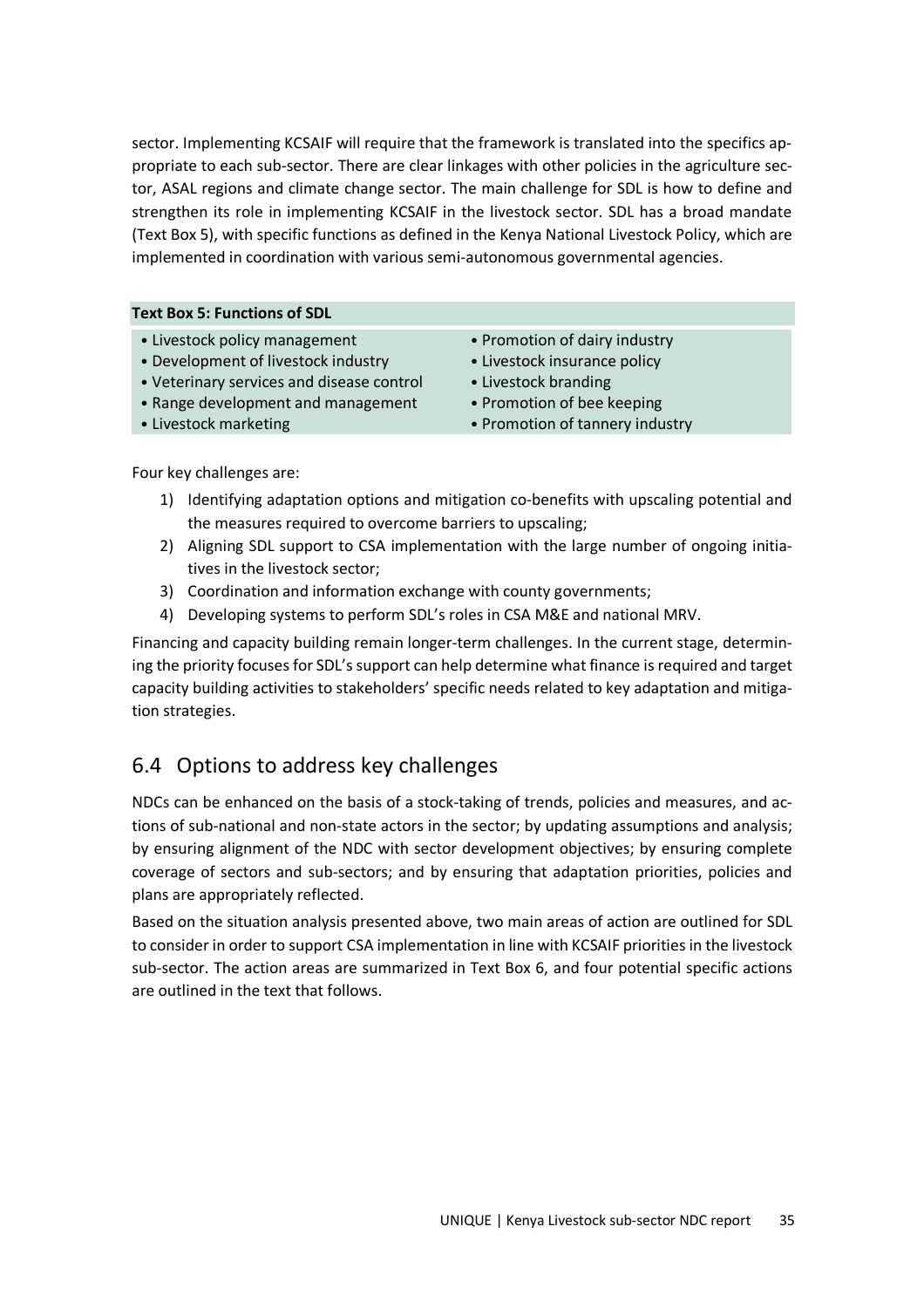sector. Implementing KCSAIF will require that the framework is translated into the specifics appropriate to each sub-sector. There are clear linkages with other policies in the agriculture sector, ASAL regions and climate change sector. The main challenge for SDL is how to define and strengthen its role in implementing KCSAIF in the livestock sector. SDL has a broad mandate (Text Box 5), with specific functions as defined in the Kenya National Livestock Policy, which are implemented in coordination with various semi-autonomous governmental agencies.

#### **Text Box 5: Functions of SDL**

- Livestock policy management
- Development of livestock industry
- Veterinary services and disease control
- Range development and management
- Livestock marketing
- Promotion of dairy industry
- Livestock insurance policy
- Livestock branding
- Promotion of bee keeping
- Promotion of tannery industry

Four key challenges are:

- 1) Identifying adaptation options and mitigation co-benefits with upscaling potential and the measures required to overcome barriers to upscaling;
- 2) Aligning SDL support to CSA implementation with the large number of ongoing initiatives in the livestock sector;
- 3) Coordination and information exchange with county governments;
- 4) Developing systems to perform SDL's roles in CSA M&E and national MRV.

Financing and capacity building remain longer-term challenges. In the current stage, determining the priority focuses for SDL's support can help determine what finance is required and target capacity building activities to stakeholders' specific needs related to key adaptation and mitigation strategies.

## 6.4 Options to address key challenges

NDCs can be enhanced on the basis of a stock-taking of trends, policies and measures, and actions of sub-national and non-state actors in the sector; by updating assumptions and analysis; by ensuring alignment of the NDC with sector development objectives; by ensuring complete coverage of sectors and sub-sectors; and by ensuring that adaptation priorities, policies and plans are appropriately reflected.

Based on the situation analysis presented above, two main areas of action are outlined for SDL to consider in order to support CSA implementation in line with KCSAIF priorities in the livestock sub-sector. The action areas are summarized in Text Box 6, and four potential specific actions are outlined in the text that follows.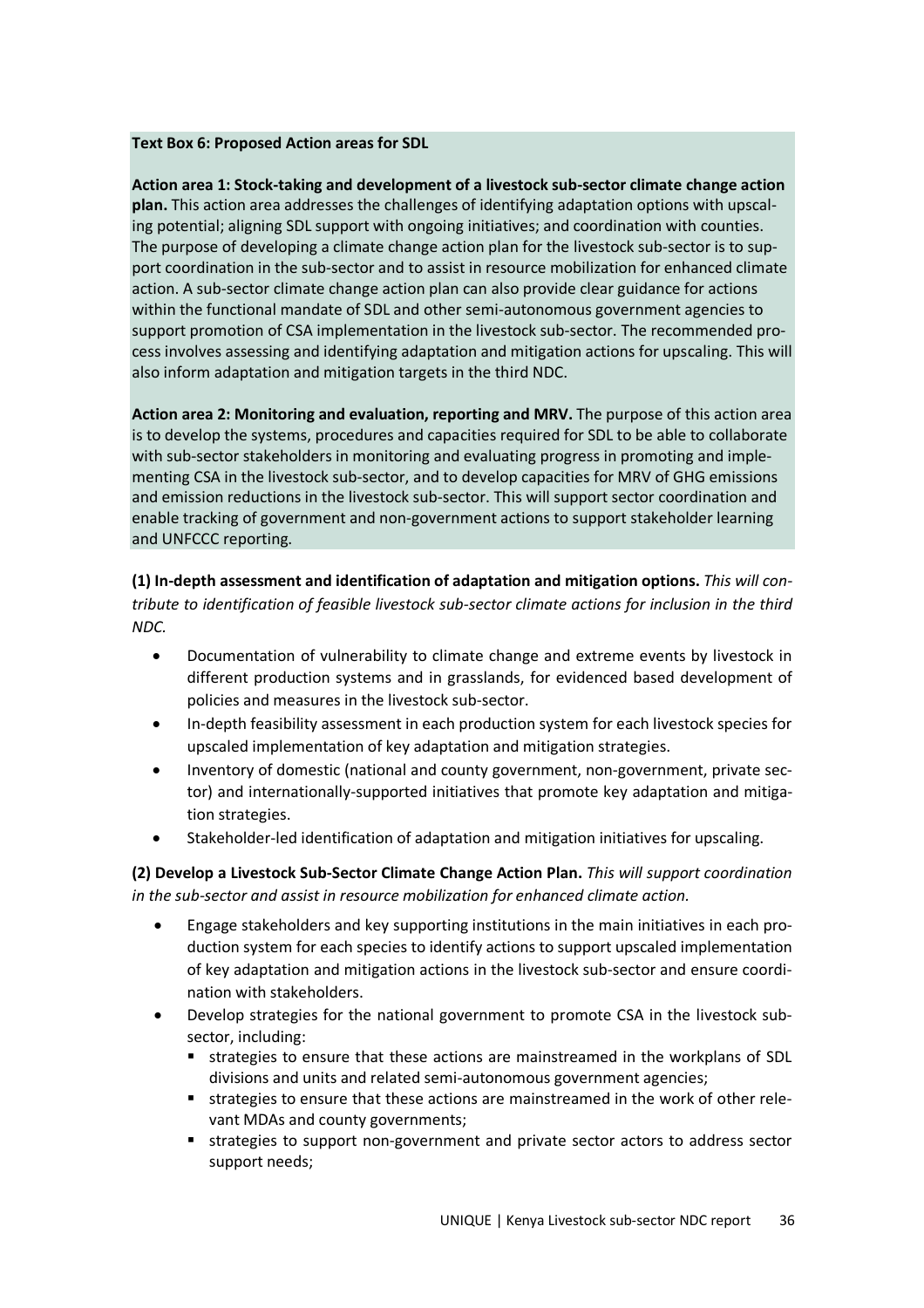#### **Text Box 6: Proposed Action areas for SDL**

**Action area 1: Stock-taking and development of a livestock sub-sector climate change action plan.** This action area addresses the challenges of identifying adaptation options with upscaling potential; aligning SDL support with ongoing initiatives; and coordination with counties. The purpose of developing a climate change action plan for the livestock sub-sector is to support coordination in the sub-sector and to assist in resource mobilization for enhanced climate action. A sub-sector climate change action plan can also provide clear guidance for actions within the functional mandate of SDL and other semi-autonomous government agencies to support promotion of CSA implementation in the livestock sub-sector. The recommended process involves assessing and identifying adaptation and mitigation actions for upscaling. This will also inform adaptation and mitigation targets in the third NDC.

**Action area 2: Monitoring and evaluation, reporting and MRV.** The purpose of this action area is to develop the systems, procedures and capacities required for SDL to be able to collaborate with sub-sector stakeholders in monitoring and evaluating progress in promoting and implementing CSA in the livestock sub-sector, and to develop capacities for MRV of GHG emissions and emission reductions in the livestock sub-sector. This will support sector coordination and enable tracking of government and non-government actions to support stakeholder learning and UNFCCC reporting.

**(1) In-depth assessment and identification of adaptation and mitigation options.** *This will contribute to identification of feasible livestock sub-sector climate actions for inclusion in the third NDC.*

- Documentation of vulnerability to climate change and extreme events by livestock in different production systems and in grasslands, for evidenced based development of policies and measures in the livestock sub-sector.
- In-depth feasibility assessment in each production system for each livestock species for upscaled implementation of key adaptation and mitigation strategies.
- Inventory of domestic (national and county government, non-government, private sector) and internationally-supported initiatives that promote key adaptation and mitigation strategies.
- Stakeholder-led identification of adaptation and mitigation initiatives for upscaling.

**(2) Develop a Livestock Sub-Sector Climate Change Action Plan.** *This will support coordination in the sub-sector and assist in resource mobilization for enhanced climate action.*

- Engage stakeholders and key supporting institutions in the main initiatives in each production system for each species to identify actions to support upscaled implementation of key adaptation and mitigation actions in the livestock sub-sector and ensure coordination with stakeholders.
- Develop strategies for the national government to promote CSA in the livestock subsector, including:
	- **strategies to ensure that these actions are mainstreamed in the workplans of SDL** divisions and units and related semi-autonomous government agencies;
	- strategies to ensure that these actions are mainstreamed in the work of other relevant MDAs and county governments;
	- strategies to support non-government and private sector actors to address sector support needs;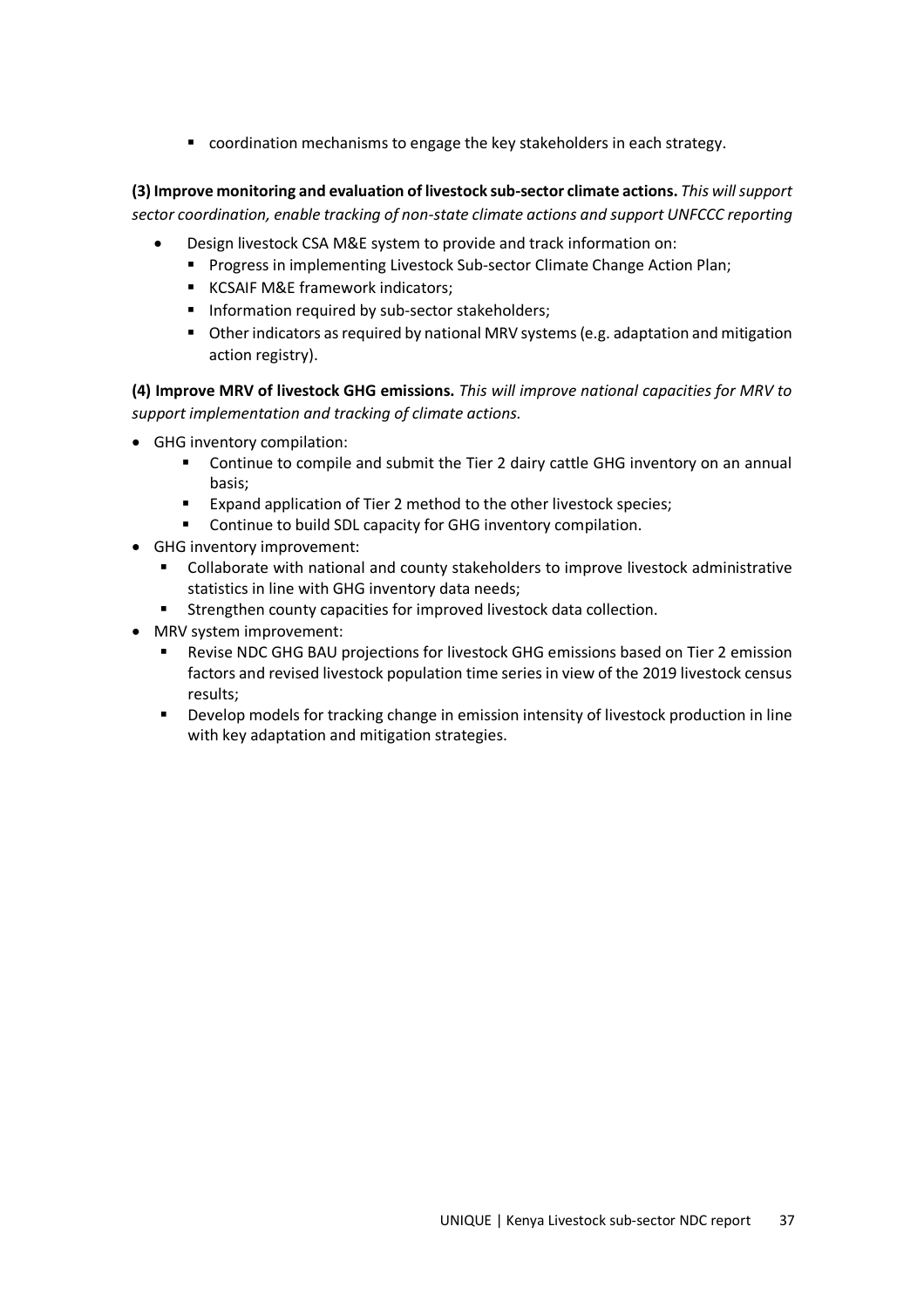coordination mechanisms to engage the key stakeholders in each strategy.

**(3) Improve monitoring and evaluation of livestock sub-sector climate actions.** *This will support sector coordination, enable tracking of non-state climate actions and support UNFCCC reporting*

- Design livestock CSA M&E system to provide and track information on:
	- **Progress in implementing Livestock Sub-sector Climate Change Action Plan;**
	- **KCSAIF M&E framework indicators:**
	- **Information required by sub-sector stakeholders;**
	- Other indicators as required by national MRV systems (e.g. adaptation and mitigation action registry).

**(4) Improve MRV of livestock GHG emissions.** *This will improve national capacities for MRV to support implementation and tracking of climate actions.*

- GHG inventory compilation:
	- Continue to compile and submit the Tier 2 dairy cattle GHG inventory on an annual basis;
	- **Expand application of Tier 2 method to the other livestock species;**
	- **EXECONTINUM** Continue to build SDL capacity for GHG inventory compilation.
- GHG inventory improvement:
	- Collaborate with national and county stakeholders to improve livestock administrative statistics in line with GHG inventory data needs;
	- **Strengthen county capacities for improved livestock data collection.**
- MRV system improvement:
	- Revise NDC GHG BAU projections for livestock GHG emissions based on Tier 2 emission factors and revised livestock population time series in view of the 2019 livestock census results;
	- Develop models for tracking change in emission intensity of livestock production in line with key adaptation and mitigation strategies.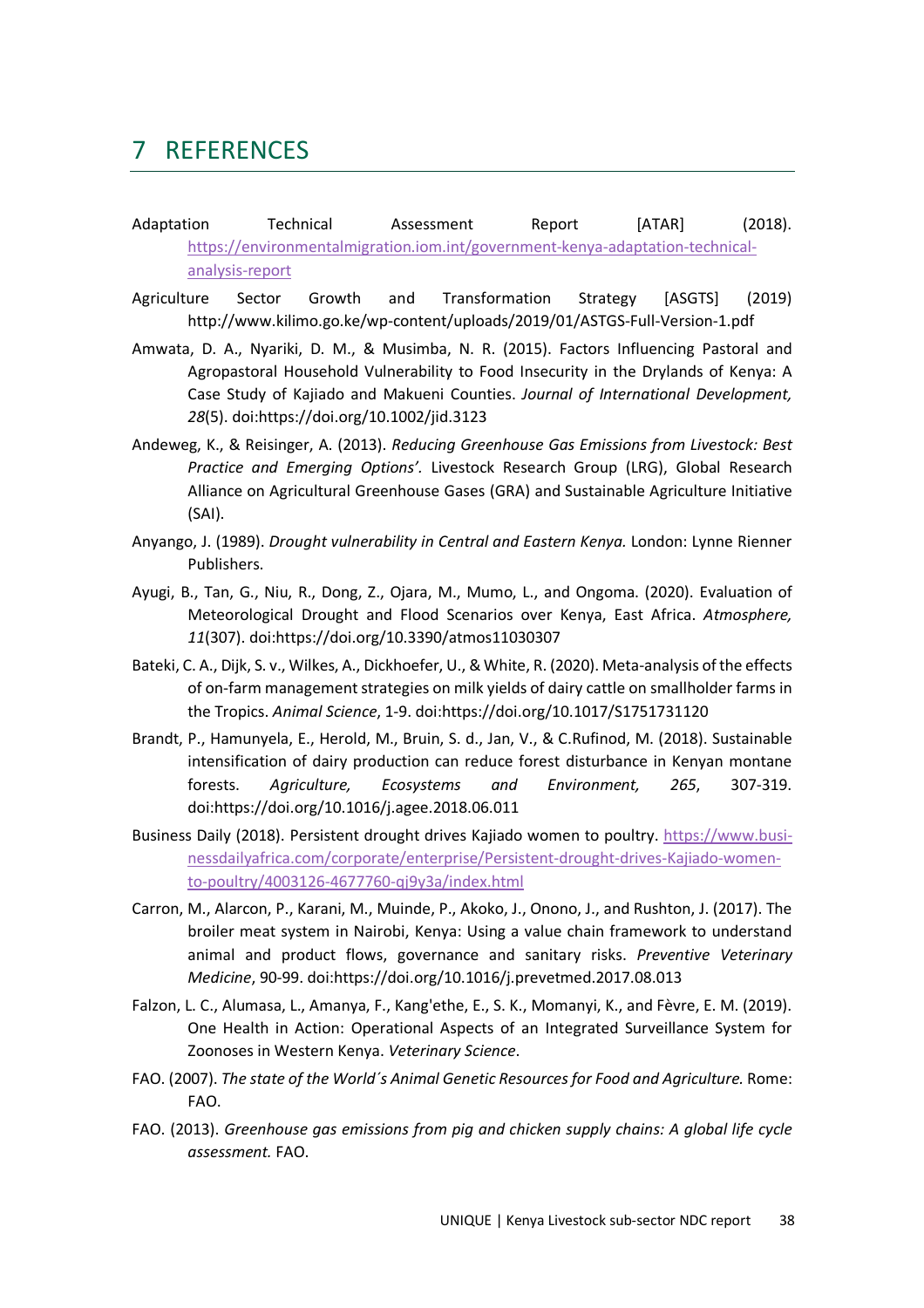## 7 REFERENCES

- Adaptation Technical Assessment Report [ATAR] (2018). https://environmentalmigration.iom.int/government-kenya-adaptation-technicalanalysis-report
- Agriculture Sector Growth and Transformation Strategy [ASGTS] (2019) http://www.kilimo.go.ke/wp-content/uploads/2019/01/ASTGS-Full-Version-1.pdf
- Amwata, D. A., Nyariki, D. M., & Musimba, N. R. (2015). Factors Influencing Pastoral and Agropastoral Household Vulnerability to Food Insecurity in the Drylands of Kenya: A Case Study of Kajiado and Makueni Counties. *Journal of International Development, 28*(5). doi:https://doi.org/10.1002/jid.3123
- Andeweg, K., & Reisinger, A. (2013). *Reducing Greenhouse Gas Emissions from Livestock: Best Practice and Emerging Options'.* Livestock Research Group (LRG), Global Research Alliance on Agricultural Greenhouse Gases (GRA) and Sustainable Agriculture Initiative (SAI).
- Anyango, J. (1989). *Drought vulnerability in Central and Eastern Kenya.* London: Lynne Rienner Publishers.
- Ayugi, B., Tan, G., Niu, R., Dong, Z., Ojara, M., Mumo, L., and Ongoma. (2020). Evaluation of Meteorological Drought and Flood Scenarios over Kenya, East Africa. *Atmosphere, 11*(307). doi:https://doi.org/10.3390/atmos11030307
- Bateki, C. A., Dijk, S. v., Wilkes, A., Dickhoefer, U., & White, R. (2020). Meta-analysis of the effects of on-farm management strategies on milk yields of dairy cattle on smallholder farms in the Tropics. *Animal Science*, 1-9. doi:https://doi.org/10.1017/S1751731120
- Brandt, P., Hamunyela, E., Herold, M., Bruin, S. d., Jan, V., & C.Rufinod, M. (2018). Sustainable intensification of dairy production can reduce forest disturbance in Kenyan montane forests. *Agriculture, Ecosystems and Environment, 265*, 307-319. doi:https://doi.org/10.1016/j.agee.2018.06.011
- Business Daily (2018). Persistent drought drives Kajiado women to poultry. https://www.businessdailyafrica.com/corporate/enterprise/Persistent-drought-drives-Kajiado-womento-poultry/4003126-4677760-qj9y3a/index.html
- Carron, M., Alarcon, P., Karani, M., Muinde, P., Akoko, J., Onono, J., and Rushton, J. (2017). The broiler meat system in Nairobi, Kenya: Using a value chain framework to understand animal and product flows, governance and sanitary risks. *Preventive Veterinary Medicine*, 90-99. doi:https://doi.org/10.1016/j.prevetmed.2017.08.013
- Falzon, L. C., Alumasa, L., Amanya, F., Kang'ethe, E., S. K., Momanyi, K., and Fèvre, E. M. (2019). One Health in Action: Operational Aspects of an Integrated Surveillance System for Zoonoses in Western Kenya. *Veterinary Science*.
- FAO. (2007). *The state of the World´s Animal Genetic Resources for Food and Agriculture.* Rome: FAO.
- FAO. (2013). *Greenhouse gas emissions from pig and chicken supply chains: A global life cycle assessment.* FAO.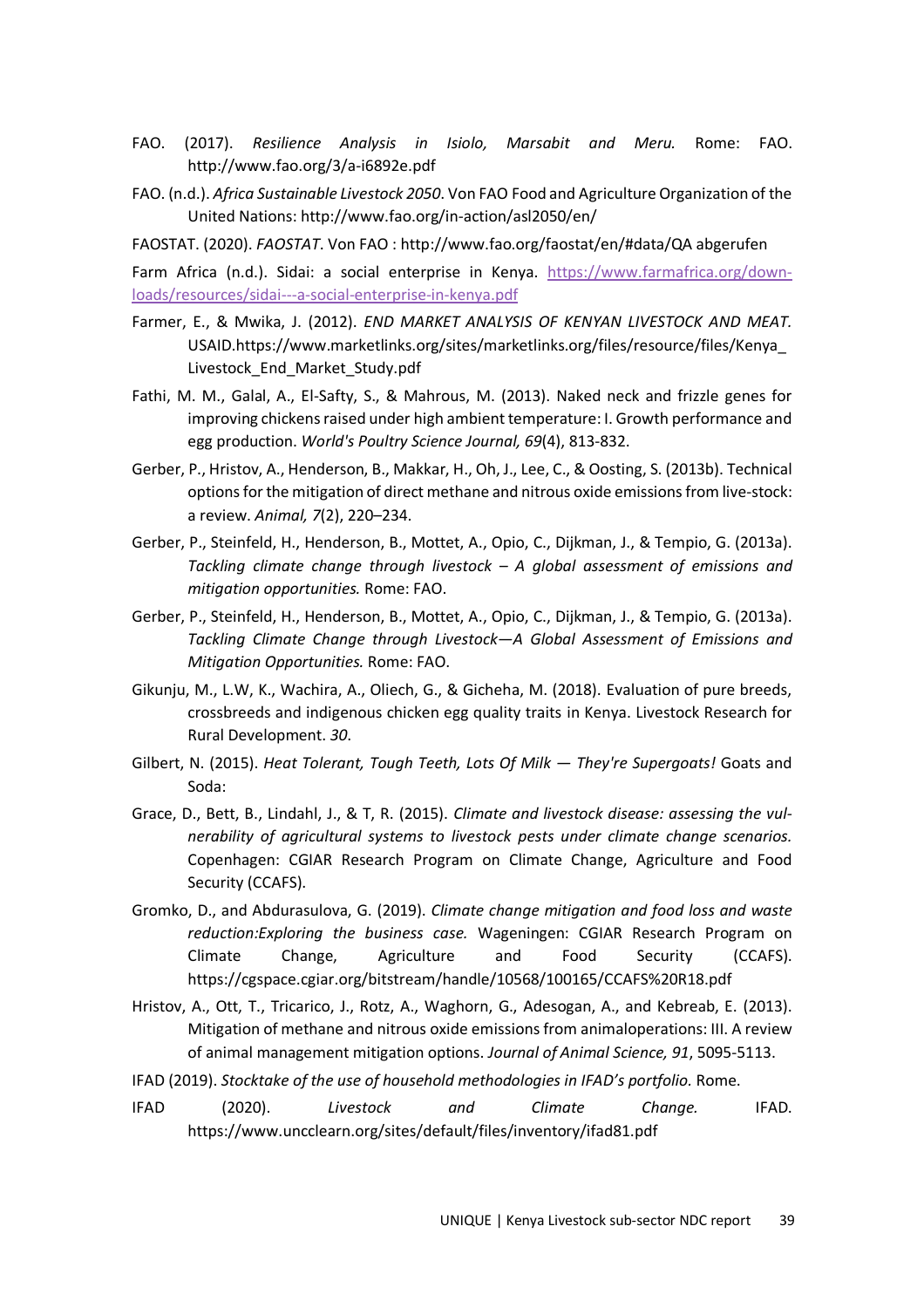- FAO. (2017). *Resilience Analysis in Isiolo, Marsabit and Meru.* Rome: FAO. http://www.fao.org/3/a-i6892e.pdf
- FAO. (n.d.). *Africa Sustainable Livestock 2050*. Von FAO Food and Agriculture Organization of the United Nations: http://www.fao.org/in-action/asl2050/en/

FAOSTAT. (2020). *FAOSTAT*. Von FAO : http://www.fao.org/faostat/en/#data/QA abgerufen

Farm Africa (n.d.). Sidai: a social enterprise in Kenya. https://www.farmafrica.org/downloads/resources/sidai---a-social-enterprise-in-kenya.pdf

- Farmer, E., & Mwika, J. (2012). *END MARKET ANALYSIS OF KENYAN LIVESTOCK AND MEAT.* USAID.https://www.marketlinks.org/sites/marketlinks.org/files/resource/files/Kenya\_ Livestock\_End\_Market\_Study.pdf
- Fathi, M. M., Galal, A., El-Safty, S., & Mahrous, M. (2013). Naked neck and frizzle genes for improving chickens raised under high ambient temperature: I. Growth performance and egg production. *World's Poultry Science Journal, 69*(4), 813-832.
- Gerber, P., Hristov, A., Henderson, B., Makkar, H., Oh, J., Lee, C., & Oosting, S. (2013b). Technical options for the mitigation of direct methane and nitrous oxide emissions from live-stock: a review. *Animal, 7*(2), 220–234.
- Gerber, P., Steinfeld, H., Henderson, B., Mottet, A., Opio, C., Dijkman, J., & Tempio, G. (2013a). *Tackling climate change through livestock – A global assessment of emissions and mitigation opportunities.* Rome: FAO.
- Gerber, P., Steinfeld, H., Henderson, B., Mottet, A., Opio, C., Dijkman, J., & Tempio, G. (2013a). *Tackling Climate Change through Livestock—A Global Assessment of Emissions and Mitigation Opportunities.* Rome: FAO.
- Gikunju, M., L.W, K., Wachira, A., Oliech, G., & Gicheha, M. (2018). Evaluation of pure breeds, crossbreeds and indigenous chicken egg quality traits in Kenya. Livestock Research for Rural Development. *30*.
- Gilbert, N. (2015). *Heat Tolerant, Tough Teeth, Lots Of Milk They're Supergoats!* Goats and Soda:
- Grace, D., Bett, B., Lindahl, J., & T, R. (2015). *Climate and livestock disease: assessing the vulnerability of agricultural systems to livestock pests under climate change scenarios.* Copenhagen: CGIAR Research Program on Climate Change, Agriculture and Food Security (CCAFS).
- Gromko, D., and Abdurasulova, G. (2019). *Climate change mitigation and food loss and waste reduction:Exploring the business case.* Wageningen: CGIAR Research Program on Climate Change, Agriculture and Food Security (CCAFS). https://cgspace.cgiar.org/bitstream/handle/10568/100165/CCAFS%20R18.pdf
- Hristov, A., Ott, T., Tricarico, J., Rotz, A., Waghorn, G., Adesogan, A., and Kebreab, E. (2013). Mitigation of methane and nitrous oxide emissions from animaloperations: III. A review of animal management mitigation options. *Journal of Animal Science, 91*, 5095-5113.
- IFAD (2019). *Stocktake of the use of household methodologies in IFAD's portfolio.* Rome.
- IFAD (2020). *Livestock and Climate Change.* IFAD. https://www.uncclearn.org/sites/default/files/inventory/ifad81.pdf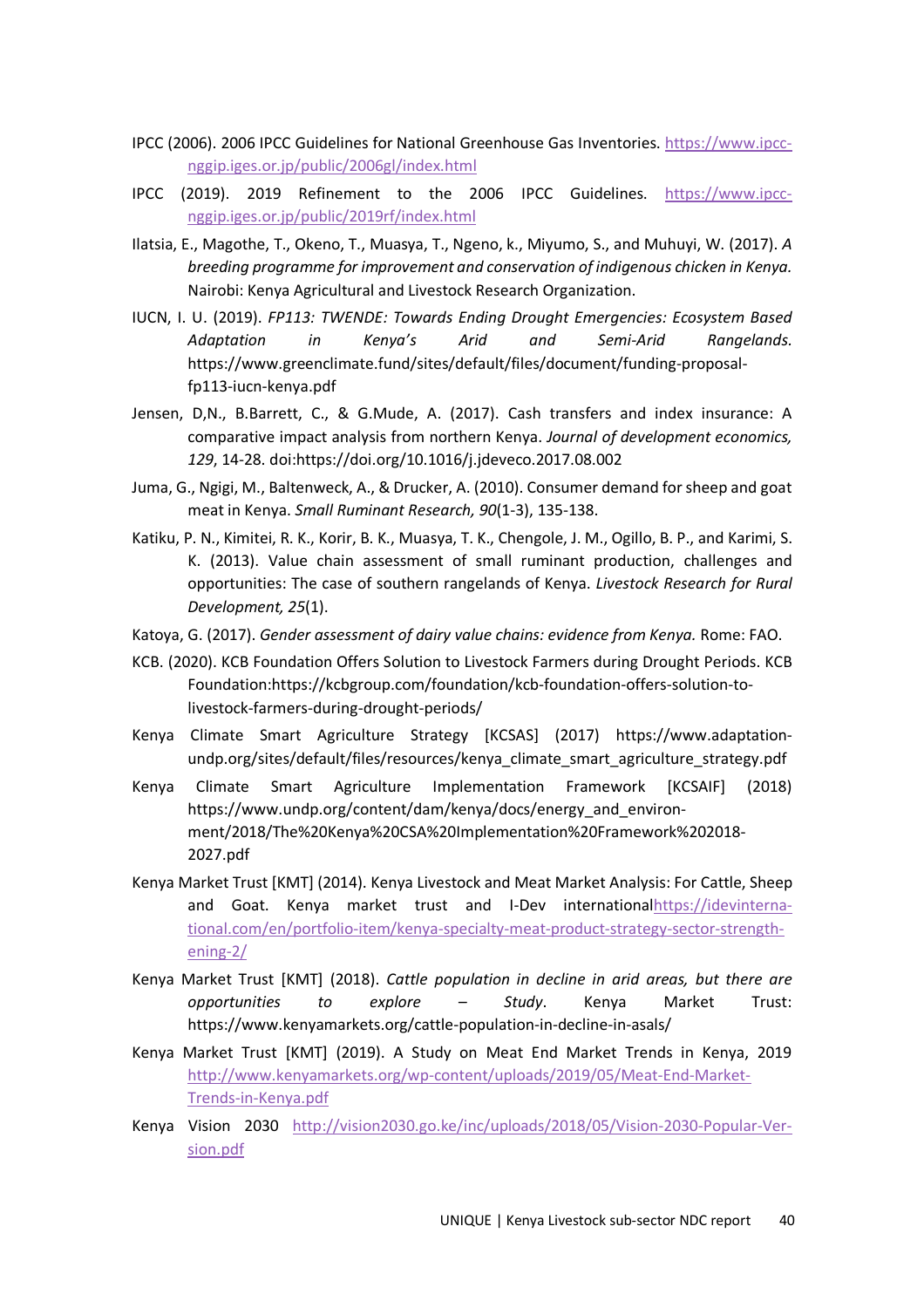- IPCC (2006). 2006 IPCC Guidelines for National Greenhouse Gas Inventories. https://www.ipccnggip.iges.or.jp/public/2006gl/index.html
- IPCC (2019). 2019 Refinement to the 2006 IPCC Guidelines. https://www.ipccnggip.iges.or.jp/public/2019rf/index.html
- Ilatsia, E., Magothe, T., Okeno, T., Muasya, T., Ngeno, k., Miyumo, S., and Muhuyi, W. (2017). *A breeding programme for improvement and conservation of indigenous chicken in Kenya.* Nairobi: Kenya Agricultural and Livestock Research Organization.
- IUCN, I. U. (2019). *FP113: TWENDE: Towards Ending Drought Emergencies: Ecosystem Based Adaptation in Kenya's Arid and Semi-Arid Rangelands.* https://www.greenclimate.fund/sites/default/files/document/funding-proposalfp113-iucn-kenya.pdf
- Jensen, D,N., B.Barrett, C., & G.Mude, A. (2017). Cash transfers and index insurance: A comparative impact analysis from northern Kenya. *Journal of development economics, 129*, 14-28. doi:https://doi.org/10.1016/j.jdeveco.2017.08.002
- Juma, G., Ngigi, M., Baltenweck, A., & Drucker, A. (2010). Consumer demand for sheep and goat meat in Kenya. *Small Ruminant Research, 90*(1-3), 135-138.
- Katiku, P. N., Kimitei, R. K., Korir, B. K., Muasya, T. K., Chengole, J. M., Ogillo, B. P., and Karimi, S. K. (2013). Value chain assessment of small ruminant production, challenges and opportunities: The case of southern rangelands of Kenya. *Livestock Research for Rural Development, 25*(1).
- Katoya, G. (2017). *Gender assessment of dairy value chains: evidence from Kenya.* Rome: FAO.
- KCB. (2020). KCB Foundation Offers Solution to Livestock Farmers during Drought Periods. KCB Foundation:https://kcbgroup.com/foundation/kcb-foundation-offers-solution-tolivestock-farmers-during-drought-periods/
- Kenya Climate Smart Agriculture Strategy [KCSAS] (2017) https://www.adaptationundp.org/sites/default/files/resources/kenya\_climate\_smart\_agriculture\_strategy.pdf
- Kenya Climate Smart Agriculture Implementation Framework [KCSAIF] (2018) https://www.undp.org/content/dam/kenya/docs/energy\_and\_environment/2018/The%20Kenya%20CSA%20Implementation%20Framework%202018- 2027.pdf
- Kenya Market Trust [KMT] (2014). Kenya Livestock and Meat Market Analysis: For Cattle, Sheep and Goat. Kenya market trust and I-Dev internationalhttps://idevinternational.com/en/portfolio-item/kenya-specialty-meat-product-strategy-sector-strengthening-2/
- Kenya Market Trust [KMT] (2018). *Cattle population in decline in arid areas, but there are opportunities to explore – Study*. Kenya Market Trust: https://www.kenyamarkets.org/cattle-population-in-decline-in-asals/
- Kenya Market Trust [KMT] (2019). A Study on Meat End Market Trends in Kenya, 2019 http://www.kenyamarkets.org/wp-content/uploads/2019/05/Meat-End-Market-Trends-in-Kenya.pdf
- Kenya Vision 2030 http://vision2030.go.ke/inc/uploads/2018/05/Vision-2030-Popular-Version.pdf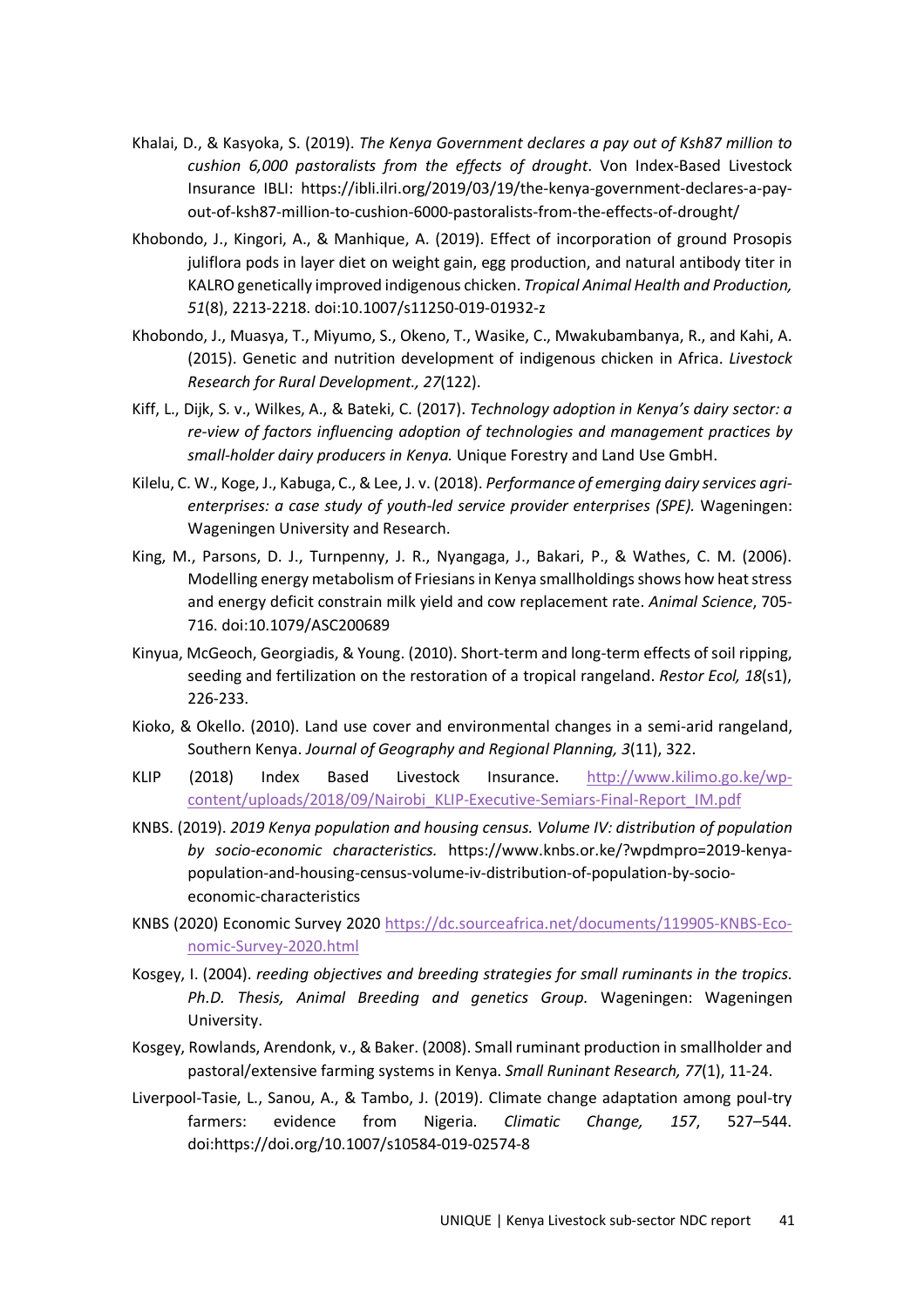- Khalai, D., & Kasyoka, S. (2019). *The Kenya Government declares a pay out of Ksh87 million to cushion 6,000 pastoralists from the effects of drought*. Von Index-Based Livestock Insurance IBLI: https://ibli.ilri.org/2019/03/19/the-kenya-government-declares-a-payout-of-ksh87-million-to-cushion-6000-pastoralists-from-the-effects-of-drought/
- Khobondo, J., Kingori, A., & Manhique, A. (2019). Effect of incorporation of ground Prosopis juliflora pods in layer diet on weight gain, egg production, and natural antibody titer in KALRO genetically improved indigenous chicken. *Tropical Animal Health and Production, 51*(8), 2213-2218. doi:10.1007/s11250-019-01932-z
- Khobondo, J., Muasya, T., Miyumo, S., Okeno, T., Wasike, C., Mwakubambanya, R., and Kahi, A. (2015). Genetic and nutrition development of indigenous chicken in Africa. *Livestock Research for Rural Development., 27*(122).
- Kiff, L., Dijk, S. v., Wilkes, A., & Bateki, C. (2017). *Technology adoption in Kenya's dairy sector: a re-view of factors influencing adoption of technologies and management practices by small-holder dairy producers in Kenya.* Unique Forestry and Land Use GmbH.
- Kilelu, C. W., Koge, J., Kabuga, C., & Lee, J. v. (2018). *Performance of emerging dairy services agrienterprises: a case study of youth-led service provider enterprises (SPE).* Wageningen: Wageningen University and Research.
- King, M., Parsons, D. J., Turnpenny, J. R., Nyangaga, J., Bakari, P., & Wathes, C. M. (2006). Modelling energy metabolism of Friesians in Kenya smallholdings shows how heat stress and energy deficit constrain milk yield and cow replacement rate. *Animal Science*, 705- 716. doi:10.1079/ASC200689
- Kinyua, McGeoch, Georgiadis, & Young. (2010). Short-term and long-term effects of soil ripping, seeding and fertilization on the restoration of a tropical rangeland. *Restor Ecol, 18*(s1), 226-233.
- Kioko, & Okello. (2010). Land use cover and environmental changes in a semi-arid rangeland, Southern Kenya. *Journal of Geography and Regional Planning, 3*(11), 322.
- KLIP (2018) Index Based Livestock Insurance. http://www.kilimo.go.ke/wpcontent/uploads/2018/09/Nairobi\_KLIP-Executive-Semiars-Final-Report\_IM.pdf
- KNBS. (2019). *2019 Kenya population and housing census. Volume IV: distribution of population by socio-economic characteristics.* https://www.knbs.or.ke/?wpdmpro=2019-kenyapopulation-and-housing-census-volume-iv-distribution-of-population-by-socioeconomic-characteristics
- KNBS (2020) Economic Survey 2020 https://dc.sourceafrica.net/documents/119905-KNBS-Economic-Survey-2020.html
- Kosgey, I. (2004). *reeding objectives and breeding strategies for small ruminants in the tropics. Ph.D. Thesis, Animal Breeding and genetics Group.* Wageningen: Wageningen University.
- Kosgey, Rowlands, Arendonk, v., & Baker. (2008). Small ruminant production in smallholder and pastoral/extensive farming systems in Kenya. *Small Runinant Research, 77*(1), 11-24.
- Liverpool-Tasie, L., Sanou, A., & Tambo, J. (2019). Climate change adaptation among poul-try farmers: evidence from Nigeria. *Climatic Change, 157*, 527–544. doi:https://doi.org/10.1007/s10584-019-02574-8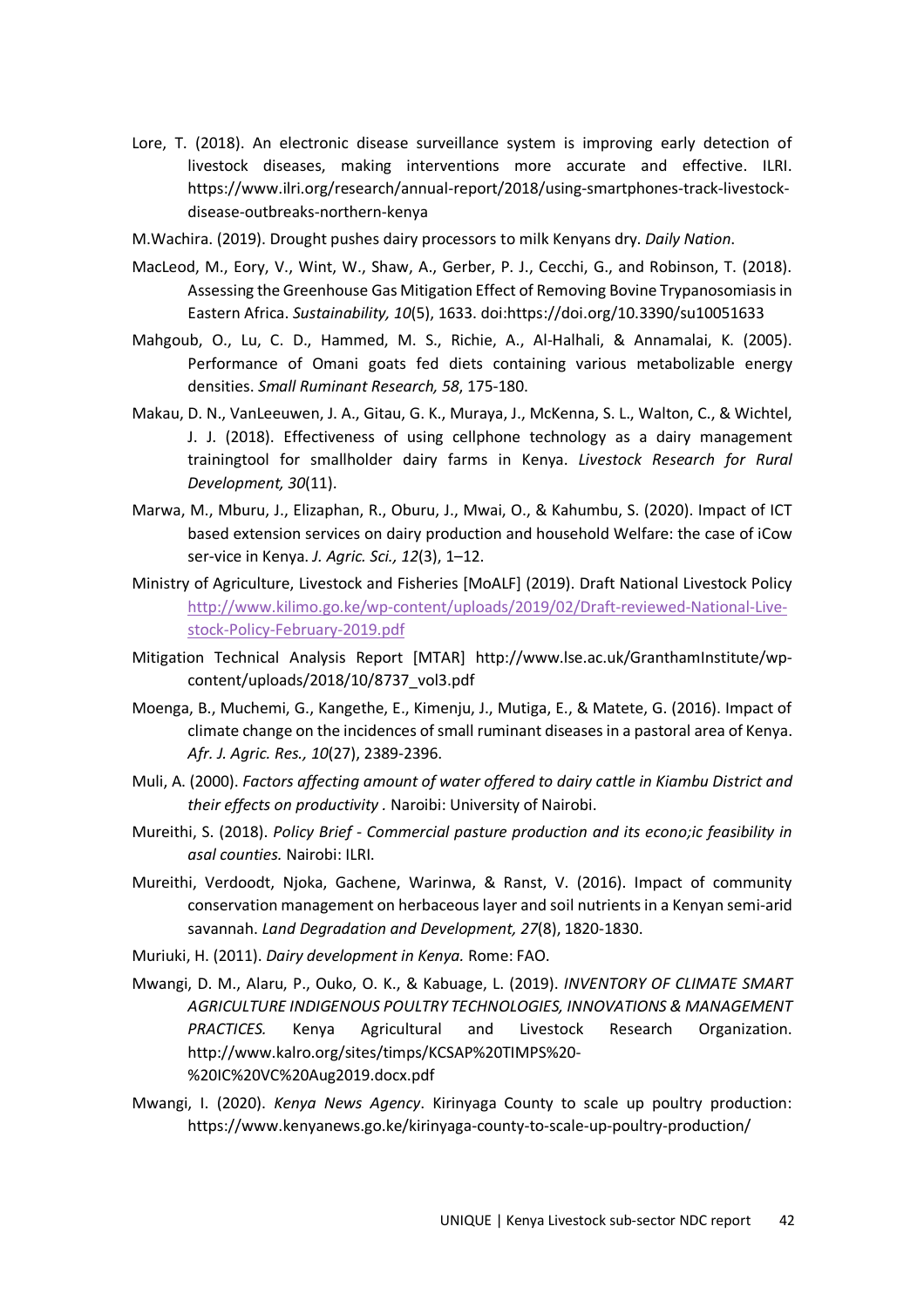- Lore, T. (2018). An electronic disease surveillance system is improving early detection of livestock diseases, making interventions more accurate and effective. ILRI. https://www.ilri.org/research/annual-report/2018/using-smartphones-track-livestockdisease-outbreaks-northern-kenya
- M.Wachira. (2019). Drought pushes dairy processors to milk Kenyans dry. *Daily Nation*.
- MacLeod, M., Eory, V., Wint, W., Shaw, A., Gerber, P. J., Cecchi, G., and Robinson, T. (2018). Assessing the Greenhouse Gas Mitigation Effect of Removing Bovine Trypanosomiasis in Eastern Africa. *Sustainability, 10*(5), 1633. doi:https://doi.org/10.3390/su10051633
- Mahgoub, O., Lu, C. D., Hammed, M. S., Richie, A., Al-Halhali, & Annamalai, K. (2005). Performance of Omani goats fed diets containing various metabolizable energy densities. *Small Ruminant Research, 58*, 175-180.
- Makau, D. N., VanLeeuwen, J. A., Gitau, G. K., Muraya, J., McKenna, S. L., Walton, C., & Wichtel, J. J. (2018). Effectiveness of using cellphone technology as a dairy management trainingtool for smallholder dairy farms in Kenya. *Livestock Research for Rural Development, 30*(11).
- Marwa, M., Mburu, J., Elizaphan, R., Oburu, J., Mwai, O., & Kahumbu, S. (2020). Impact of ICT based extension services on dairy production and household Welfare: the case of iCow ser-vice in Kenya. *J. Agric. Sci., 12*(3), 1–12.
- Ministry of Agriculture, Livestock and Fisheries [MoALF] (2019). Draft National Livestock Policy http://www.kilimo.go.ke/wp-content/uploads/2019/02/Draft-reviewed-National-Livestock-Policy-February-2019.pdf
- Mitigation Technical Analysis Report [MTAR] http://www.lse.ac.uk/GranthamInstitute/wpcontent/uploads/2018/10/8737\_vol3.pdf
- Moenga, B., Muchemi, G., Kangethe, E., Kimenju, J., Mutiga, E., & Matete, G. (2016). Impact of climate change on the incidences of small ruminant diseases in a pastoral area of Kenya. *Afr. J. Agric. Res., 10*(27), 2389-2396.
- Muli, A. (2000). *Factors affecting amount of water offered to dairy cattle in Kiambu District and their effects on productivity .* Naroibi: University of Nairobi.
- Mureithi, S. (2018). *Policy Brief Commercial pasture production and its econo;ic feasibility in asal counties.* Nairobi: ILRI.
- Mureithi, Verdoodt, Njoka, Gachene, Warinwa, & Ranst, V. (2016). Impact of community conservation management on herbaceous layer and soil nutrients in a Kenyan semi-arid savannah. *Land Degradation and Development, 27*(8), 1820-1830.
- Muriuki, H. (2011). *Dairy development in Kenya.* Rome: FAO.
- Mwangi, D. M., Alaru, P., Ouko, O. K., & Kabuage, L. (2019). *INVENTORY OF CLIMATE SMART AGRICULTURE INDIGENOUS POULTRY TECHNOLOGIES, INNOVATIONS & MANAGEMENT PRACTICES.* Kenya Agricultural and Livestock Research Organization. http://www.kalro.org/sites/timps/KCSAP%20TIMPS%20- %20IC%20VC%20Aug2019.docx.pdf
- Mwangi, I. (2020). *Kenya News Agency*. Kirinyaga County to scale up poultry production: https://www.kenyanews.go.ke/kirinyaga-county-to-scale-up-poultry-production/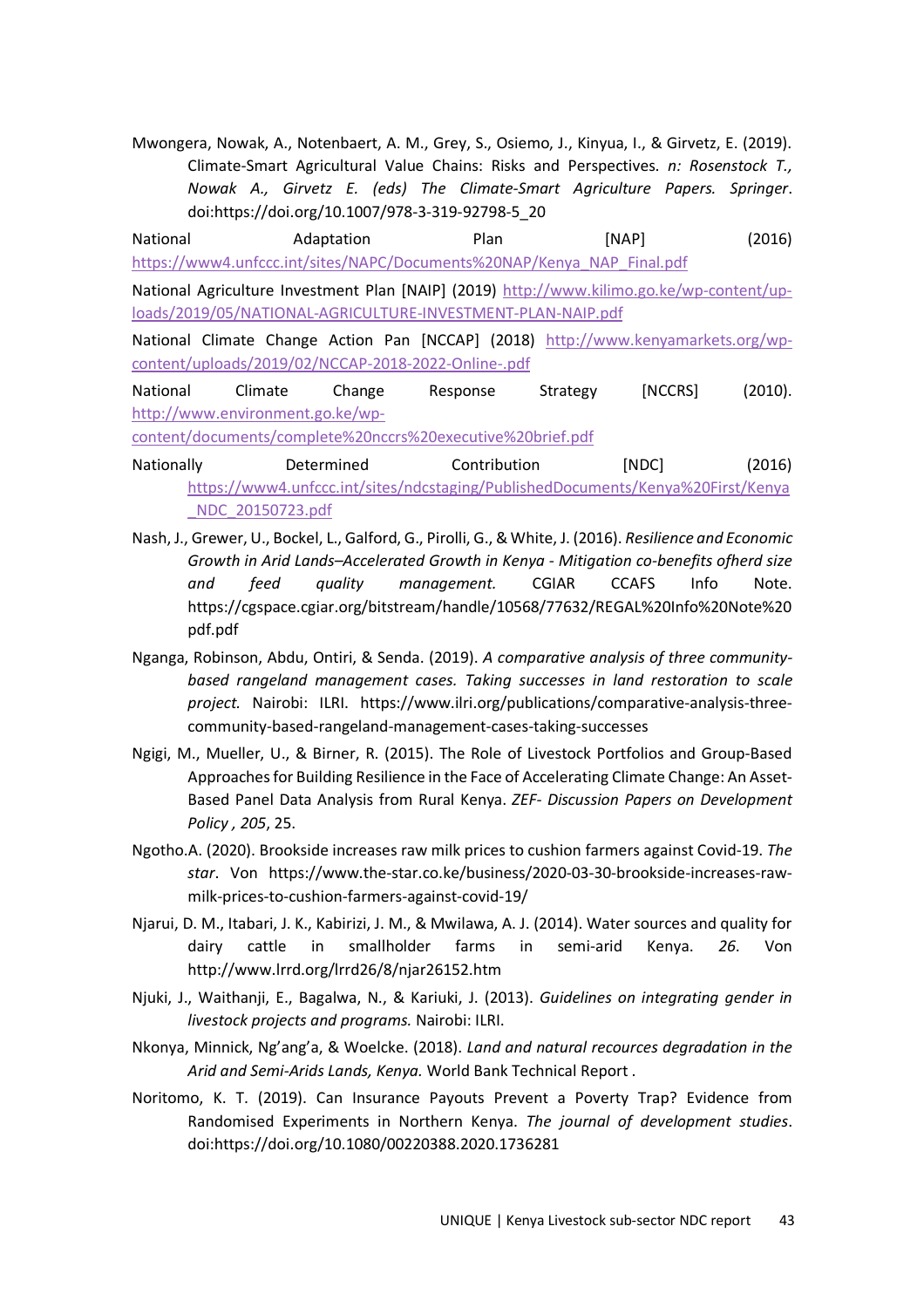Mwongera, Nowak, A., Notenbaert, A. M., Grey, S., Osiemo, J., Kinyua, I., & Girvetz, E. (2019). Climate-Smart Agricultural Value Chains: Risks and Perspectives. *n: Rosenstock T., Nowak A., Girvetz E. (eds) The Climate-Smart Agriculture Papers. Springer*. doi:https://doi.org/10.1007/978-3-319-92798-5\_20

National Adaptation Plan [NAP] (2016) https://www4.unfccc.int/sites/NAPC/Documents%20NAP/Kenya\_NAP\_Final.pdf

National Agriculture Investment Plan [NAIP] (2019) http://www.kilimo.go.ke/wp-content/uploads/2019/05/NATIONAL-AGRICULTURE-INVESTMENT-PLAN-NAIP.pdf

National Climate Change Action Pan [NCCAP] (2018) http://www.kenyamarkets.org/wpcontent/uploads/2019/02/NCCAP-2018-2022-Online-.pdf

National Climate Change Response Strategy [NCCRS] (2010). http://www.environment.go.ke/wp-

content/documents/complete%20nccrs%20executive%20brief.pdf

Nationally Determined Contribution [NDC] (2016) https://www4.unfccc.int/sites/ndcstaging/PublishedDocuments/Kenya%20First/Kenya \_NDC\_20150723.pdf

- Nash, J., Grewer, U., Bockel, L., Galford, G., Pirolli, G., & White, J. (2016). *Resilience and Economic Growth in Arid Lands–Accelerated Growth in Kenya - Mitigation co-benefits ofherd size and feed quality management.* CGIAR CCAFS Info Note. https://cgspace.cgiar.org/bitstream/handle/10568/77632/REGAL%20Info%20Note%20 pdf.pdf
- Nganga, Robinson, Abdu, Ontiri, & Senda. (2019). *A comparative analysis of three communitybased rangeland management cases. Taking successes in land restoration to scale project.* Nairobi: ILRI. https://www.ilri.org/publications/comparative-analysis-threecommunity-based-rangeland-management-cases-taking-successes
- Ngigi, M., Mueller, U., & Birner, R. (2015). The Role of Livestock Portfolios and Group-Based Approaches for Building Resilience in the Face of Accelerating Climate Change: An Asset-Based Panel Data Analysis from Rural Kenya. *ZEF- Discussion Papers on Development Policy , 205*, 25.
- Ngotho.A. (2020). Brookside increases raw milk prices to cushion farmers against Covid-19. *The star*. Von https://www.the-star.co.ke/business/2020-03-30-brookside-increases-rawmilk-prices-to-cushion-farmers-against-covid-19/
- Njarui, D. M., Itabari, J. K., Kabirizi, J. M., & Mwilawa, A. J. (2014). Water sources and quality for dairy cattle in smallholder farms in semi-arid Kenya. *26*. Von http://www.lrrd.org/lrrd26/8/njar26152.htm
- Njuki, J., Waithanji, E., Bagalwa, N., & Kariuki, J. (2013). *Guidelines on integrating gender in livestock projects and programs.* Nairobi: ILRI.
- Nkonya, Minnick, Ng'ang'a, & Woelcke. (2018). *Land and natural recources degradation in the Arid and Semi-Arids Lands, Kenya.* World Bank Technical Report .
- Noritomo, K. T. (2019). Can Insurance Payouts Prevent a Poverty Trap? Evidence from Randomised Experiments in Northern Kenya. *The journal of development studies*. doi:https://doi.org/10.1080/00220388.2020.1736281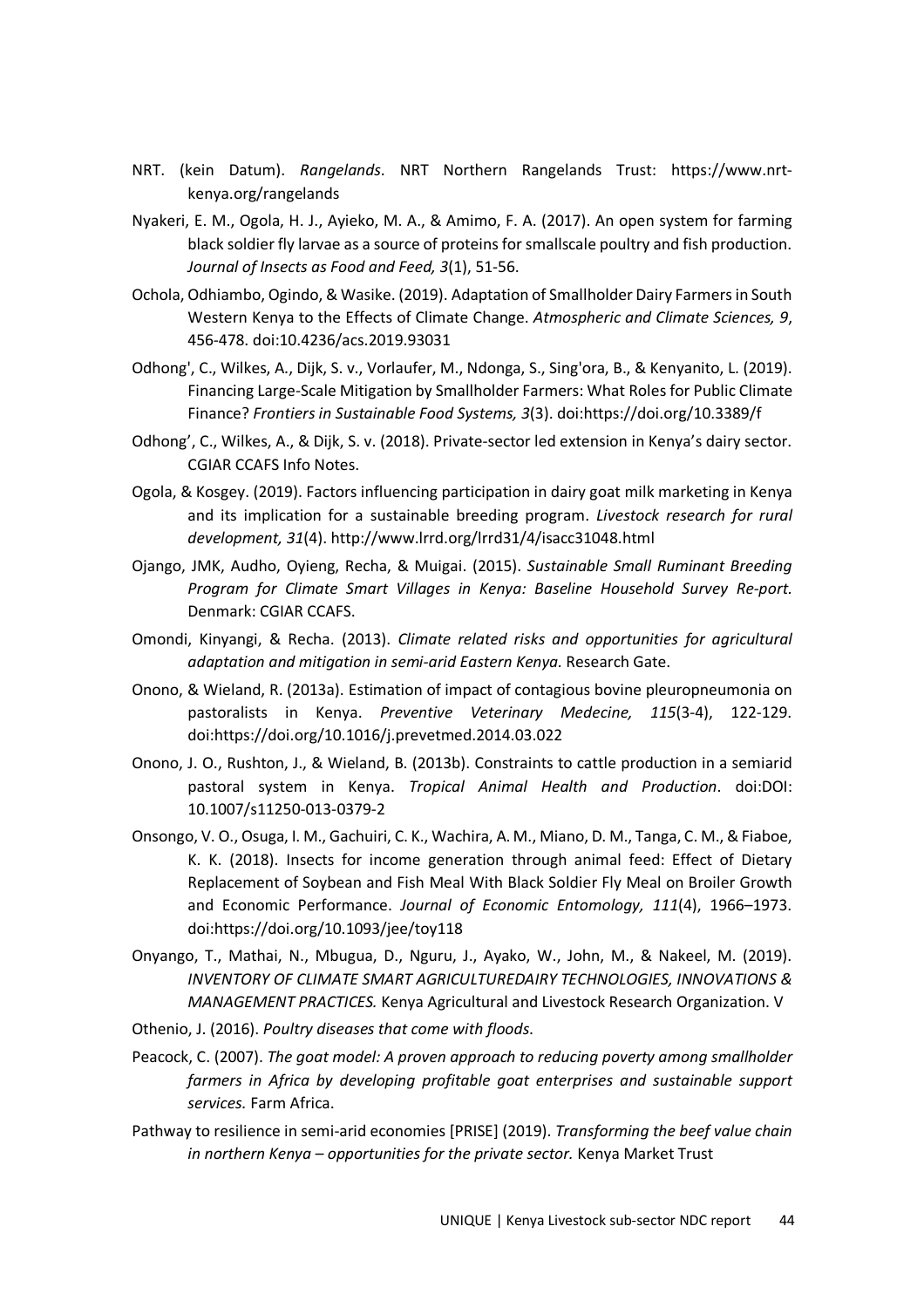- NRT. (kein Datum). *Rangelands*. NRT Northern Rangelands Trust: https://www.nrtkenya.org/rangelands
- Nyakeri, E. M., Ogola, H. J., Ayieko, M. A., & Amimo, F. A. (2017). An open system for farming black soldier fly larvae as a source of proteins for smallscale poultry and fish production. *Journal of Insects as Food and Feed, 3*(1), 51-56.
- Ochola, Odhiambo, Ogindo, & Wasike. (2019). Adaptation of Smallholder Dairy Farmers in South Western Kenya to the Effects of Climate Change. *Atmospheric and Climate Sciences, 9*, 456-478. doi:10.4236/acs.2019.93031
- Odhong', C., Wilkes, A., Dijk, S. v., Vorlaufer, M., Ndonga, S., Sing'ora, B., & Kenyanito, L. (2019). Financing Large-Scale Mitigation by Smallholder Farmers: What Roles for Public Climate Finance? *Frontiers in Sustainable Food Systems, 3*(3). doi:https://doi.org/10.3389/f
- Odhong', C., Wilkes, A., & Dijk, S. v. (2018). Private-sector led extension in Kenya's dairy sector. CGIAR CCAFS Info Notes.
- Ogola, & Kosgey. (2019). Factors influencing participation in dairy goat milk marketing in Kenya and its implication for a sustainable breeding program. *Livestock research for rural development, 31*(4). http://www.lrrd.org/lrrd31/4/isacc31048.html
- Ojango, JMK, Audho, Oyieng, Recha, & Muigai. (2015). *Sustainable Small Ruminant Breeding Program for Climate Smart Villages in Kenya: Baseline Household Survey Re-port.* Denmark: CGIAR CCAFS.
- Omondi, Kinyangi, & Recha. (2013). *Climate related risks and opportunities for agricultural adaptation and mitigation in semi-arid Eastern Kenya.* Research Gate.
- Onono, & Wieland, R. (2013a). Estimation of impact of contagious bovine pleuropneumonia on pastoralists in Kenya. *Preventive Veterinary Medecine, 115*(3-4), 122-129. doi:https://doi.org/10.1016/j.prevetmed.2014.03.022
- Onono, J. O., Rushton, J., & Wieland, B. (2013b). Constraints to cattle production in a semiarid pastoral system in Kenya. *Tropical Animal Health and Production*. doi:DOI: 10.1007/s11250-013-0379-2
- Onsongo, V. O., Osuga, I. M., Gachuiri, C. K., Wachira, A. M., Miano, D. M., Tanga, C. M., & Fiaboe, K. K. (2018). Insects for income generation through animal feed: Effect of Dietary Replacement of Soybean and Fish Meal With Black Soldier Fly Meal on Broiler Growth and Economic Performance. *Journal of Economic Entomology, 111*(4), 1966–1973. doi:https://doi.org/10.1093/jee/toy118
- Onyango, T., Mathai, N., Mbugua, D., Nguru, J., Ayako, W., John, M., & Nakeel, M. (2019). *INVENTORY OF CLIMATE SMART AGRICULTUREDAIRY TECHNOLOGIES, INNOVATIONS & MANAGEMENT PRACTICES.* Kenya Agricultural and Livestock Research Organization. V
- Othenio, J. (2016). *Poultry diseases that come with floods*.
- Peacock, C. (2007). *The goat model: A proven approach to reducing poverty among smallholder farmers in Africa by developing profitable goat enterprises and sustainable support services.* Farm Africa.
- Pathway to resilience in semi-arid economies [PRISE] (2019). *Transforming the beef value chain in northern Kenya – opportunities for the private sector.* Kenya Market Trust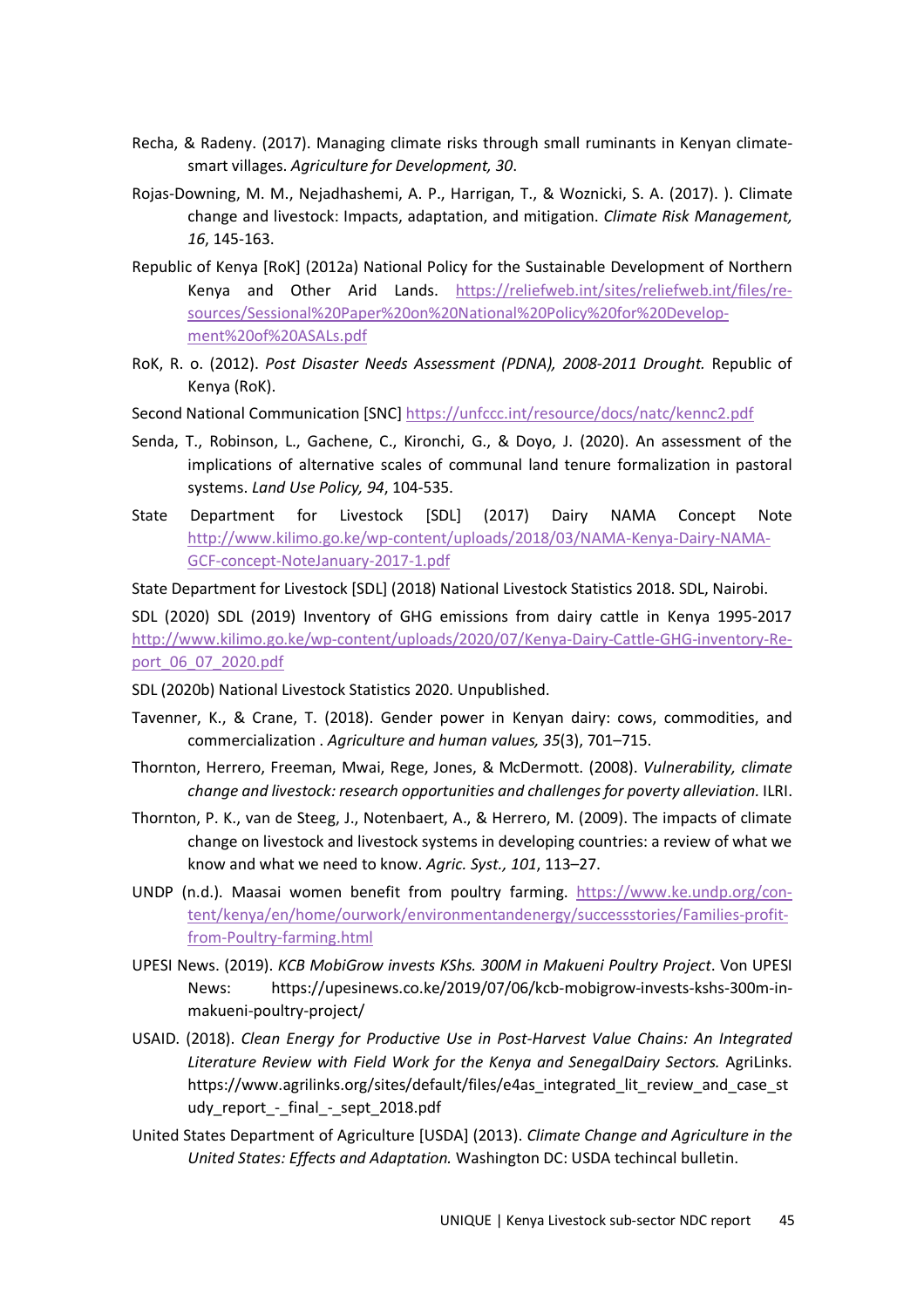- Recha, & Radeny. (2017). Managing climate risks through small ruminants in Kenyan climatesmart villages. *Agriculture for Development, 30*.
- Rojas-Downing, M. M., Nejadhashemi, A. P., Harrigan, T., & Woznicki, S. A. (2017). ). Climate change and livestock: Impacts, adaptation, and mitigation. *Climate Risk Management, 16*, 145-163.
- Republic of Kenya [RoK] (2012a) National Policy for the Sustainable Development of Northern Kenya and Other Arid Lands. https://reliefweb.int/sites/reliefweb.int/files/resources/Sessional%20Paper%20on%20National%20Policy%20for%20Development%20of%20ASALs.pdf
- RoK, R. o. (2012). *Post Disaster Needs Assessment (PDNA), 2008-2011 Drought.* Republic of Kenya (RoK).
- Second National Communication [SNC] https://unfccc.int/resource/docs/natc/kennc2.pdf
- Senda, T., Robinson, L., Gachene, C., Kironchi, G., & Doyo, J. (2020). An assessment of the implications of alternative scales of communal land tenure formalization in pastoral systems. *Land Use Policy, 94*, 104-535.
- State Department for Livestock [SDL] (2017) Dairy NAMA Concept Note http://www.kilimo.go.ke/wp-content/uploads/2018/03/NAMA-Kenya-Dairy-NAMA-GCF-concept-NoteJanuary-2017-1.pdf

State Department for Livestock [SDL] (2018) National Livestock Statistics 2018. SDL, Nairobi.

SDL (2020) SDL (2019) Inventory of GHG emissions from dairy cattle in Kenya 1995-2017 http://www.kilimo.go.ke/wp-content/uploads/2020/07/Kenya-Dairy-Cattle-GHG-inventory-Report\_06\_07\_2020.pdf

- SDL (2020b) National Livestock Statistics 2020. Unpublished.
- Tavenner, K., & Crane, T. (2018). Gender power in Kenyan dairy: cows, commodities, and commercialization . *Agriculture and human values, 35*(3), 701–715.
- Thornton, Herrero, Freeman, Mwai, Rege, Jones, & McDermott. (2008). *Vulnerability, climate change and livestock: research opportunities and challenges for poverty alleviation.* ILRI.
- Thornton, P. K., van de Steeg, J., Notenbaert, A., & Herrero, M. (2009). The impacts of climate change on livestock and livestock systems in developing countries: a review of what we know and what we need to know. *Agric. Syst., 101*, 113–27.
- UNDP (n.d.). Maasai women benefit from poultry farming. https://www.ke.undp.org/content/kenya/en/home/ourwork/environmentandenergy/successstories/Families-profitfrom-Poultry-farming.html
- UPESI News. (2019). *KCB MobiGrow invests KShs. 300M in Makueni Poultry Project*. Von UPESI News: https://upesinews.co.ke/2019/07/06/kcb-mobigrow-invests-kshs-300m-inmakueni-poultry-project/
- USAID. (2018). *Clean Energy for Productive Use in Post-Harvest Value Chains: An Integrated Literature Review with Field Work for the Kenya and SenegalDairy Sectors.* AgriLinks. https://www.agrilinks.org/sites/default/files/e4as\_integrated\_lit\_review\_and\_case\_st udy\_report\_-\_final\_-\_sept\_2018.pdf
- United States Department of Agriculture [USDA] (2013). *Climate Change and Agriculture in the United States: Effects and Adaptation.* Washington DC: USDA techincal bulletin.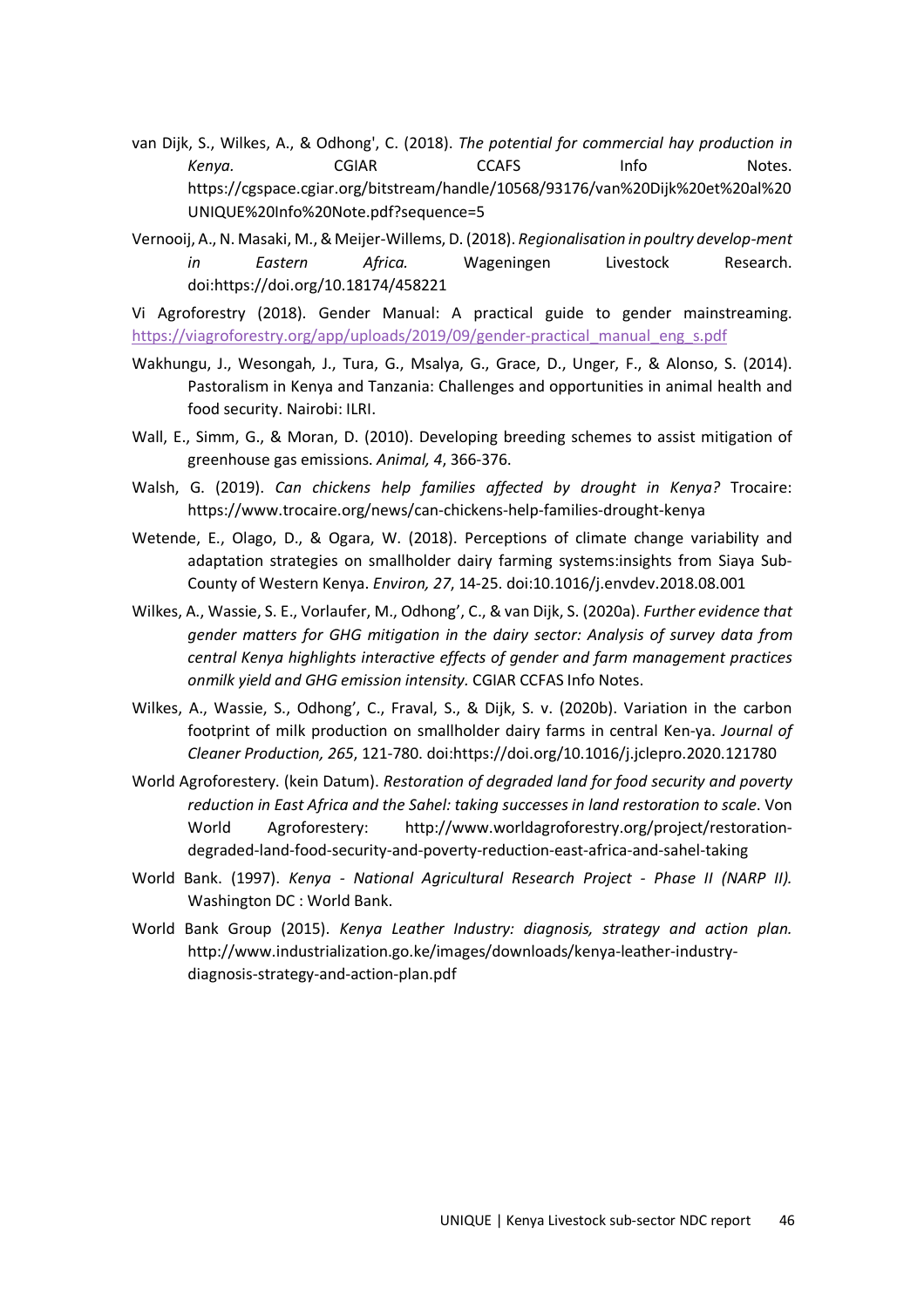- van Dijk, S., Wilkes, A., & Odhong', C. (2018). *The potential for commercial hay production in*  Kenya. CGIAR CCAFS Info Notes. https://cgspace.cgiar.org/bitstream/handle/10568/93176/van%20Dijk%20et%20al%20 UNIQUE%20Info%20Note.pdf?sequence=5
- Vernooij, A., N. Masaki, M., & Meijer-Willems, D. (2018). *Regionalisation in poultry develop-ment in Eastern Africa.* Wageningen Livestock Research. doi:https://doi.org/10.18174/458221

Vi Agroforestry (2018). Gender Manual: A practical guide to gender mainstreaming. https://viagroforestry.org/app/uploads/2019/09/gender-practical\_manual\_eng\_s.pdf

- Wakhungu, J., Wesongah, J., Tura, G., Msalya, G., Grace, D., Unger, F., & Alonso, S. (2014). Pastoralism in Kenya and Tanzania: Challenges and opportunities in animal health and food security. Nairobi: ILRI.
- Wall, E., Simm, G., & Moran, D. (2010). Developing breeding schemes to assist mitigation of greenhouse gas emissions. *Animal, 4*, 366-376.
- Walsh, G. (2019). *Can chickens help families affected by drought in Kenya?* Trocaire: https://www.trocaire.org/news/can-chickens-help-families-drought-kenya
- Wetende, E., Olago, D., & Ogara, W. (2018). Perceptions of climate change variability and adaptation strategies on smallholder dairy farming systems:insights from Siaya Sub-County of Western Kenya. *Environ, 27*, 14-25. doi:10.1016/j.envdev.2018.08.001
- Wilkes, A., Wassie, S. E., Vorlaufer, M., Odhong', C., & van Dijk, S. (2020a). *Further evidence that gender matters for GHG mitigation in the dairy sector: Analysis of survey data from central Kenya highlights interactive effects of gender and farm management practices onmilk yield and GHG emission intensity.* CGIAR CCFAS Info Notes.
- Wilkes, A., Wassie, S., Odhong', C., Fraval, S., & Dijk, S. v. (2020b). Variation in the carbon footprint of milk production on smallholder dairy farms in central Ken-ya. *Journal of Cleaner Production, 265*, 121-780. doi:https://doi.org/10.1016/j.jclepro.2020.121780
- World Agroforestery. (kein Datum). *Restoration of degraded land for food security and poverty reduction in East Africa and the Sahel: taking successes in land restoration to scale*. Von World Agroforestery: http://www.worldagroforestry.org/project/restorationdegraded-land-food-security-and-poverty-reduction-east-africa-and-sahel-taking
- World Bank. (1997). *Kenya National Agricultural Research Project Phase II (NARP II).* Washington DC : World Bank.
- World Bank Group (2015). *Kenya Leather Industry: diagnosis, strategy and action plan.* http://www.industrialization.go.ke/images/downloads/kenya-leather-industrydiagnosis-strategy-and-action-plan.pdf